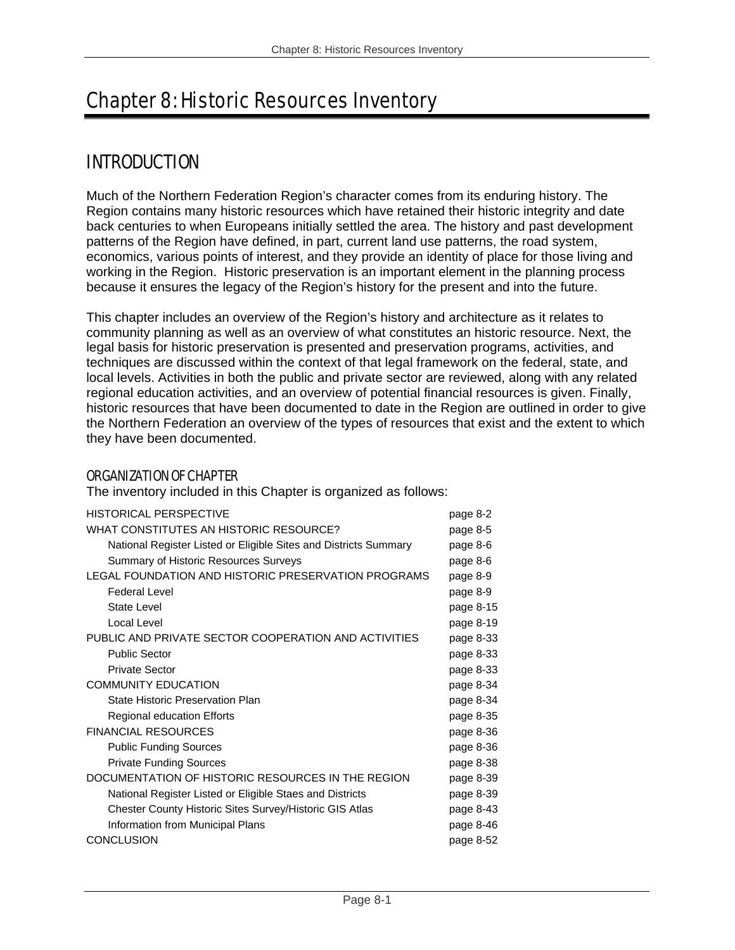# Chapter 8: Historic Resources Inventory

# INTRODUCTION

Much of the Northern Federation Region's character comes from its enduring history. The Region contains many historic resources which have retained their historic integrity and date back centuries to when Europeans initially settled the area. The history and past development patterns of the Region have defined, in part, current land use patterns, the road system, economics, various points of interest, and they provide an identity of place for those living and working in the Region. Historic preservation is an important element in the planning process because it ensures the legacy of the Region's history for the present and into the future.

This chapter includes an overview of the Region's history and architecture as it relates to community planning as well as an overview of what constitutes an historic resource. Next, the legal basis for historic preservation is presented and preservation programs, activities, and techniques are discussed within the context of that legal framework on the federal, state, and local levels. Activities in both the public and private sector are reviewed, along with any related regional education activities, and an overview of potential financial resources is given. Finally, historic resources that have been documented to date in the Region are outlined in order to give the Northern Federation an overview of the types of resources that exist and the extent to which they have been documented.

## ORGANIZATION OF CHAPTER

The inventory included in this Chapter is organized as follows:

| WHAT CONSTITUTES AN HISTORIC RESOURCE?<br>page 8-5<br>National Register Listed or Eligible Sites and Districts Summary<br>page 8-6<br><b>Summary of Historic Resources Surveys</b><br>page 8-6<br>LEGAL FOUNDATION AND HISTORIC PRESERVATION PROGRAMS<br>page 8-9<br><b>Federal Level</b><br>page 8-9<br><b>State Level</b><br>page 8-15<br>Local Level<br>page 8-19<br>PUBLIC AND PRIVATE SECTOR COOPERATION AND ACTIVITIES<br>page 8-33<br><b>Public Sector</b><br>page 8-33<br><b>Private Sector</b><br>page 8-33<br><b>COMMUNITY EDUCATION</b><br>page 8-34<br>State Historic Preservation Plan<br>page 8-34<br><b>Regional education Efforts</b><br>page 8-35<br><b>FINANCIAL RESOURCES</b><br>page 8-36<br><b>Public Funding Sources</b><br>page 8-36<br><b>Private Funding Sources</b><br>page 8-38<br>DOCUMENTATION OF HISTORIC RESOURCES IN THE REGION<br>page 8-39<br>National Register Listed or Eligible Staes and Districts<br>page 8-39<br>Chester County Historic Sites Survey/Historic GIS Atlas<br>page 8-43<br>Information from Municipal Plans<br>page 8-46<br><b>CONCLUSION</b><br>page 8-52 | <b>HISTORICAL PERSPECTIVE</b> | page 8-2 |
|------------------------------------------------------------------------------------------------------------------------------------------------------------------------------------------------------------------------------------------------------------------------------------------------------------------------------------------------------------------------------------------------------------------------------------------------------------------------------------------------------------------------------------------------------------------------------------------------------------------------------------------------------------------------------------------------------------------------------------------------------------------------------------------------------------------------------------------------------------------------------------------------------------------------------------------------------------------------------------------------------------------------------------------------------------------------------------------------------------------|-------------------------------|----------|
|                                                                                                                                                                                                                                                                                                                                                                                                                                                                                                                                                                                                                                                                                                                                                                                                                                                                                                                                                                                                                                                                                                                  |                               |          |
|                                                                                                                                                                                                                                                                                                                                                                                                                                                                                                                                                                                                                                                                                                                                                                                                                                                                                                                                                                                                                                                                                                                  |                               |          |
|                                                                                                                                                                                                                                                                                                                                                                                                                                                                                                                                                                                                                                                                                                                                                                                                                                                                                                                                                                                                                                                                                                                  |                               |          |
|                                                                                                                                                                                                                                                                                                                                                                                                                                                                                                                                                                                                                                                                                                                                                                                                                                                                                                                                                                                                                                                                                                                  |                               |          |
|                                                                                                                                                                                                                                                                                                                                                                                                                                                                                                                                                                                                                                                                                                                                                                                                                                                                                                                                                                                                                                                                                                                  |                               |          |
|                                                                                                                                                                                                                                                                                                                                                                                                                                                                                                                                                                                                                                                                                                                                                                                                                                                                                                                                                                                                                                                                                                                  |                               |          |
|                                                                                                                                                                                                                                                                                                                                                                                                                                                                                                                                                                                                                                                                                                                                                                                                                                                                                                                                                                                                                                                                                                                  |                               |          |
|                                                                                                                                                                                                                                                                                                                                                                                                                                                                                                                                                                                                                                                                                                                                                                                                                                                                                                                                                                                                                                                                                                                  |                               |          |
|                                                                                                                                                                                                                                                                                                                                                                                                                                                                                                                                                                                                                                                                                                                                                                                                                                                                                                                                                                                                                                                                                                                  |                               |          |
|                                                                                                                                                                                                                                                                                                                                                                                                                                                                                                                                                                                                                                                                                                                                                                                                                                                                                                                                                                                                                                                                                                                  |                               |          |
|                                                                                                                                                                                                                                                                                                                                                                                                                                                                                                                                                                                                                                                                                                                                                                                                                                                                                                                                                                                                                                                                                                                  |                               |          |
|                                                                                                                                                                                                                                                                                                                                                                                                                                                                                                                                                                                                                                                                                                                                                                                                                                                                                                                                                                                                                                                                                                                  |                               |          |
|                                                                                                                                                                                                                                                                                                                                                                                                                                                                                                                                                                                                                                                                                                                                                                                                                                                                                                                                                                                                                                                                                                                  |                               |          |
|                                                                                                                                                                                                                                                                                                                                                                                                                                                                                                                                                                                                                                                                                                                                                                                                                                                                                                                                                                                                                                                                                                                  |                               |          |
|                                                                                                                                                                                                                                                                                                                                                                                                                                                                                                                                                                                                                                                                                                                                                                                                                                                                                                                                                                                                                                                                                                                  |                               |          |
|                                                                                                                                                                                                                                                                                                                                                                                                                                                                                                                                                                                                                                                                                                                                                                                                                                                                                                                                                                                                                                                                                                                  |                               |          |
|                                                                                                                                                                                                                                                                                                                                                                                                                                                                                                                                                                                                                                                                                                                                                                                                                                                                                                                                                                                                                                                                                                                  |                               |          |
|                                                                                                                                                                                                                                                                                                                                                                                                                                                                                                                                                                                                                                                                                                                                                                                                                                                                                                                                                                                                                                                                                                                  |                               |          |
|                                                                                                                                                                                                                                                                                                                                                                                                                                                                                                                                                                                                                                                                                                                                                                                                                                                                                                                                                                                                                                                                                                                  |                               |          |
|                                                                                                                                                                                                                                                                                                                                                                                                                                                                                                                                                                                                                                                                                                                                                                                                                                                                                                                                                                                                                                                                                                                  |                               |          |
|                                                                                                                                                                                                                                                                                                                                                                                                                                                                                                                                                                                                                                                                                                                                                                                                                                                                                                                                                                                                                                                                                                                  |                               |          |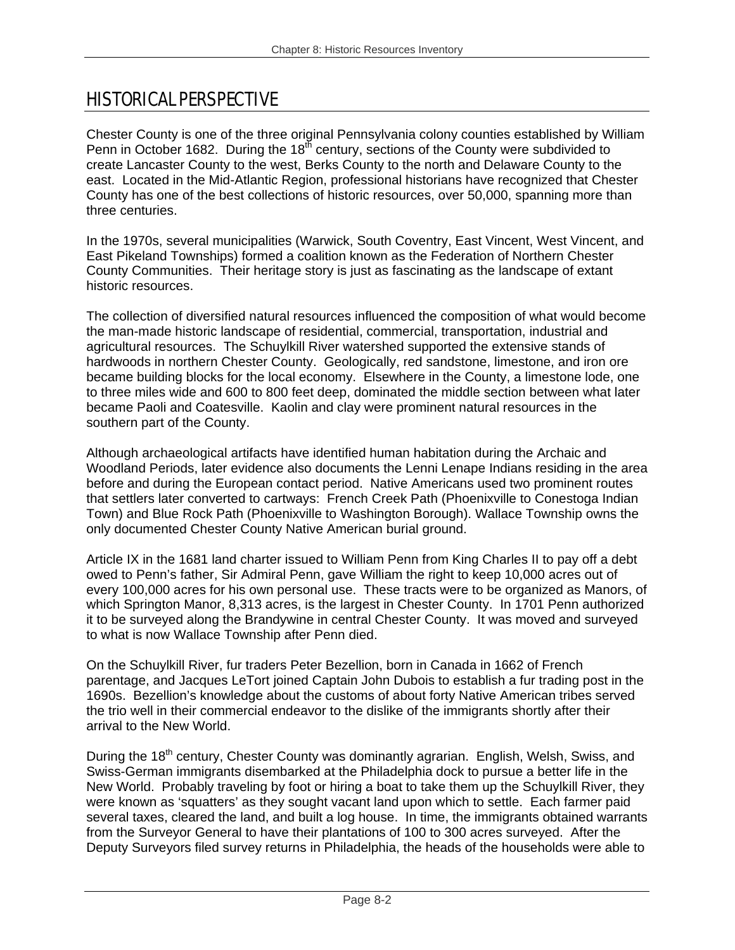# HISTORICAL PERSPECTIVE

Chester County is one of the three original Pennsylvania colony counties established by William Penn in October 1682. During the 18<sup>th</sup> century, sections of the County were subdivided to create Lancaster County to the west, Berks County to the north and Delaware County to the east. Located in the Mid-Atlantic Region, professional historians have recognized that Chester County has one of the best collections of historic resources, over 50,000, spanning more than three centuries.

In the 1970s, several municipalities (Warwick, South Coventry, East Vincent, West Vincent, and East Pikeland Townships) formed a coalition known as the Federation of Northern Chester County Communities. Their heritage story is just as fascinating as the landscape of extant historic resources.

The collection of diversified natural resources influenced the composition of what would become the man-made historic landscape of residential, commercial, transportation, industrial and agricultural resources. The Schuylkill River watershed supported the extensive stands of hardwoods in northern Chester County. Geologically, red sandstone, limestone, and iron ore became building blocks for the local economy. Elsewhere in the County, a limestone lode, one to three miles wide and 600 to 800 feet deep, dominated the middle section between what later became Paoli and Coatesville. Kaolin and clay were prominent natural resources in the southern part of the County.

Although archaeological artifacts have identified human habitation during the Archaic and Woodland Periods, later evidence also documents the Lenni Lenape Indians residing in the area before and during the European contact period. Native Americans used two prominent routes that settlers later converted to cartways: French Creek Path (Phoenixville to Conestoga Indian Town) and Blue Rock Path (Phoenixville to Washington Borough). Wallace Township owns the only documented Chester County Native American burial ground.

Article IX in the 1681 land charter issued to William Penn from King Charles II to pay off a debt owed to Penn's father, Sir Admiral Penn, gave William the right to keep 10,000 acres out of every 100,000 acres for his own personal use. These tracts were to be organized as Manors, of which Springton Manor, 8,313 acres, is the largest in Chester County. In 1701 Penn authorized it to be surveyed along the Brandywine in central Chester County. It was moved and surveyed to what is now Wallace Township after Penn died.

On the Schuylkill River, fur traders Peter Bezellion, born in Canada in 1662 of French parentage, and Jacques LeTort joined Captain John Dubois to establish a fur trading post in the 1690s. Bezellion's knowledge about the customs of about forty Native American tribes served the trio well in their commercial endeavor to the dislike of the immigrants shortly after their arrival to the New World.

During the 18<sup>th</sup> century, Chester County was dominantly agrarian. English, Welsh, Swiss, and Swiss-German immigrants disembarked at the Philadelphia dock to pursue a better life in the New World. Probably traveling by foot or hiring a boat to take them up the Schuylkill River, they were known as 'squatters' as they sought vacant land upon which to settle. Each farmer paid several taxes, cleared the land, and built a log house. In time, the immigrants obtained warrants from the Surveyor General to have their plantations of 100 to 300 acres surveyed. After the Deputy Surveyors filed survey returns in Philadelphia, the heads of the households were able to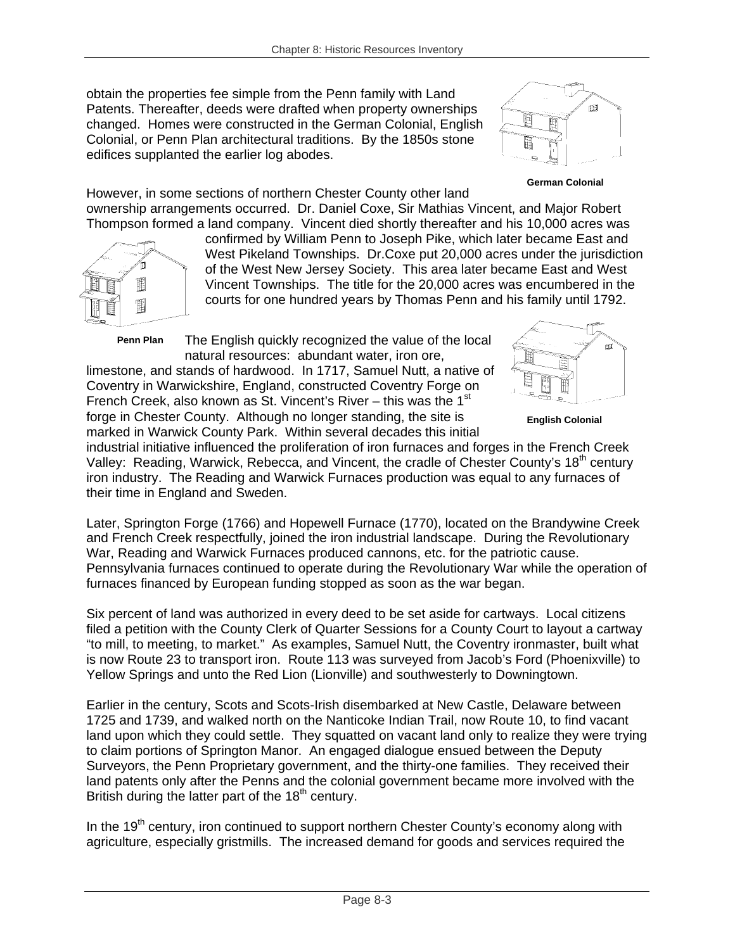obtain the properties fee simple from the Penn family with Land Patents. Thereafter, deeds were drafted when property ownerships changed. Homes were constructed in the German Colonial, English Colonial, or Penn Plan architectural traditions. By the 1850s stone edifices supplanted the earlier log abodes.



#### **German Colonial**

However, in some sections of northern Chester County other land ownership arrangements occurred. Dr. Daniel Coxe, Sir Mathias Vincent, and Major Robert Thompson formed a land company. Vincent died shortly thereafter and his 10,000 acres was



confirmed by William Penn to Joseph Pike, which later became East and West Pikeland Townships. Dr.Coxe put 20,000 acres under the jurisdiction of the West New Jersey Society. This area later became East and West Vincent Townships. The title for the 20,000 acres was encumbered in the courts for one hundred years by Thomas Penn and his family until 1792.

**Penn Plan** 

The English quickly recognized the value of the local natural resources: abundant water, iron ore,

limestone, and stands of hardwood. In 1717, Samuel Nutt, a native of Coventry in Warwickshire, England, constructed Coventry Forge on French Creek, also known as St. Vincent's River – this was the  $1<sup>st</sup>$ forge in Chester County. Although no longer standing, the site is marked in Warwick County Park. Within several decades this initial



**English Colonial** 

industrial initiative influenced the proliferation of iron furnaces and forges in the French Creek Valley: Reading, Warwick, Rebecca, and Vincent, the cradle of Chester County's 18<sup>th</sup> century iron industry. The Reading and Warwick Furnaces production was equal to any furnaces of their time in England and Sweden.

Later, Springton Forge (1766) and Hopewell Furnace (1770), located on the Brandywine Creek and French Creek respectfully, joined the iron industrial landscape. During the Revolutionary War, Reading and Warwick Furnaces produced cannons, etc. for the patriotic cause. Pennsylvania furnaces continued to operate during the Revolutionary War while the operation of furnaces financed by European funding stopped as soon as the war began.

Six percent of land was authorized in every deed to be set aside for cartways. Local citizens filed a petition with the County Clerk of Quarter Sessions for a County Court to layout a cartway "to mill, to meeting, to market." As examples, Samuel Nutt, the Coventry ironmaster, built what is now Route 23 to transport iron. Route 113 was surveyed from Jacob's Ford (Phoenixville) to Yellow Springs and unto the Red Lion (Lionville) and southwesterly to Downingtown.

Earlier in the century, Scots and Scots-Irish disembarked at New Castle, Delaware between 1725 and 1739, and walked north on the Nanticoke Indian Trail, now Route 10, to find vacant land upon which they could settle. They squatted on vacant land only to realize they were trying to claim portions of Springton Manor. An engaged dialogue ensued between the Deputy Surveyors, the Penn Proprietary government, and the thirty-one families. They received their land patents only after the Penns and the colonial government became more involved with the British during the latter part of the  $18<sup>th</sup>$  century.

In the  $19<sup>th</sup>$  century, iron continued to support northern Chester County's economy along with agriculture, especially gristmills. The increased demand for goods and services required the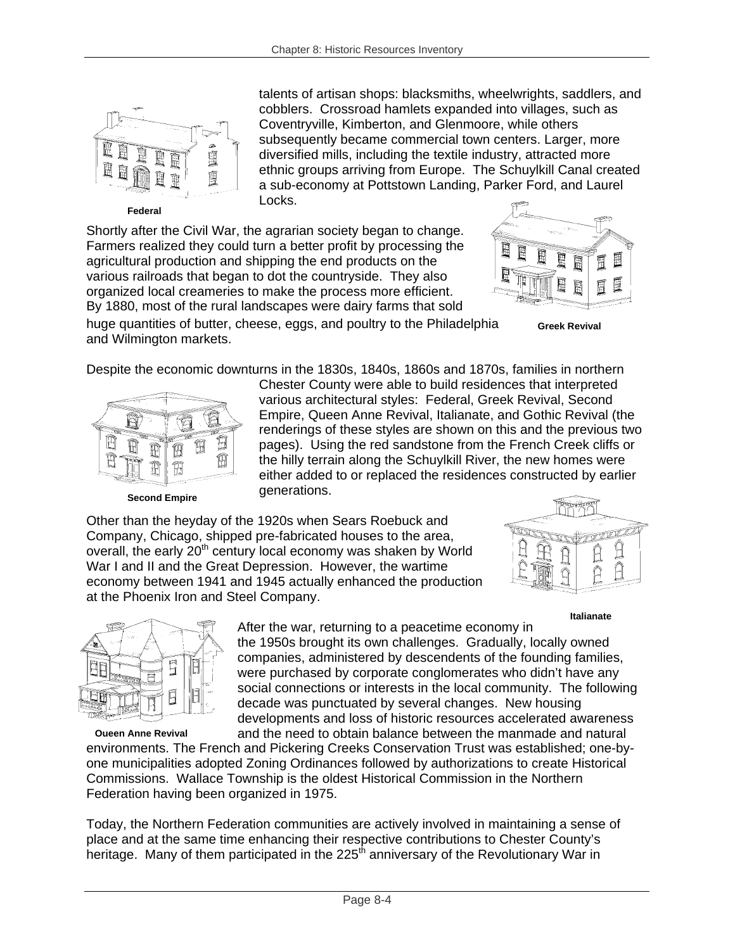

**Federal** 

talents of artisan shops: blacksmiths, wheelwrights, saddlers, and cobblers. Crossroad hamlets expanded into villages, such as Coventryville, Kimberton, and Glenmoore, while others subsequently became commercial town centers. Larger, more diversified mills, including the textile industry, attracted more ethnic groups arriving from Europe. The Schuylkill Canal created a sub-economy at Pottstown Landing, Parker Ford, and Laurel Locks.

Shortly after the Civil War, the agrarian society began to change. Farmers realized they could turn a better profit by processing the agricultural production and shipping the end products on the various railroads that began to dot the countryside. They also organized local creameries to make the process more efficient. By 1880, most of the rural landscapes were dairy farms that sold



**Greek Revival** 

huge quantities of butter, cheese, eggs, and poultry to the Philadelphia and Wilmington markets.

Despite the economic downturns in the 1830s, 1840s, 1860s and 1870s, families in northern



**Second Empire** 

Chester County were able to build residences that interpreted various architectural styles: Federal, Greek Revival, Second Empire, Queen Anne Revival, Italianate, and Gothic Revival (the renderings of these styles are shown on this and the previous two pages). Using the red sandstone from the French Creek cliffs or the hilly terrain along the Schuylkill River, the new homes were either added to or replaced the residences constructed by earlier generations.

Other than the heyday of the 1920s when Sears Roebuck and Company, Chicago, shipped pre-fabricated houses to the area, overall, the early 20<sup>th</sup> century local economy was shaken by World War I and II and the Great Depression. However, the wartime economy between 1941 and 1945 actually enhanced the production at the Phoenix Iron and Steel Company.



**Italianate** 



**Queen Anne Revival**

After the war, returning to a peacetime economy in

the 1950s brought its own challenges. Gradually, locally owned companies, administered by descendents of the founding families, were purchased by corporate conglomerates who didn't have any social connections or interests in the local community. The following decade was punctuated by several changes. New housing developments and loss of historic resources accelerated awareness and the need to obtain balance between the manmade and natural

environments. The French and Pickering Creeks Conservation Trust was established; one-byone municipalities adopted Zoning Ordinances followed by authorizations to create Historical Commissions. Wallace Township is the oldest Historical Commission in the Northern Federation having been organized in 1975.

Today, the Northern Federation communities are actively involved in maintaining a sense of place and at the same time enhancing their respective contributions to Chester County's heritage. Many of them participated in the 225<sup>th</sup> anniversary of the Revolutionary War in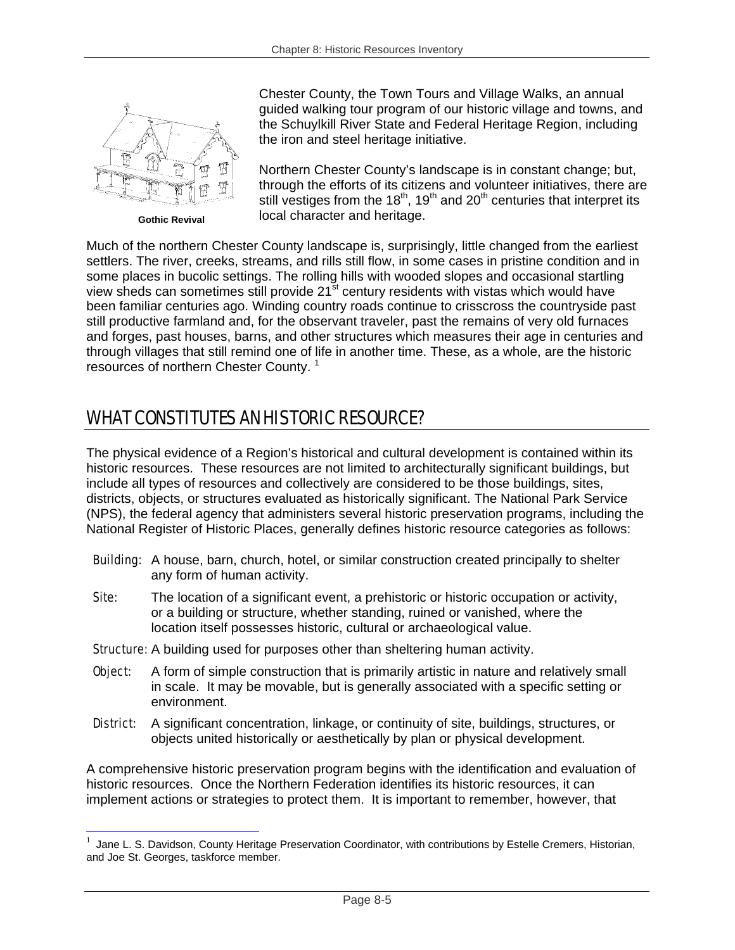

**Gothic Revival** 

1

Chester County, the Town Tours and Village Walks, an annual guided walking tour program of our historic village and towns, and the Schuylkill River State and Federal Heritage Region, including the iron and steel heritage initiative.

Northern Chester County's landscape is in constant change; but, through the efforts of its citizens and volunteer initiatives, there are still vestiges from the  $18<sup>th</sup>$ ,  $19<sup>th</sup>$  and  $20<sup>th</sup>$  centuries that interpret its local character and heritage.

Much of the northern Chester County landscape is, surprisingly, little changed from the earliest settlers. The river, creeks, streams, and rills still flow, in some cases in pristine condition and in some places in bucolic settings. The rolling hills with wooded slopes and occasional startling view sheds can sometimes still provide 21<sup>st</sup> century residents with vistas which would have been familiar centuries ago. Winding country roads continue to crisscross the countryside past still productive farmland and, for the observant traveler, past the remains of very old furnaces and forges, past houses, barns, and other structures which measures their age in centuries and through villages that still remind one of life in another time. These, as a whole, are the historic resources of northern Chester County. <sup>1</sup>

# WHAT CONSTITUTES AN HISTORIC RESOURCE?

The physical evidence of a Region's historical and cultural development is contained within its historic resources. These resources are not limited to architecturally significant buildings, but include all types of resources and collectively are considered to be those buildings, sites, districts, objects, or structures evaluated as historically significant. The National Park Service (NPS), the federal agency that administers several historic preservation programs, including the National Register of Historic Places, generally defines historic resource categories as follows:

- **Building:** A house, barn, church, hotel, or similar construction created principally to shelter any form of human activity.
- Site: The location of a significant event, a prehistoric or historic occupation or activity, or a building or structure, whether standing, ruined or vanished, where the location itself possesses historic, cultural or archaeological value.
- **Structure:** A building used for purposes other than sheltering human activity.
- **Object:** A form of simple construction that is primarily artistic in nature and relatively small in scale. It may be movable, but is generally associated with a specific setting or environment.
- **District:** A significant concentration, linkage, or continuity of site, buildings, structures, or objects united historically or aesthetically by plan or physical development.

A comprehensive historic preservation program begins with the identification and evaluation of historic resources. Once the Northern Federation identifies its historic resources, it can implement actions or strategies to protect them. It is important to remember, however, that

Jane L. S. Davidson, County Heritage Preservation Coordinator, with contributions by Estelle Cremers, Historian, and Joe St. Georges, taskforce member.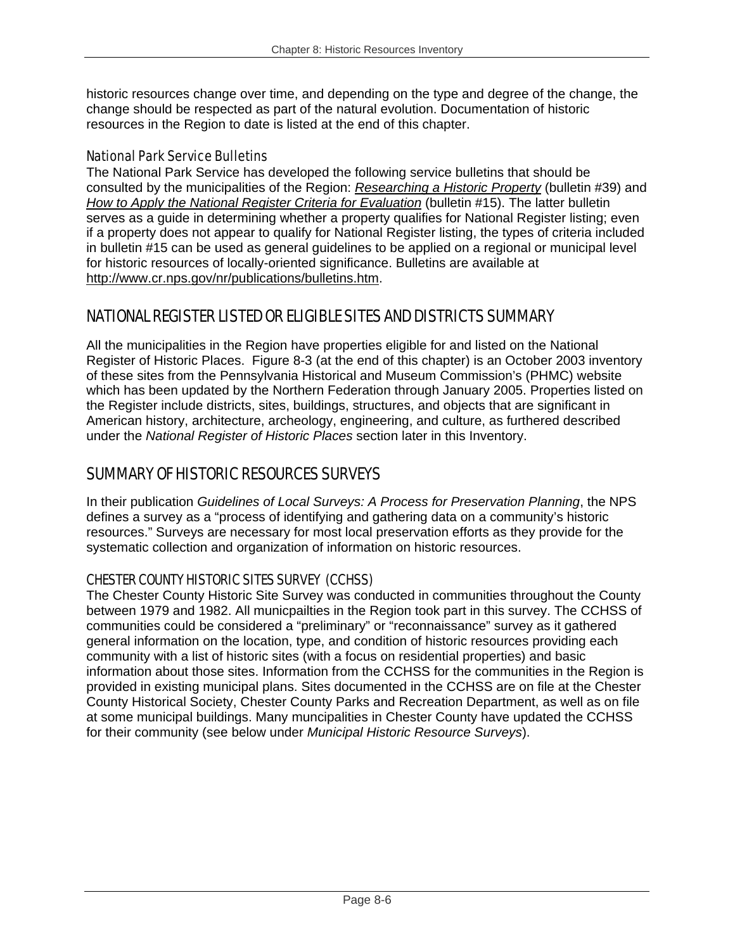historic resources change over time, and depending on the type and degree of the change, the change should be respected as part of the natural evolution. Documentation of historic resources in the Region to date is listed at the end of this chapter.

## National Park Service Bulletins

The National Park Service has developed the following service bulletins that should be consulted by the municipalities of the Region: *Researching a Historic Property* (bulletin #39) and *How to Apply the National Register Criteria for Evaluation* (bulletin #15). The latter bulletin serves as a guide in determining whether a property qualifies for National Register listing; even if a property does not appear to qualify for National Register listing, the types of criteria included in bulletin #15 can be used as general guidelines to be applied on a regional or municipal level for historic resources of locally-oriented significance. Bulletins are available at http://www.cr.nps.gov/nr/publications/bulletins.htm.

# NATIONAL REGISTER LISTED OR ELIGIBLE SITES AND DISTRICTS SUMMARY

All the municipalities in the Region have properties eligible for and listed on the National Register of Historic Places. Figure 8-3 (at the end of this chapter) is an October 2003 inventory of these sites from the Pennsylvania Historical and Museum Commission's (PHMC) website which has been updated by the Northern Federation through January 2005. Properties listed on the Register include districts, sites, buildings, structures, and objects that are significant in American history, architecture, archeology, engineering, and culture, as furthered described under the *National Register of Historic Places* section later in this Inventory.

# SUMMARY OF HISTORIC RESOURCES SURVEYS

In their publication *Guidelines of Local Surveys: A Process for Preservation Planning*, the NPS defines a survey as a "process of identifying and gathering data on a community's historic resources." Surveys are necessary for most local preservation efforts as they provide for the systematic collection and organization of information on historic resources.

## CHESTER COUNTY HISTORIC SITES SURVEY (CCHSS)

The Chester County Historic Site Survey was conducted in communities throughout the County between 1979 and 1982. All municpailties in the Region took part in this survey. The CCHSS of communities could be considered a "preliminary" or "reconnaissance" survey as it gathered general information on the location, type, and condition of historic resources providing each community with a list of historic sites (with a focus on residential properties) and basic information about those sites. Information from the CCHSS for the communities in the Region is provided in existing municipal plans. Sites documented in the CCHSS are on file at the Chester County Historical Society, Chester County Parks and Recreation Department, as well as on file at some municipal buildings. Many muncipalities in Chester County have updated the CCHSS for their community (see below under *Municipal Historic Resource Surveys*).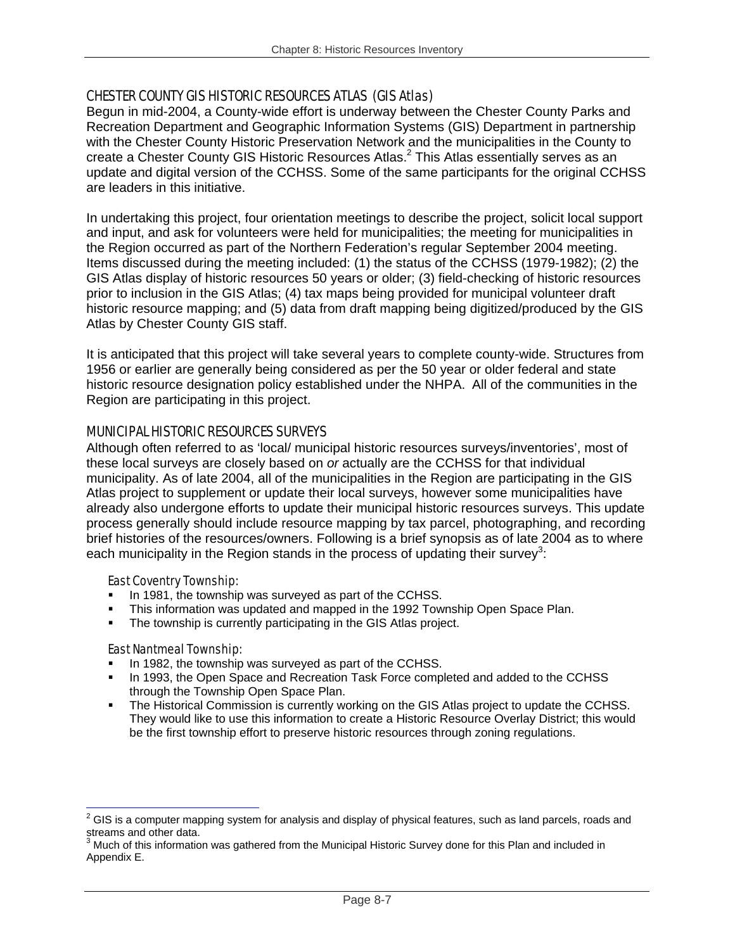## CHESTER COUNTY GIS HISTORIC RESOURCES ATLAS (GIS Atlas)

Begun in mid-2004, a County-wide effort is underway between the Chester County Parks and Recreation Department and Geographic Information Systems (GIS) Department in partnership with the Chester County Historic Preservation Network and the municipalities in the County to create a Chester County GIS Historic Resources Atlas.<sup>2</sup> This Atlas essentially serves as an update and digital version of the CCHSS. Some of the same participants for the original CCHSS are leaders in this initiative.

In undertaking this project, four orientation meetings to describe the project, solicit local support and input, and ask for volunteers were held for municipalities; the meeting for municipalities in the Region occurred as part of the Northern Federation's regular September 2004 meeting. Items discussed during the meeting included: (1) the status of the CCHSS (1979-1982); (2) the GIS Atlas display of historic resources 50 years or older; (3) field-checking of historic resources prior to inclusion in the GIS Atlas; (4) tax maps being provided for municipal volunteer draft historic resource mapping; and (5) data from draft mapping being digitized/produced by the GIS Atlas by Chester County GIS staff.

It is anticipated that this project will take several years to complete county-wide. Structures from 1956 or earlier are generally being considered as per the 50 year or older federal and state historic resource designation policy established under the NHPA. All of the communities in the Region are participating in this project.

## MUNICIPAL HISTORIC RESOURCES SURVEYS

Although often referred to as 'local/ municipal historic resources surveys/inventories', most of these local surveys are closely based on *or* actually are the CCHSS for that individual municipality. As of late 2004, all of the municipalities in the Region are participating in the GIS Atlas project to supplement or update their local surveys, however some municipalities have already also undergone efforts to update their municipal historic resources surveys. This update process generally should include resource mapping by tax parcel, photographing, and recording brief histories of the resources/owners. Following is a brief synopsis as of late 2004 as to where each municipality in the Region stands in the process of updating their survey<sup>3</sup>:

#### East Coventry Township:

- In 1981, the township was surveyed as part of the CCHSS.
- This information was updated and mapped in the 1992 Township Open Space Plan.
- The township is currently participating in the GIS Atlas project.

#### East Nantmeal Township:

1

- In 1982, the township was surveyed as part of the CCHSS.
- In 1993, the Open Space and Recreation Task Force completed and added to the CCHSS through the Township Open Space Plan.
- The Historical Commission is currently working on the GIS Atlas project to update the CCHSS. They would like to use this information to create a Historic Resource Overlay District; this would be the first township effort to preserve historic resources through zoning regulations.

 $2$  GIS is a computer mapping system for analysis and display of physical features, such as land parcels, roads and streams and other data.<br><sup>3</sup> Much of this information was gathered from the Municipal Historic Survey done for this Plan and included in

Appendix E.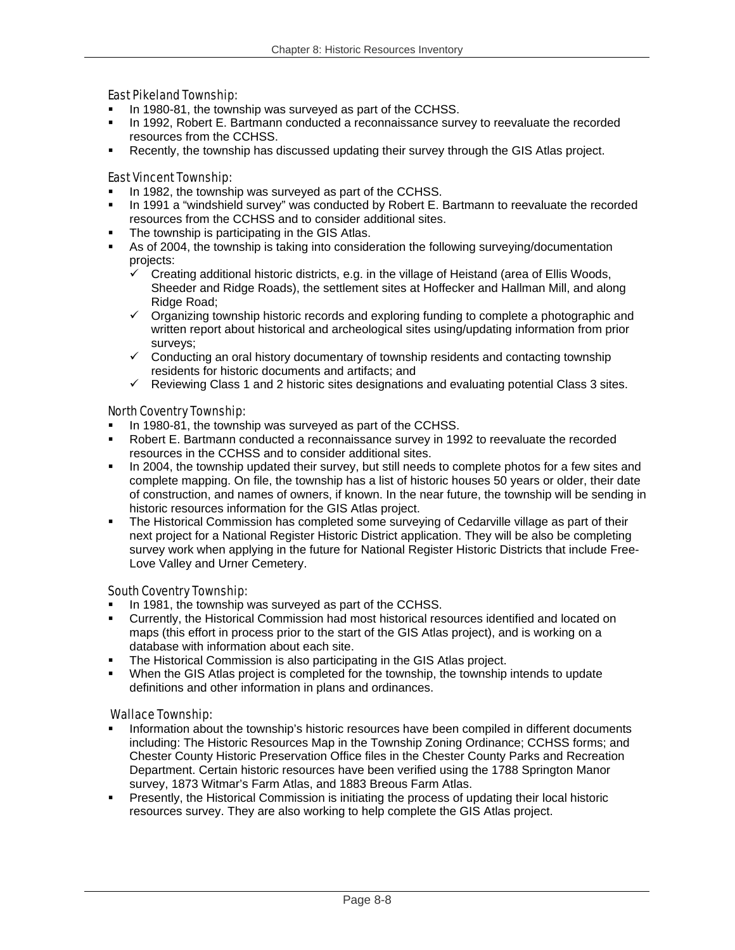### East Pikeland Township:

- In 1980-81, the township was surveyed as part of the CCHSS.
- In 1992, Robert E. Bartmann conducted a reconnaissance survey to reevaluate the recorded resources from the CCHSS.
- Recently, the township has discussed updating their survey through the GIS Atlas project.

#### East Vincent Township:

- In 1982, the township was surveyed as part of the CCHSS.
- In 1991 a "windshield survey" was conducted by Robert E. Bartmann to reevaluate the recorded resources from the CCHSS and to consider additional sites.
- The township is participating in the GIS Atlas.
- As of 2004, the township is taking into consideration the following surveying/documentation projects:
	- $\checkmark$  Creating additional historic districts, e.g. in the village of Heistand (area of Ellis Woods, Sheeder and Ridge Roads), the settlement sites at Hoffecker and Hallman Mill, and along Ridge Road;
	- $\checkmark$  Organizing township historic records and exploring funding to complete a photographic and written report about historical and archeological sites using/updating information from prior surveys;
	- $\checkmark$  Conducting an oral history documentary of township residents and contacting township residents for historic documents and artifacts; and
	- $\checkmark$  Reviewing Class 1 and 2 historic sites designations and evaluating potential Class 3 sites.

## North Coventry Township:

- In 1980-81, the township was surveyed as part of the CCHSS.
- Robert E. Bartmann conducted a reconnaissance survey in 1992 to reevaluate the recorded resources in the CCHSS and to consider additional sites.
- In 2004, the township updated their survey, but still needs to complete photos for a few sites and complete mapping. On file, the township has a list of historic houses 50 years or older, their date of construction, and names of owners, if known. In the near future, the township will be sending in historic resources information for the GIS Atlas project.
- The Historical Commission has completed some surveying of Cedarville village as part of their next project for a National Register Historic District application. They will be also be completing survey work when applying in the future for National Register Historic Districts that include Free-Love Valley and Urner Cemetery.

## South Coventry Township:

- In 1981, the township was surveyed as part of the CCHSS.
- Currently, the Historical Commission had most historical resources identified and located on maps (this effort in process prior to the start of the GIS Atlas project), and is working on a database with information about each site.
- **The Historical Commission is also participating in the GIS Atlas project.**
- When the GIS Atlas project is completed for the township, the township intends to update definitions and other information in plans and ordinances.

#### Wallace Township:

- **Information about the township's historic resources have been compiled in different documents** including: The Historic Resources Map in the Township Zoning Ordinance; CCHSS forms; and Chester County Historic Preservation Office files in the Chester County Parks and Recreation Department. Certain historic resources have been verified using the 1788 Springton Manor survey, 1873 Witmar's Farm Atlas, and 1883 Breous Farm Atlas.
- Presently, the Historical Commission is initiating the process of updating their local historic resources survey. They are also working to help complete the GIS Atlas project.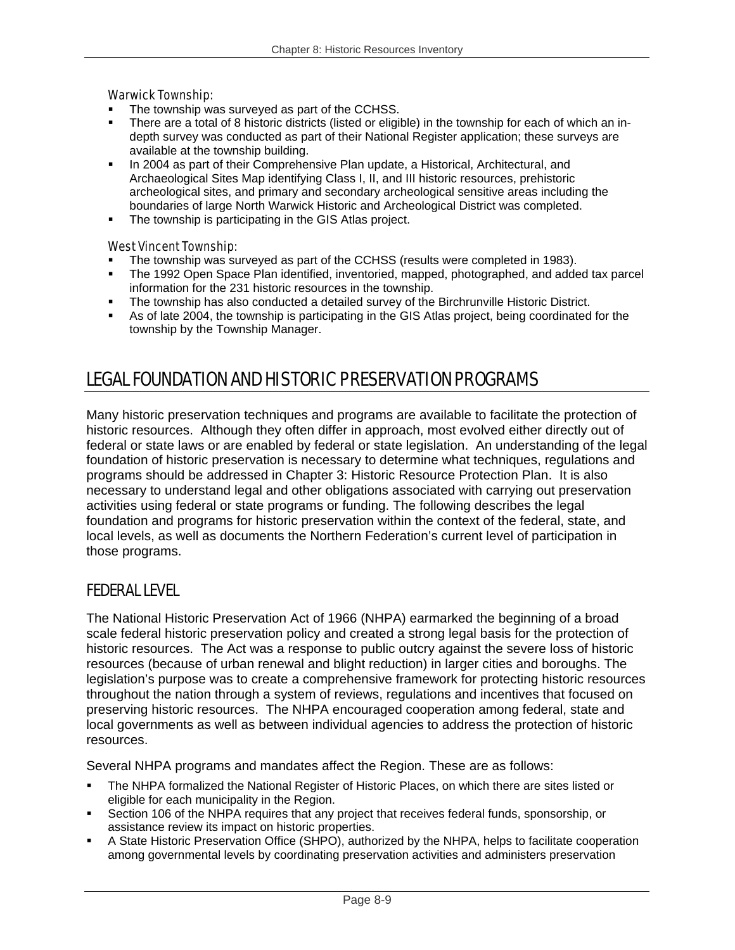### Warwick Township:

- The township was surveyed as part of the CCHSS.
- There are a total of 8 historic districts (listed or eligible) in the township for each of which an indepth survey was conducted as part of their National Register application; these surveys are available at the township building.
- In 2004 as part of their Comprehensive Plan update, a Historical, Architectural, and Archaeological Sites Map identifying Class I, II, and III historic resources, prehistoric archeological sites, and primary and secondary archeological sensitive areas including the boundaries of large North Warwick Historic and Archeological District was completed.
- The township is participating in the GIS Atlas project.

## West Vincent Township:

- The township was surveyed as part of the CCHSS (results were completed in 1983).
- The 1992 Open Space Plan identified, inventoried, mapped, photographed, and added tax parcel information for the 231 historic resources in the township.
- The township has also conducted a detailed survey of the Birchrunville Historic District.
- As of late 2004, the township is participating in the GIS Atlas project, being coordinated for the township by the Township Manager.

# LEGAL FOUNDATION AND HISTORIC PRESERVATION PROGRAMS

Many historic preservation techniques and programs are available to facilitate the protection of historic resources. Although they often differ in approach, most evolved either directly out of federal or state laws or are enabled by federal or state legislation. An understanding of the legal foundation of historic preservation is necessary to determine what techniques, regulations and programs should be addressed in Chapter 3: Historic Resource Protection Plan. It is also necessary to understand legal and other obligations associated with carrying out preservation activities using federal or state programs or funding. The following describes the legal foundation and programs for historic preservation within the context of the federal, state, and local levels, as well as documents the Northern Federation's current level of participation in those programs.

## FEDERAL LEVEL

The National Historic Preservation Act of 1966 (NHPA) earmarked the beginning of a broad scale federal historic preservation policy and created a strong legal basis for the protection of historic resources. The Act was a response to public outcry against the severe loss of historic resources (because of urban renewal and blight reduction) in larger cities and boroughs. The legislation's purpose was to create a comprehensive framework for protecting historic resources throughout the nation through a system of reviews, regulations and incentives that focused on preserving historic resources. The NHPA encouraged cooperation among federal, state and local governments as well as between individual agencies to address the protection of historic resources.

Several NHPA programs and mandates affect the Region. These are as follows:

- The NHPA formalized the National Register of Historic Places, on which there are sites listed or eligible for each municipality in the Region.
- Section 106 of the NHPA requires that any project that receives federal funds, sponsorship, or assistance review its impact on historic properties.
- A State Historic Preservation Office (SHPO), authorized by the NHPA, helps to facilitate cooperation among governmental levels by coordinating preservation activities and administers preservation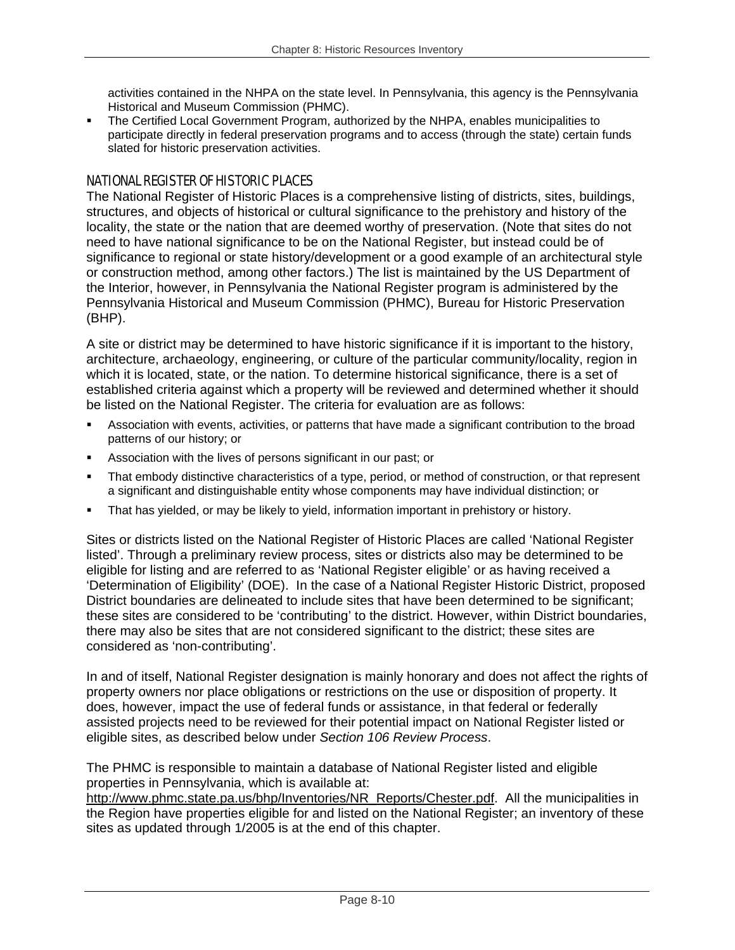activities contained in the NHPA on the state level. In Pennsylvania, this agency is the Pennsylvania Historical and Museum Commission (PHMC).

 The Certified Local Government Program, authorized by the NHPA, enables municipalities to participate directly in federal preservation programs and to access (through the state) certain funds slated for historic preservation activities.

## NATIONAL REGISTER OF HISTORIC PLACES

The National Register of Historic Places is a comprehensive listing of districts, sites, buildings, structures, and objects of historical or cultural significance to the prehistory and history of the locality, the state or the nation that are deemed worthy of preservation. (Note that sites do not need to have national significance to be on the National Register, but instead could be of significance to regional or state history/development or a good example of an architectural style or construction method, among other factors.) The list is maintained by the US Department of the Interior, however, in Pennsylvania the National Register program is administered by the Pennsylvania Historical and Museum Commission (PHMC), Bureau for Historic Preservation (BHP).

A site or district may be determined to have historic significance if it is important to the history, architecture, archaeology, engineering, or culture of the particular community/locality, region in which it is located, state, or the nation. To determine historical significance, there is a set of established criteria against which a property will be reviewed and determined whether it should be listed on the National Register. The criteria for evaluation are as follows:

- Association with events, activities, or patterns that have made a significant contribution to the broad patterns of our history; or
- Association with the lives of persons significant in our past; or
- That embody distinctive characteristics of a type, period, or method of construction, or that represent a significant and distinguishable entity whose components may have individual distinction; or
- That has yielded, or may be likely to yield, information important in prehistory or history.

Sites or districts listed on the National Register of Historic Places are called 'National Register listed'. Through a preliminary review process, sites or districts also may be determined to be eligible for listing and are referred to as 'National Register eligible' or as having received a 'Determination of Eligibility' (DOE). In the case of a National Register Historic District, proposed District boundaries are delineated to include sites that have been determined to be significant; these sites are considered to be 'contributing' to the district. However, within District boundaries, there may also be sites that are not considered significant to the district; these sites are considered as 'non-contributing'.

In and of itself, National Register designation is mainly honorary and does not affect the rights of property owners nor place obligations or restrictions on the use or disposition of property. It does, however, impact the use of federal funds or assistance, in that federal or federally assisted projects need to be reviewed for their potential impact on National Register listed or eligible sites, as described below under *Section 106 Review Process*.

The PHMC is responsible to maintain a database of National Register listed and eligible properties in Pennsylvania, which is available at:

http://www.phmc.state.pa.us/bhp/Inventories/NR\_Reports/Chester.pdf. All the municipalities in the Region have properties eligible for and listed on the National Register; an inventory of these sites as updated through 1/2005 is at the end of this chapter.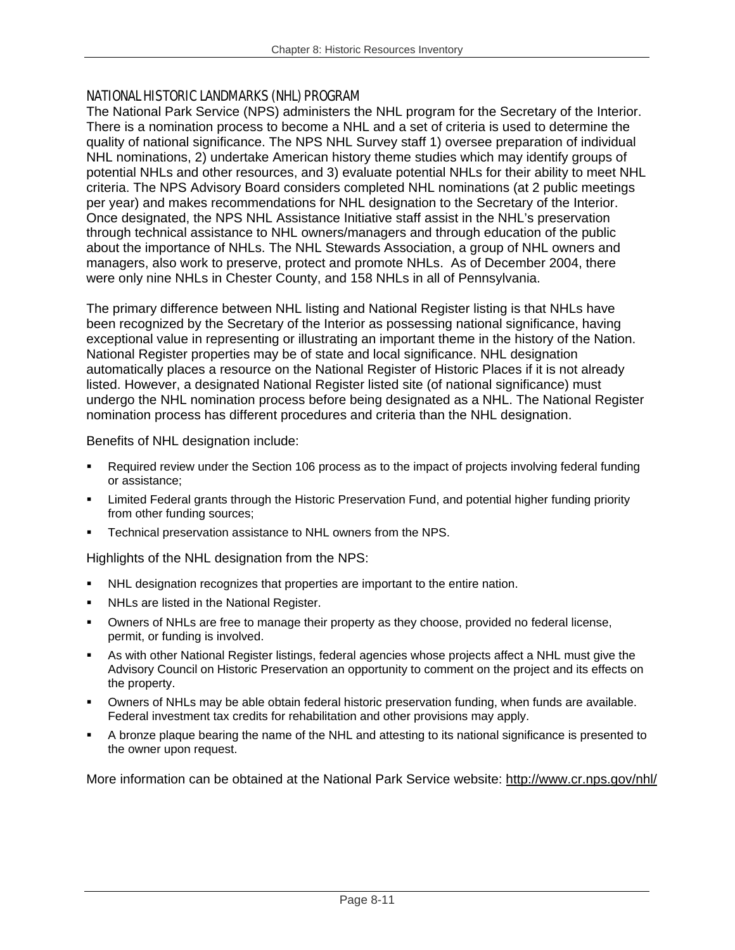## NATIONAL HISTORIC LANDMARKS (NHL) PROGRAM

The National Park Service (NPS) administers the NHL program for the Secretary of the Interior. There is a nomination process to become a NHL and a set of criteria is used to determine the quality of national significance. The NPS NHL Survey staff 1) oversee preparation of individual NHL nominations, 2) undertake American history theme studies which may identify groups of potential NHLs and other resources, and 3) evaluate potential NHLs for their ability to meet NHL criteria. The NPS Advisory Board considers completed NHL nominations (at 2 public meetings per year) and makes recommendations for NHL designation to the Secretary of the Interior. Once designated, the NPS NHL Assistance Initiative staff assist in the NHL's preservation through technical assistance to NHL owners/managers and through education of the public about the importance of NHLs. The NHL Stewards Association, a group of NHL owners and managers, also work to preserve, protect and promote NHLs. As of December 2004, there were only nine NHLs in Chester County, and 158 NHLs in all of Pennsylvania.

The primary difference between NHL listing and National Register listing is that NHLs have been recognized by the Secretary of the Interior as possessing national significance, having exceptional value in representing or illustrating an important theme in the history of the Nation. National Register properties may be of state and local significance. NHL designation automatically places a resource on the National Register of Historic Places if it is not already listed. However, a designated National Register listed site (of national significance) must undergo the NHL nomination process before being designated as a NHL. The National Register nomination process has different procedures and criteria than the NHL designation.

Benefits of NHL designation include:

- Required review under the Section 106 process as to the impact of projects involving federal funding or assistance;
- Limited Federal grants through the Historic Preservation Fund, and potential higher funding priority from other funding sources;
- Technical preservation assistance to NHL owners from the NPS.

Highlights of the NHL designation from the NPS:

- NHL designation recognizes that properties are important to the entire nation.
- **NHLs are listed in the National Register.**
- Owners of NHLs are free to manage their property as they choose, provided no federal license, permit, or funding is involved.
- As with other National Register listings, federal agencies whose projects affect a NHL must give the Advisory Council on Historic Preservation an opportunity to comment on the project and its effects on the property.
- Owners of NHLs may be able obtain federal historic preservation funding, when funds are available. Federal investment tax credits for rehabilitation and other provisions may apply.
- A bronze plaque bearing the name of the NHL and attesting to its national significance is presented to the owner upon request.

More information can be obtained at the National Park Service website: http://www.cr.nps.gov/nhl/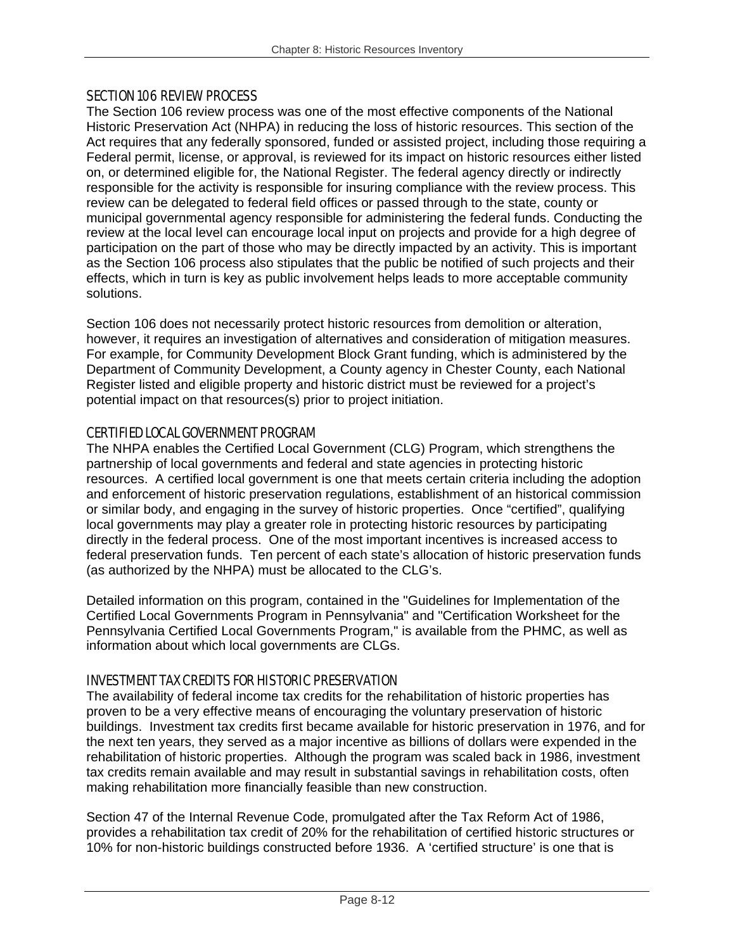## SECTION 106 REVIEW PROCESS

The Section 106 review process was one of the most effective components of the National Historic Preservation Act (NHPA) in reducing the loss of historic resources. This section of the Act requires that any federally sponsored, funded or assisted project, including those requiring a Federal permit, license, or approval, is reviewed for its impact on historic resources either listed on, or determined eligible for, the National Register. The federal agency directly or indirectly responsible for the activity is responsible for insuring compliance with the review process. This review can be delegated to federal field offices or passed through to the state, county or municipal governmental agency responsible for administering the federal funds. Conducting the review at the local level can encourage local input on projects and provide for a high degree of participation on the part of those who may be directly impacted by an activity. This is important as the Section 106 process also stipulates that the public be notified of such projects and their effects, which in turn is key as public involvement helps leads to more acceptable community solutions.

Section 106 does not necessarily protect historic resources from demolition or alteration, however, it requires an investigation of alternatives and consideration of mitigation measures. For example, for Community Development Block Grant funding, which is administered by the Department of Community Development, a County agency in Chester County, each National Register listed and eligible property and historic district must be reviewed for a project's potential impact on that resources(s) prior to project initiation.

## CERTIFIED LOCAL GOVERNMENT PROGRAM

The NHPA enables the Certified Local Government (CLG) Program, which strengthens the partnership of local governments and federal and state agencies in protecting historic resources. A certified local government is one that meets certain criteria including the adoption and enforcement of historic preservation regulations, establishment of an historical commission or similar body, and engaging in the survey of historic properties. Once "certified", qualifying local governments may play a greater role in protecting historic resources by participating directly in the federal process. One of the most important incentives is increased access to federal preservation funds. Ten percent of each state's allocation of historic preservation funds (as authorized by the NHPA) must be allocated to the CLG's.

Detailed information on this program, contained in the "Guidelines for Implementation of the Certified Local Governments Program in Pennsylvania" and "Certification Worksheet for the Pennsylvania Certified Local Governments Program," is available from the PHMC, as well as information about which local governments are CLGs.

## INVESTMENT TAX CREDITS FOR HISTORIC PRESERVATION

The availability of federal income tax credits for the rehabilitation of historic properties has proven to be a very effective means of encouraging the voluntary preservation of historic buildings. Investment tax credits first became available for historic preservation in 1976, and for the next ten years, they served as a major incentive as billions of dollars were expended in the rehabilitation of historic properties. Although the program was scaled back in 1986, investment tax credits remain available and may result in substantial savings in rehabilitation costs, often making rehabilitation more financially feasible than new construction.

Section 47 of the Internal Revenue Code, promulgated after the Tax Reform Act of 1986, provides a rehabilitation tax credit of 20% for the rehabilitation of certified historic structures or 10% for non-historic buildings constructed before 1936. A 'certified structure' is one that is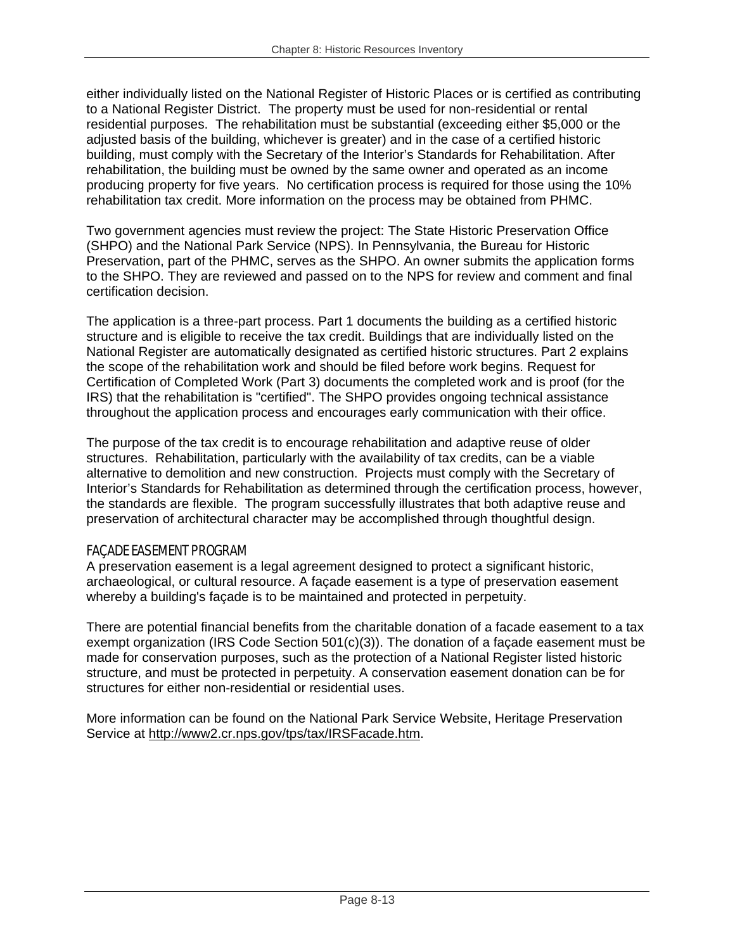either individually listed on the National Register of Historic Places or is certified as contributing to a National Register District. The property must be used for non-residential or rental residential purposes. The rehabilitation must be substantial (exceeding either \$5,000 or the adjusted basis of the building, whichever is greater) and in the case of a certified historic building, must comply with the Secretary of the Interior's Standards for Rehabilitation. After rehabilitation, the building must be owned by the same owner and operated as an income producing property for five years. No certification process is required for those using the 10% rehabilitation tax credit. More information on the process may be obtained from PHMC.

Two government agencies must review the project: The State Historic Preservation Office (SHPO) and the National Park Service (NPS). In Pennsylvania, the Bureau for Historic Preservation, part of the PHMC, serves as the SHPO. An owner submits the application forms to the SHPO. They are reviewed and passed on to the NPS for review and comment and final certification decision.

The application is a three-part process. Part 1 documents the building as a certified historic structure and is eligible to receive the tax credit. Buildings that are individually listed on the National Register are automatically designated as certified historic structures. Part 2 explains the scope of the rehabilitation work and should be filed before work begins. Request for Certification of Completed Work (Part 3) documents the completed work and is proof (for the IRS) that the rehabilitation is "certified". The SHPO provides ongoing technical assistance throughout the application process and encourages early communication with their office.

The purpose of the tax credit is to encourage rehabilitation and adaptive reuse of older structures. Rehabilitation, particularly with the availability of tax credits, can be a viable alternative to demolition and new construction. Projects must comply with the Secretary of Interior's Standards for Rehabilitation as determined through the certification process, however, the standards are flexible. The program successfully illustrates that both adaptive reuse and preservation of architectural character may be accomplished through thoughtful design.

## FAÇADE EASEMENT PROGRAM

A preservation easement is a legal agreement designed to protect a significant historic, archaeological, or cultural resource. A façade easement is a type of preservation easement whereby a building's façade is to be maintained and protected in perpetuity.

There are potential financial benefits from the charitable donation of a facade easement to a tax exempt organization (IRS Code Section 501(c)(3)). The donation of a façade easement must be made for conservation purposes, such as the protection of a National Register listed historic structure, and must be protected in perpetuity. A conservation easement donation can be for structures for either non-residential or residential uses.

More information can be found on the National Park Service Website, Heritage Preservation Service at http://www2.cr.nps.gov/tps/tax/IRSFacade.htm.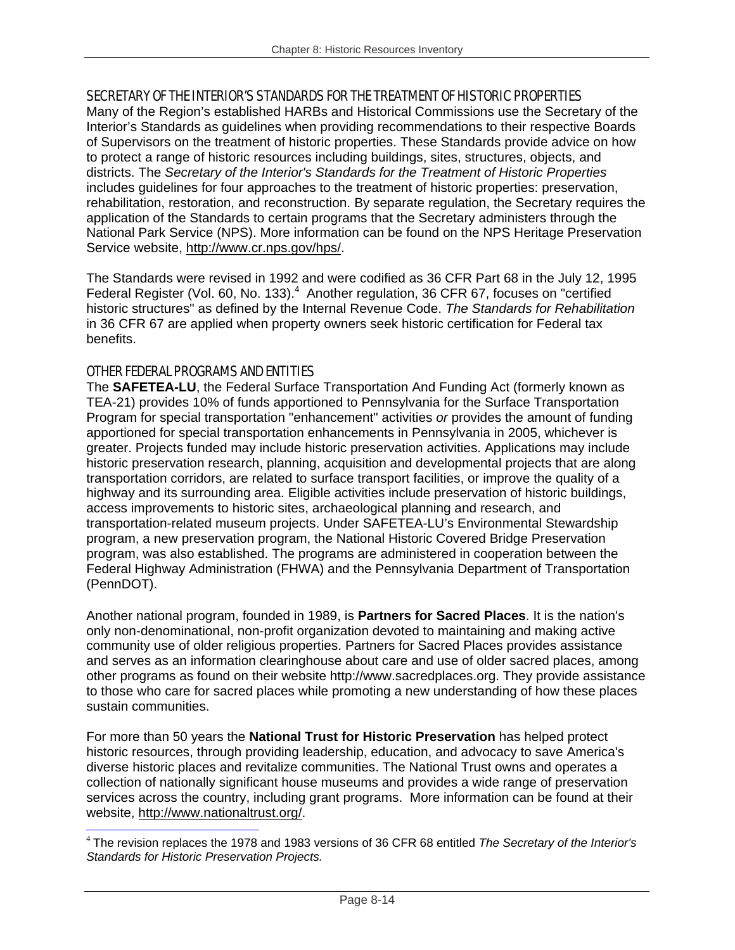## SECRETARY OF THE INTERIOR'S STANDARDS FOR THE TREATMENT OF HISTORIC PROPERTIES

Many of the Region's established HARBs and Historical Commissions use the Secretary of the Interior's Standards as guidelines when providing recommendations to their respective Boards of Supervisors on the treatment of historic properties. These Standards provide advice on how to protect a range of historic resources including buildings, sites, structures, objects, and districts. The *Secretary of the Interior's Standards for the Treatment of Historic Properties* includes guidelines for four approaches to the treatment of historic properties: preservation, rehabilitation, restoration, and reconstruction. By separate regulation, the Secretary requires the application of the Standards to certain programs that the Secretary administers through the National Park Service (NPS). More information can be found on the NPS Heritage Preservation Service website, http://www.cr.nps.gov/hps/.

The Standards were revised in 1992 and were codified as 36 CFR Part 68 in the July 12, 1995 Federal Register (Vol. 60, No. 133).<sup>4</sup> Another regulation, 36 CFR 67, focuses on "certified historic structures" as defined by the Internal Revenue Code. *The Standards for Rehabilitation* in 36 CFR 67 are applied when property owners seek historic certification for Federal tax benefits.

## OTHER FEDERAL PROGRAMS AND ENTITIES

The **SAFETEA-LU**, the Federal Surface Transportation And Funding Act (formerly known as TEA-21) provides 10% of funds apportioned to Pennsylvania for the Surface Transportation Program for special transportation "enhancement" activities *or* provides the amount of funding apportioned for special transportation enhancements in Pennsylvania in 2005, whichever is greater. Projects funded may include historic preservation activities. Applications may include historic preservation research, planning, acquisition and developmental projects that are along transportation corridors, are related to surface transport facilities, or improve the quality of a highway and its surrounding area. Eligible activities include preservation of historic buildings, access improvements to historic sites, archaeological planning and research, and transportation-related museum projects. Under SAFETEA-LU's Environmental Stewardship program, a new preservation program, the National Historic Covered Bridge Preservation program, was also established. The programs are administered in cooperation between the Federal Highway Administration (FHWA) and the Pennsylvania Department of Transportation (PennDOT).

Another national program, founded in 1989, is **Partners for Sacred Places**. It is the nation's only non-denominational, non-profit organization devoted to maintaining and making active community use of older religious properties. Partners for Sacred Places provides assistance and serves as an information clearinghouse about care and use of older sacred places, among other programs as found on their website http://www.sacredplaces.org. They provide assistance to those who care for sacred places while promoting a new understanding of how these places sustain communities.

For more than 50 years the **National Trust for Historic Preservation** has helped protect historic resources, through providing leadership, education, and advocacy to save America's diverse historic places and revitalize communities. The National Trust owns and operates a collection of nationally significant house museums and provides a wide range of preservation services across the country, including grant programs. More information can be found at their website, http://www.nationaltrust.org/.

<sup>-</sup><sup>4</sup> The revision replaces the 1978 and 1983 versions of 36 CFR 68 entitled *The Secretary of the Interior's Standards for Historic Preservation Projects.*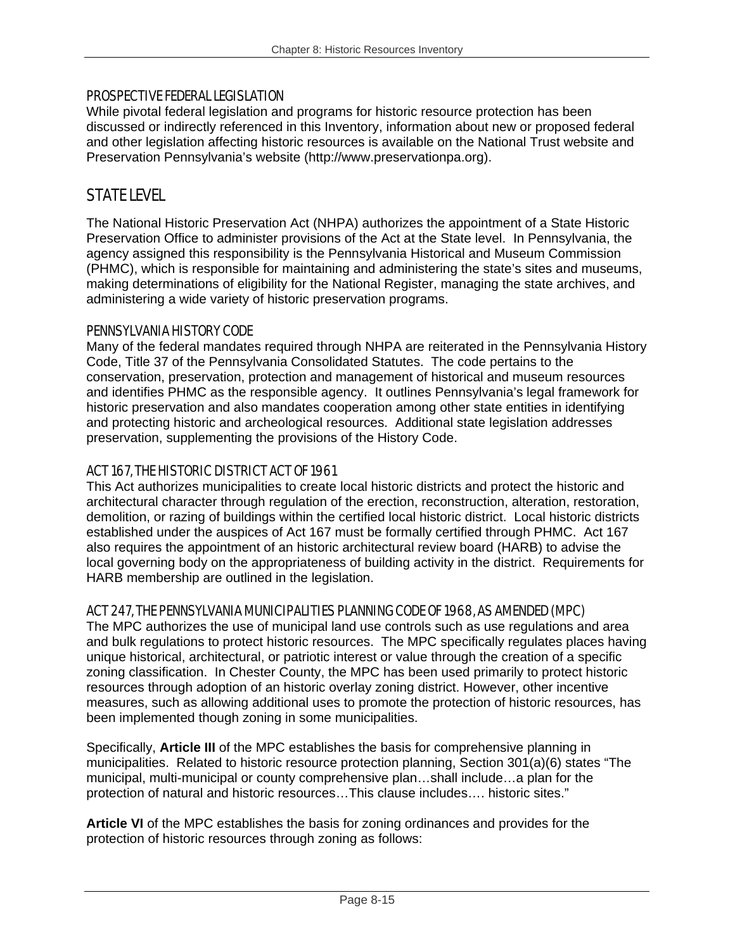### PROSPECTIVE FEDERAL LEGISLATION

While pivotal federal legislation and programs for historic resource protection has been discussed or indirectly referenced in this Inventory, information about new or proposed federal and other legislation affecting historic resources is available on the National Trust website and Preservation Pennsylvania's website (http://www.preservationpa.org).

## STATE LEVEL

The National Historic Preservation Act (NHPA) authorizes the appointment of a State Historic Preservation Office to administer provisions of the Act at the State level. In Pennsylvania, the agency assigned this responsibility is the Pennsylvania Historical and Museum Commission (PHMC), which is responsible for maintaining and administering the state's sites and museums, making determinations of eligibility for the National Register, managing the state archives, and administering a wide variety of historic preservation programs.

## PENNSYLVANIA HISTORY CODE

Many of the federal mandates required through NHPA are reiterated in the Pennsylvania History Code, Title 37 of the Pennsylvania Consolidated Statutes. The code pertains to the conservation, preservation, protection and management of historical and museum resources and identifies PHMC as the responsible agency. It outlines Pennsylvania's legal framework for historic preservation and also mandates cooperation among other state entities in identifying and protecting historic and archeological resources. Additional state legislation addresses preservation, supplementing the provisions of the History Code.

## ACT 167, THE HISTORIC DISTRICT ACT OF 1961

This Act authorizes municipalities to create local historic districts and protect the historic and architectural character through regulation of the erection, reconstruction, alteration, restoration, demolition, or razing of buildings within the certified local historic district. Local historic districts established under the auspices of Act 167 must be formally certified through PHMC. Act 167 also requires the appointment of an historic architectural review board (HARB) to advise the local governing body on the appropriateness of building activity in the district. Requirements for HARB membership are outlined in the legislation.

## ACT 247, THE PENNSYLVANIA MUNICIPALITIES PLANNING CODE OF 1968, AS AMENDED (MPC)

The MPC authorizes the use of municipal land use controls such as use regulations and area and bulk regulations to protect historic resources. The MPC specifically regulates places having unique historical, architectural, or patriotic interest or value through the creation of a specific zoning classification. In Chester County, the MPC has been used primarily to protect historic resources through adoption of an historic overlay zoning district. However, other incentive measures, such as allowing additional uses to promote the protection of historic resources, has been implemented though zoning in some municipalities.

Specifically, **Article III** of the MPC establishes the basis for comprehensive planning in municipalities. Related to historic resource protection planning, Section 301(a)(6) states "The municipal, multi-municipal or county comprehensive plan…shall include…a plan for the protection of natural and historic resources…This clause includes…. historic sites."

**Article VI** of the MPC establishes the basis for zoning ordinances and provides for the protection of historic resources through zoning as follows: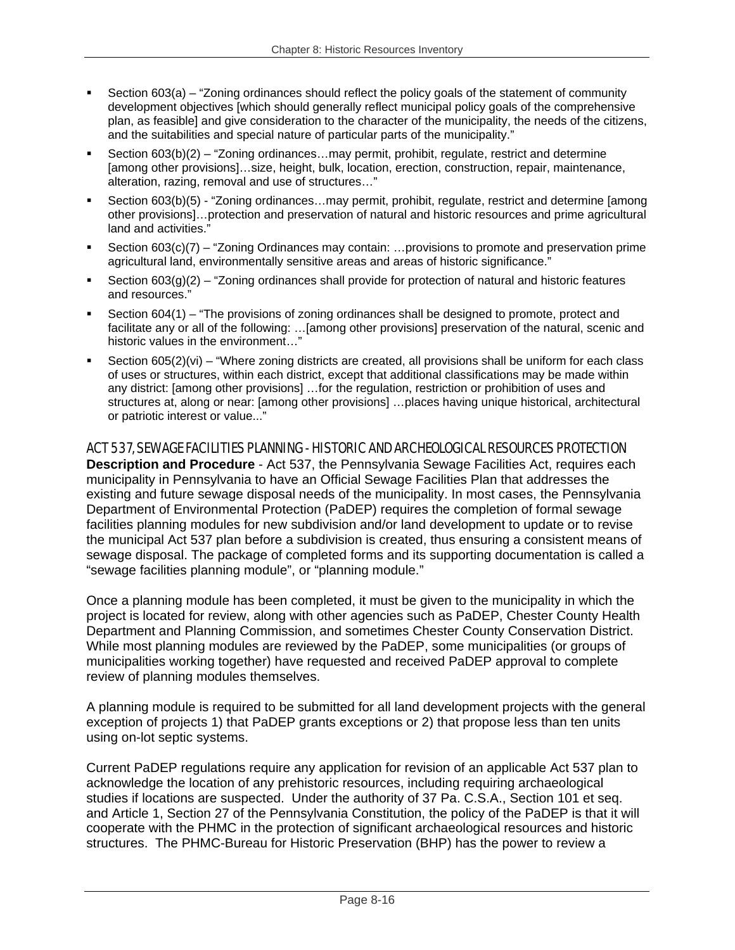- Section 603(a) "Zoning ordinances should reflect the policy goals of the statement of community development objectives [which should generally reflect municipal policy goals of the comprehensive plan, as feasible] and give consideration to the character of the municipality, the needs of the citizens, and the suitabilities and special nature of particular parts of the municipality."
- Section 603(b)(2) "Zoning ordinances…may permit, prohibit, regulate, restrict and determine [among other provisions]…size, height, bulk, location, erection, construction, repair, maintenance, alteration, razing, removal and use of structures…"
- Section 603(b)(5) "Zoning ordinances…may permit, prohibit, regulate, restrict and determine [among other provisions]…protection and preservation of natural and historic resources and prime agricultural land and activities."
- Section 603(c)(7) "Zoning Ordinances may contain: …provisions to promote and preservation prime agricultural land, environmentally sensitive areas and areas of historic significance."
- Section  $603(g)(2)$  "Zoning ordinances shall provide for protection of natural and historic features and resources."
- Section 604(1) "The provisions of zoning ordinances shall be designed to promote, protect and facilitate any or all of the following: …[among other provisions] preservation of the natural, scenic and historic values in the environment...
- Section 605(2)(vi) "Where zoning districts are created, all provisions shall be uniform for each class of uses or structures, within each district, except that additional classifications may be made within any district: [among other provisions] …for the regulation, restriction or prohibition of uses and structures at, along or near: [among other provisions] …places having unique historical, architectural or patriotic interest or value..."

## ACT 537, SEWAGE FACILITIES PLANNING - HISTORIC AND ARCHEOLOGICAL RESOURCES PROTECTION

**Description and Procedure** - Act 537, the Pennsylvania Sewage Facilities Act, requires each municipality in Pennsylvania to have an Official Sewage Facilities Plan that addresses the existing and future sewage disposal needs of the municipality. In most cases, the Pennsylvania Department of Environmental Protection (PaDEP) requires the completion of formal sewage facilities planning modules for new subdivision and/or land development to update or to revise the municipal Act 537 plan before a subdivision is created, thus ensuring a consistent means of sewage disposal. The package of completed forms and its supporting documentation is called a "sewage facilities planning module", or "planning module."

Once a planning module has been completed, it must be given to the municipality in which the project is located for review, along with other agencies such as PaDEP, Chester County Health Department and Planning Commission, and sometimes Chester County Conservation District. While most planning modules are reviewed by the PaDEP, some municipalities (or groups of municipalities working together) have requested and received PaDEP approval to complete review of planning modules themselves.

A planning module is required to be submitted for all land development projects with the general exception of projects 1) that PaDEP grants exceptions or 2) that propose less than ten units using on-lot septic systems.

Current PaDEP regulations require any application for revision of an applicable Act 537 plan to acknowledge the location of any prehistoric resources, including requiring archaeological studies if locations are suspected. Under the authority of 37 Pa. C.S.A., Section 101 et seq. and Article 1, Section 27 of the Pennsylvania Constitution, the policy of the PaDEP is that it will cooperate with the PHMC in the protection of significant archaeological resources and historic structures. The PHMC-Bureau for Historic Preservation (BHP) has the power to review a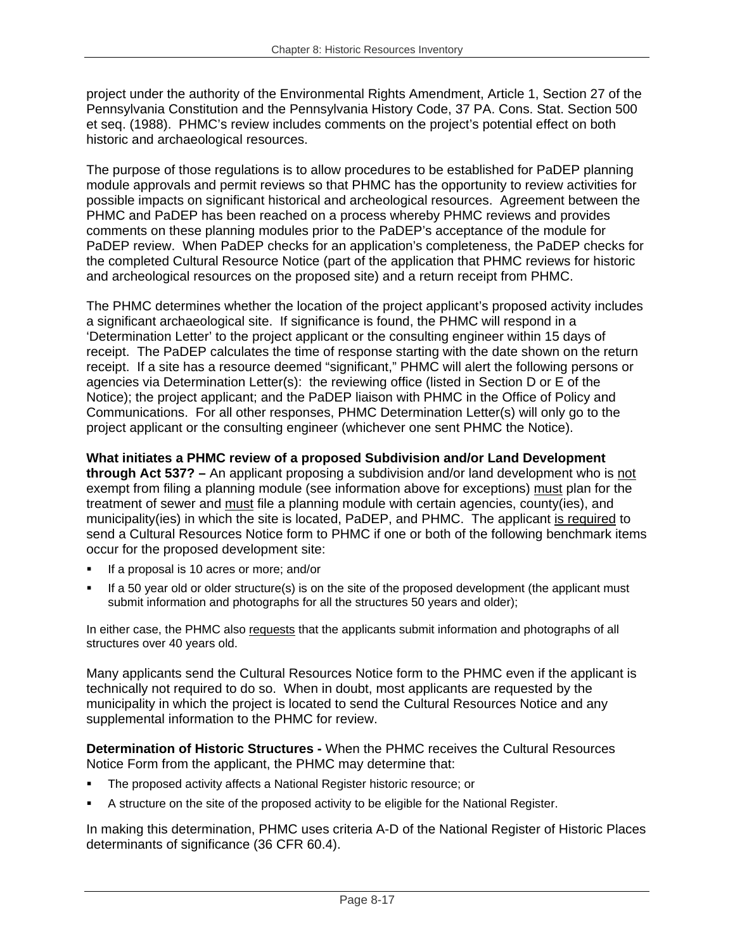project under the authority of the Environmental Rights Amendment, Article 1, Section 27 of the Pennsylvania Constitution and the Pennsylvania History Code, 37 PA. Cons. Stat. Section 500 et seq. (1988). PHMC's review includes comments on the project's potential effect on both historic and archaeological resources.

The purpose of those regulations is to allow procedures to be established for PaDEP planning module approvals and permit reviews so that PHMC has the opportunity to review activities for possible impacts on significant historical and archeological resources. Agreement between the PHMC and PaDEP has been reached on a process whereby PHMC reviews and provides comments on these planning modules prior to the PaDEP's acceptance of the module for PaDEP review. When PaDEP checks for an application's completeness, the PaDEP checks for the completed Cultural Resource Notice (part of the application that PHMC reviews for historic and archeological resources on the proposed site) and a return receipt from PHMC.

The PHMC determines whether the location of the project applicant's proposed activity includes a significant archaeological site. If significance is found, the PHMC will respond in a 'Determination Letter' to the project applicant or the consulting engineer within 15 days of receipt. The PaDEP calculates the time of response starting with the date shown on the return receipt. If a site has a resource deemed "significant," PHMC will alert the following persons or agencies via Determination Letter(s): the reviewing office (listed in Section D or E of the Notice); the project applicant; and the PaDEP liaison with PHMC in the Office of Policy and Communications. For all other responses, PHMC Determination Letter(s) will only go to the project applicant or the consulting engineer (whichever one sent PHMC the Notice).

**What initiates a PHMC review of a proposed Subdivision and/or Land Development through Act 537? –** An applicant proposing a subdivision and/or land development who is not exempt from filing a planning module (see information above for exceptions) must plan for the treatment of sewer and must file a planning module with certain agencies, county(ies), and municipality(ies) in which the site is located, PaDEP, and PHMC. The applicant is required to send a Cultural Resources Notice form to PHMC if one or both of the following benchmark items occur for the proposed development site:

- If a proposal is 10 acres or more; and/or
- If a 50 year old or older structure(s) is on the site of the proposed development (the applicant must submit information and photographs for all the structures 50 years and older);

In either case, the PHMC also requests that the applicants submit information and photographs of all structures over 40 years old.

Many applicants send the Cultural Resources Notice form to the PHMC even if the applicant is technically not required to do so. When in doubt, most applicants are requested by the municipality in which the project is located to send the Cultural Resources Notice and any supplemental information to the PHMC for review.

**Determination of Historic Structures -** When the PHMC receives the Cultural Resources Notice Form from the applicant, the PHMC may determine that:

- The proposed activity affects a National Register historic resource; or
- A structure on the site of the proposed activity to be eligible for the National Register.

In making this determination, PHMC uses criteria A-D of the National Register of Historic Places determinants of significance (36 CFR 60.4).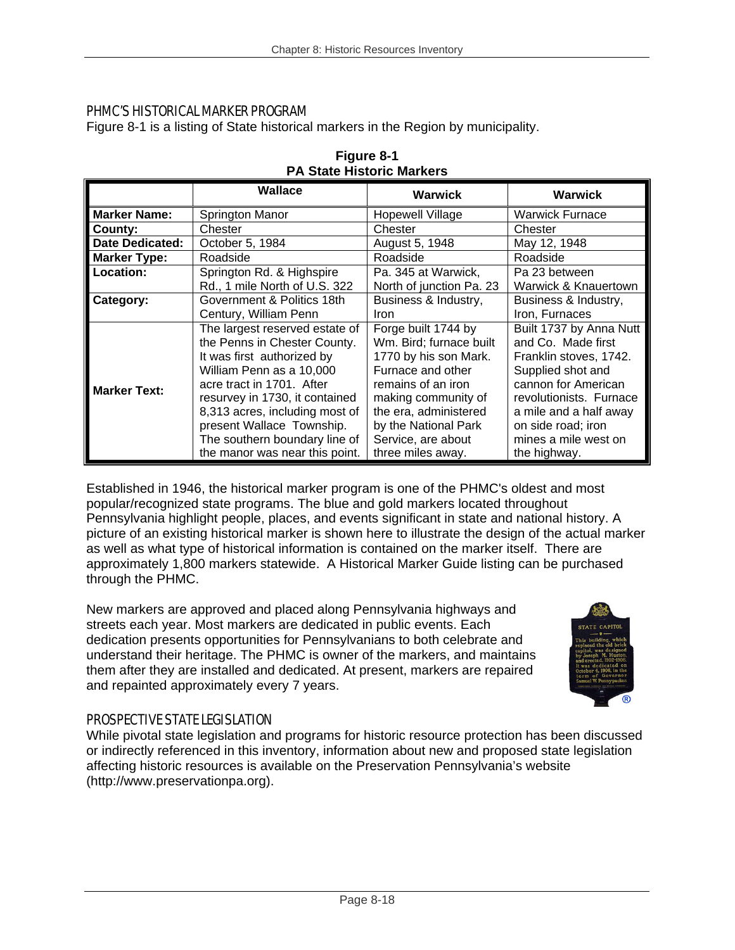## PHMC'S HISTORICAL MARKER PROGRAM

Figure 8-1 is a listing of State historical markers in the Region by municipality.

|                        | Wallace                        | <b>Warwick</b>           | <b>Warwick</b>          |  |
|------------------------|--------------------------------|--------------------------|-------------------------|--|
| <b>Marker Name:</b>    | Springton Manor                | <b>Hopewell Village</b>  | <b>Warwick Furnace</b>  |  |
| County:                | Chester                        | Chester                  | Chester                 |  |
| <b>Date Dedicated:</b> | October 5, 1984                | August 5, 1948           | May 12, 1948            |  |
| <b>Marker Type:</b>    | Roadside                       | Roadside                 | Roadside                |  |
| Location:              | Springton Rd. & Highspire      | Pa. 345 at Warwick,      | Pa 23 between           |  |
|                        | Rd., 1 mile North of U.S. 322  | North of junction Pa. 23 | Warwick & Knauertown    |  |
| Category:              | Government & Politics 18th     | Business & Industry,     | Business & Industry,    |  |
|                        | Century, William Penn          | <i>Iron</i>              | Iron, Furnaces          |  |
|                        | The largest reserved estate of | Forge built 1744 by      | Built 1737 by Anna Nutt |  |
|                        | the Penns in Chester County.   | Wm. Bird; furnace built  | and Co. Made first      |  |
|                        | It was first authorized by     | 1770 by his son Mark.    | Franklin stoves, 1742.  |  |
|                        | William Penn as a 10,000       | Furnace and other        | Supplied shot and       |  |
| <b>Marker Text:</b>    | acre tract in 1701. After      | remains of an iron       | cannon for American     |  |
|                        | resurvey in 1730, it contained | making community of      | revolutionists. Furnace |  |
|                        | 8,313 acres, including most of | the era, administered    | a mile and a half away  |  |
|                        | present Wallace Township.      | by the National Park     | on side road; iron      |  |
|                        | The southern boundary line of  | Service, are about       | mines a mile west on    |  |
|                        | the manor was near this point. | three miles away.        | the highway.            |  |

| Figure 8-1                       |
|----------------------------------|
| <b>PA State Historic Markers</b> |

Established in 1946, the historical marker program is one of the PHMC's oldest and most popular/recognized state programs. The blue and gold markers located throughout Pennsylvania highlight people, places, and events significant in state and national history. A picture of an existing historical marker is shown here to illustrate the design of the actual marker as well as what type of historical information is contained on the marker itself. There are approximately 1,800 markers statewide. A Historical Marker Guide listing can be purchased through the PHMC.

New markers are approved and placed along Pennsylvania highways and streets each year. Most markers are dedicated in public events. Each dedication presents opportunities for Pennsylvanians to both celebrate and understand their heritage. The PHMC is owner of the markers, and maintains them after they are installed and dedicated. At present, markers are repaired and repainted approximately every 7 years.



## PROSPECTIVE STATE LEGISLATION

While pivotal state legislation and programs for historic resource protection has been discussed or indirectly referenced in this inventory, information about new and proposed state legislation affecting historic resources is available on the Preservation Pennsylvania's website (http://www.preservationpa.org).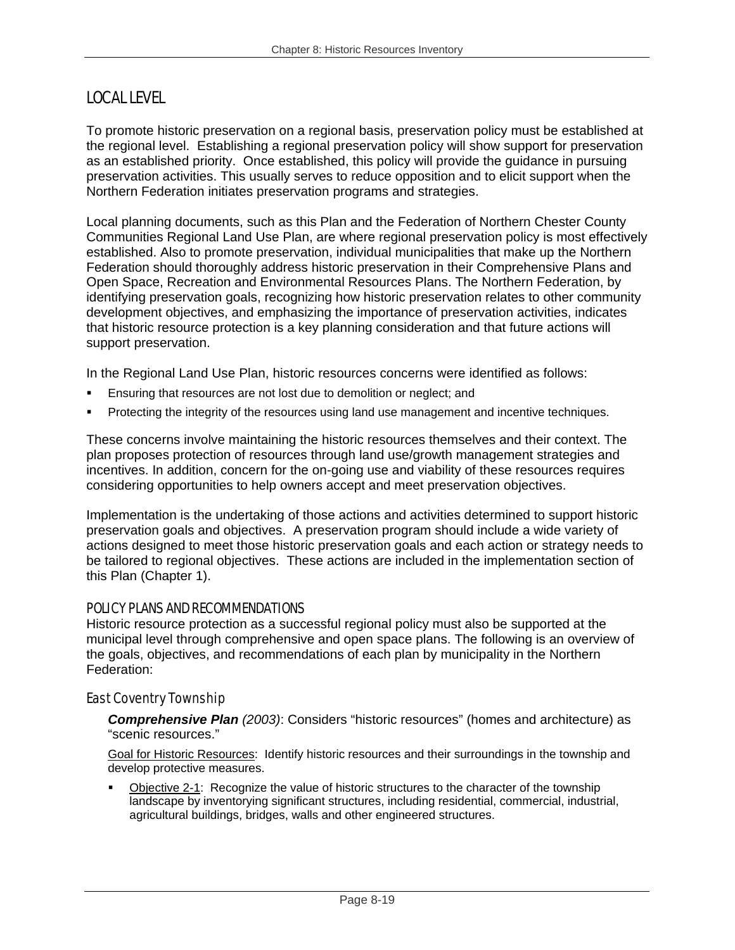## LOCAL LEVEL

To promote historic preservation on a regional basis, preservation policy must be established at the regional level. Establishing a regional preservation policy will show support for preservation as an established priority. Once established, this policy will provide the guidance in pursuing preservation activities. This usually serves to reduce opposition and to elicit support when the Northern Federation initiates preservation programs and strategies.

Local planning documents, such as this Plan and the Federation of Northern Chester County Communities Regional Land Use Plan, are where regional preservation policy is most effectively established. Also to promote preservation, individual municipalities that make up the Northern Federation should thoroughly address historic preservation in their Comprehensive Plans and Open Space, Recreation and Environmental Resources Plans. The Northern Federation, by identifying preservation goals, recognizing how historic preservation relates to other community development objectives, and emphasizing the importance of preservation activities, indicates that historic resource protection is a key planning consideration and that future actions will support preservation.

In the Regional Land Use Plan, historic resources concerns were identified as follows:

- Ensuring that resources are not lost due to demolition or neglect; and
- Protecting the integrity of the resources using land use management and incentive techniques.

These concerns involve maintaining the historic resources themselves and their context. The plan proposes protection of resources through land use/growth management strategies and incentives. In addition, concern for the on-going use and viability of these resources requires considering opportunities to help owners accept and meet preservation objectives.

Implementation is the undertaking of those actions and activities determined to support historic preservation goals and objectives. A preservation program should include a wide variety of actions designed to meet those historic preservation goals and each action or strategy needs to be tailored to regional objectives. These actions are included in the implementation section of this Plan (Chapter 1).

## POLICY PLANS AND RECOMMENDATIONS

Historic resource protection as a successful regional policy must also be supported at the municipal level through comprehensive and open space plans. The following is an overview of the goals, objectives, and recommendations of each plan by municipality in the Northern Federation:

## East Coventry Township

*Comprehensive Plan (2003)*: Considers "historic resources" (homes and architecture) as "scenic resources."

Goal for Historic Resources: Identify historic resources and their surroundings in the township and develop protective measures.

 Objective 2-1: Recognize the value of historic structures to the character of the township landscape by inventorying significant structures, including residential, commercial, industrial, agricultural buildings, bridges, walls and other engineered structures.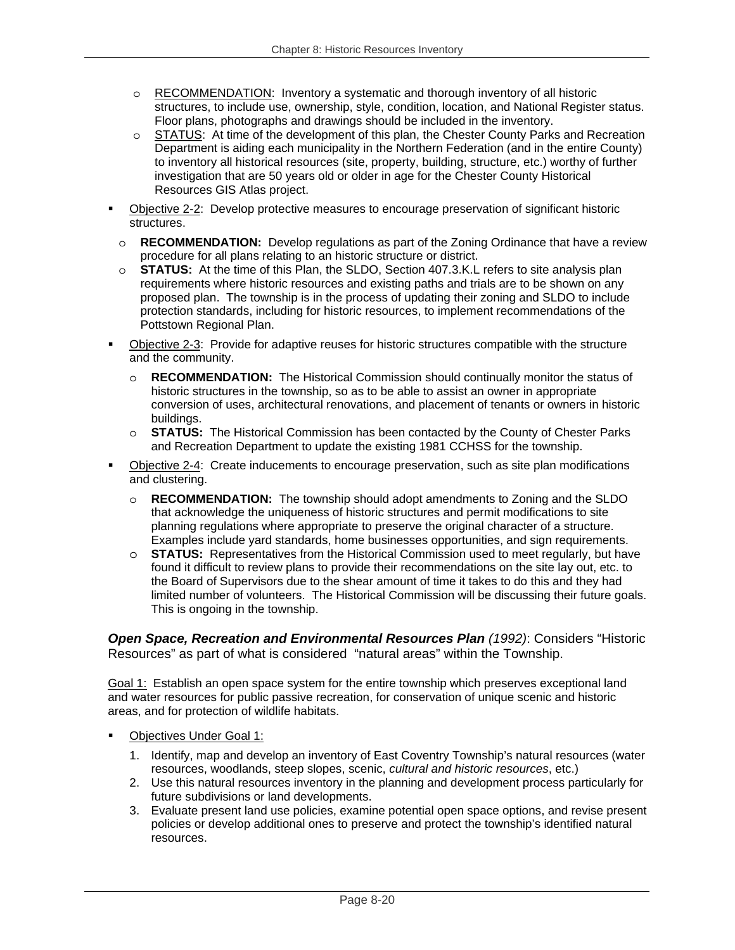- o RECOMMENDATION: Inventory a systematic and thorough inventory of all historic structures, to include use, ownership, style, condition, location, and National Register status. Floor plans, photographs and drawings should be included in the inventory.
- o STATUS: At time of the development of this plan, the Chester County Parks and Recreation Department is aiding each municipality in the Northern Federation (and in the entire County) to inventory all historical resources (site, property, building, structure, etc.) worthy of further investigation that are 50 years old or older in age for the Chester County Historical Resources GIS Atlas project.
- Objective 2-2: Develop protective measures to encourage preservation of significant historic structures.
	- o **RECOMMENDATION:** Develop regulations as part of the Zoning Ordinance that have a review procedure for all plans relating to an historic structure or district.
	- o **STATUS:** At the time of this Plan, the SLDO, Section 407.3.K.L refers to site analysis plan requirements where historic resources and existing paths and trials are to be shown on any proposed plan. The township is in the process of updating their zoning and SLDO to include protection standards, including for historic resources, to implement recommendations of the Pottstown Regional Plan.
- Objective 2-3: Provide for adaptive reuses for historic structures compatible with the structure and the community.
	- o **RECOMMENDATION:** The Historical Commission should continually monitor the status of historic structures in the township, so as to be able to assist an owner in appropriate conversion of uses, architectural renovations, and placement of tenants or owners in historic buildings.
	- o **STATUS:** The Historical Commission has been contacted by the County of Chester Parks and Recreation Department to update the existing 1981 CCHSS for the township.
- Objective 2-4: Create inducements to encourage preservation, such as site plan modifications and clustering.
	- o **RECOMMENDATION:** The township should adopt amendments to Zoning and the SLDO that acknowledge the uniqueness of historic structures and permit modifications to site planning regulations where appropriate to preserve the original character of a structure. Examples include yard standards, home businesses opportunities, and sign requirements.
	- o **STATUS:** Representatives from the Historical Commission used to meet regularly, but have found it difficult to review plans to provide their recommendations on the site lay out, etc. to the Board of Supervisors due to the shear amount of time it takes to do this and they had limited number of volunteers. The Historical Commission will be discussing their future goals. This is ongoing in the township.

*Open Space, Recreation and Environmental Resources Plan (1992)*: Considers "Historic Resources" as part of what is considered "natural areas" within the Township.

Goal 1: Establish an open space system for the entire township which preserves exceptional land and water resources for public passive recreation, for conservation of unique scenic and historic areas, and for protection of wildlife habitats.

- Objectives Under Goal 1:
	- 1. Identify, map and develop an inventory of East Coventry Township's natural resources (water resources, woodlands, steep slopes, scenic, *cultural and historic resources*, etc.)
	- 2. Use this natural resources inventory in the planning and development process particularly for future subdivisions or land developments.
	- 3. Evaluate present land use policies, examine potential open space options, and revise present policies or develop additional ones to preserve and protect the township's identified natural resources.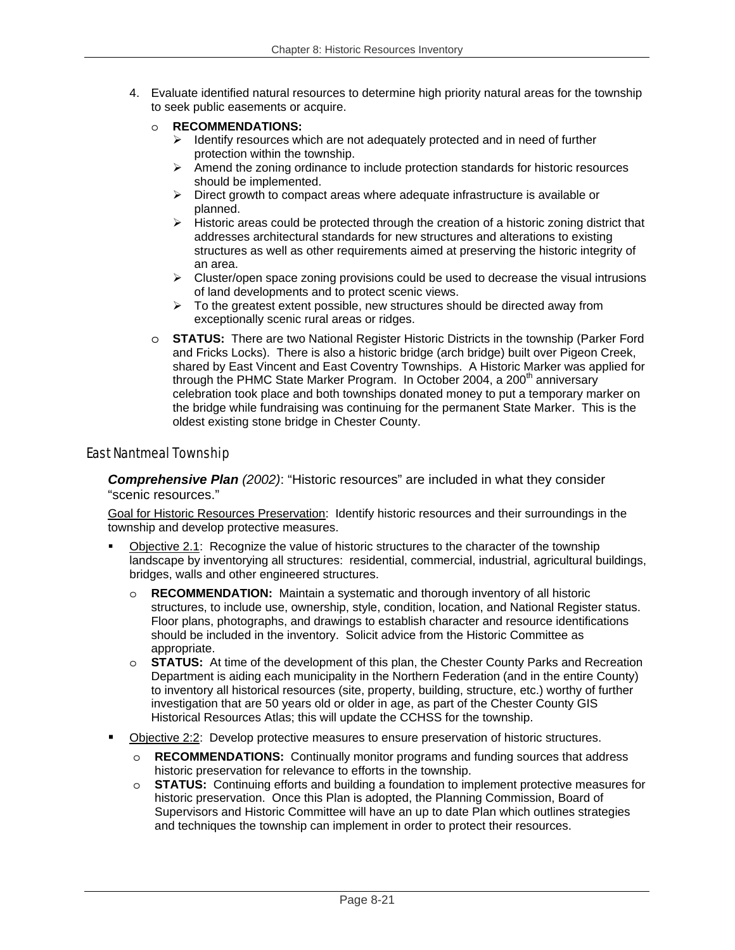- 4. Evaluate identified natural resources to determine high priority natural areas for the township to seek public easements or acquire.
	- o **RECOMMENDATIONS:** 
		- $\triangleright$  Identify resources which are not adequately protected and in need of further protection within the township.
		- $\triangleright$  Amend the zoning ordinance to include protection standards for historic resources should be implemented.
		- $\triangleright$  Direct growth to compact areas where adequate infrastructure is available or planned.
		- $\triangleright$  Historic areas could be protected through the creation of a historic zoning district that addresses architectural standards for new structures and alterations to existing structures as well as other requirements aimed at preserving the historic integrity of an area.
		- $\triangleright$  Cluster/open space zoning provisions could be used to decrease the visual intrusions of land developments and to protect scenic views.
		- $\triangleright$  To the greatest extent possible, new structures should be directed away from exceptionally scenic rural areas or ridges.
	- o **STATUS:** There are two National Register Historic Districts in the township (Parker Ford and Fricks Locks). There is also a historic bridge (arch bridge) built over Pigeon Creek, shared by East Vincent and East Coventry Townships. A Historic Marker was applied for through the PHMC State Marker Program. In October 2004, a 200<sup>th</sup> anniversary celebration took place and both townships donated money to put a temporary marker on the bridge while fundraising was continuing for the permanent State Marker. This is the oldest existing stone bridge in Chester County.

#### East Nantmeal Township

*Comprehensive Plan (2002)*: "Historic resources" are included in what they consider "scenic resources."

Goal for Historic Resources Preservation: Identify historic resources and their surroundings in the township and develop protective measures.

- Objective 2.1: Recognize the value of historic structures to the character of the township landscape by inventorying all structures: residential, commercial, industrial, agricultural buildings, bridges, walls and other engineered structures.
	- o **RECOMMENDATION:** Maintain a systematic and thorough inventory of all historic structures, to include use, ownership, style, condition, location, and National Register status. Floor plans, photographs, and drawings to establish character and resource identifications should be included in the inventory. Solicit advice from the Historic Committee as appropriate.
	- o **STATUS:** At time of the development of this plan, the Chester County Parks and Recreation Department is aiding each municipality in the Northern Federation (and in the entire County) to inventory all historical resources (site, property, building, structure, etc.) worthy of further investigation that are 50 years old or older in age, as part of the Chester County GIS Historical Resources Atlas; this will update the CCHSS for the township.
- Objective 2:2: Develop protective measures to ensure preservation of historic structures.
	- o **RECOMMENDATIONS:** Continually monitor programs and funding sources that address historic preservation for relevance to efforts in the township.
	- o **STATUS:** Continuing efforts and building a foundation to implement protective measures for historic preservation. Once this Plan is adopted, the Planning Commission, Board of Supervisors and Historic Committee will have an up to date Plan which outlines strategies and techniques the township can implement in order to protect their resources.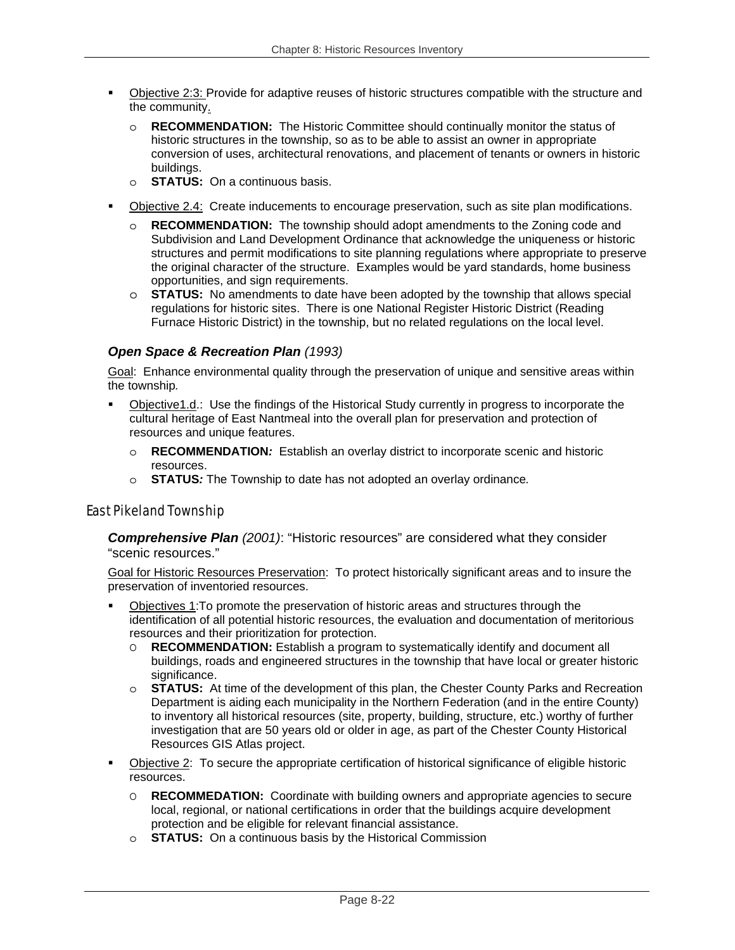- Objective 2:3: Provide for adaptive reuses of historic structures compatible with the structure and the community.
	- o **RECOMMENDATION:** The Historic Committee should continually monitor the status of historic structures in the township, so as to be able to assist an owner in appropriate conversion of uses, architectural renovations, and placement of tenants or owners in historic buildings.
	- o **STATUS:** On a continuous basis.
- Objective 2.4: Create inducements to encourage preservation, such as site plan modifications.
	- o **RECOMMENDATION:** The township should adopt amendments to the Zoning code and Subdivision and Land Development Ordinance that acknowledge the uniqueness or historic structures and permit modifications to site planning regulations where appropriate to preserve the original character of the structure. Examples would be yard standards, home business opportunities, and sign requirements.
	- o **STATUS:** No amendments to date have been adopted by the township that allows special regulations for historic sites. There is one National Register Historic District (Reading Furnace Historic District) in the township, but no related regulations on the local level.

#### *Open Space & Recreation Plan (1993)*

Goal: Enhance environmental quality through the preservation of unique and sensitive areas within the township*.* 

- Objective1.d.: Use the findings of the Historical Study currently in progress to incorporate the cultural heritage of East Nantmeal into the overall plan for preservation and protection of resources and unique features.
	- o **RECOMMENDATION***:* Establish an overlay district to incorporate scenic and historic resources.
	- o **STATUS***:* The Township to date has not adopted an overlay ordinance*.*

## East Pikeland Township

*Comprehensive Plan (2001)*: "Historic resources" are considered what they consider "scenic resources."

Goal for Historic Resources Preservation: To protect historically significant areas and to insure the preservation of inventoried resources.

- Objectives 1:To promote the preservation of historic areas and structures through the identification of all potential historic resources, the evaluation and documentation of meritorious resources and their prioritization for protection.
	- O **RECOMMENDATION:** Establish a program to systematically identify and document all buildings, roads and engineered structures in the township that have local or greater historic significance.
	- o **STATUS:** At time of the development of this plan, the Chester County Parks and Recreation Department is aiding each municipality in the Northern Federation (and in the entire County) to inventory all historical resources (site, property, building, structure, etc.) worthy of further investigation that are 50 years old or older in age, as part of the Chester County Historical Resources GIS Atlas project.
- Objective 2: To secure the appropriate certification of historical significance of eligible historic resources.
	- O **RECOMMEDATION:** Coordinate with building owners and appropriate agencies to secure local, regional, or national certifications in order that the buildings acquire development protection and be eligible for relevant financial assistance.
	- o **STATUS:** On a continuous basis by the Historical Commission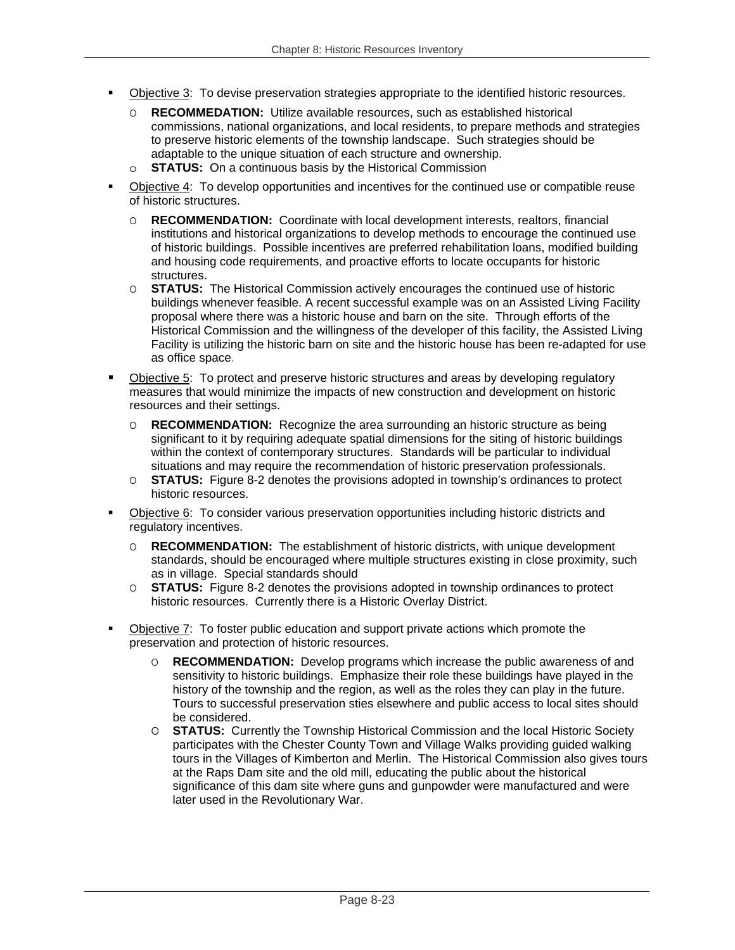- Objective 3: To devise preservation strategies appropriate to the identified historic resources.
	- O **RECOMMEDATION:** Utilize available resources, such as established historical commissions, national organizations, and local residents, to prepare methods and strategies to preserve historic elements of the township landscape. Such strategies should be adaptable to the unique situation of each structure and ownership.
	- o **STATUS:** On a continuous basis by the Historical Commission
- Objective 4: To develop opportunities and incentives for the continued use or compatible reuse of historic structures.
	- O **RECOMMENDATION:** Coordinate with local development interests, realtors, financial institutions and historical organizations to develop methods to encourage the continued use of historic buildings. Possible incentives are preferred rehabilitation loans, modified building and housing code requirements, and proactive efforts to locate occupants for historic structures.
	- O **STATUS:** The Historical Commission actively encourages the continued use of historic buildings whenever feasible. A recent successful example was on an Assisted Living Facility proposal where there was a historic house and barn on the site. Through efforts of the Historical Commission and the willingness of the developer of this facility, the Assisted Living Facility is utilizing the historic barn on site and the historic house has been re-adapted for use as office space.
- Objective 5: To protect and preserve historic structures and areas by developing regulatory measures that would minimize the impacts of new construction and development on historic resources and their settings.
	- O **RECOMMENDATION:** Recognize the area surrounding an historic structure as being significant to it by requiring adequate spatial dimensions for the siting of historic buildings within the context of contemporary structures. Standards will be particular to individual situations and may require the recommendation of historic preservation professionals.
	- O **STATUS:** Figure 8-2 denotes the provisions adopted in township's ordinances to protect historic resources.
- Objective 6: To consider various preservation opportunities including historic districts and regulatory incentives.
	- O **RECOMMENDATION:** The establishment of historic districts, with unique development standards, should be encouraged where multiple structures existing in close proximity, such as in village. Special standards should
	- O **STATUS:** Figure 8-2 denotes the provisions adopted in township ordinances to protect historic resources. Currently there is a Historic Overlay District.
- Objective 7: To foster public education and support private actions which promote the preservation and protection of historic resources.
	- O **RECOMMENDATION:** Develop programs which increase the public awareness of and sensitivity to historic buildings. Emphasize their role these buildings have played in the history of the township and the region, as well as the roles they can play in the future. Tours to successful preservation sties elsewhere and public access to local sites should be considered.
	- O **STATUS:** Currently the Township Historical Commission and the local Historic Society participates with the Chester County Town and Village Walks providing guided walking tours in the Villages of Kimberton and Merlin. The Historical Commission also gives tours at the Raps Dam site and the old mill, educating the public about the historical significance of this dam site where guns and gunpowder were manufactured and were later used in the Revolutionary War.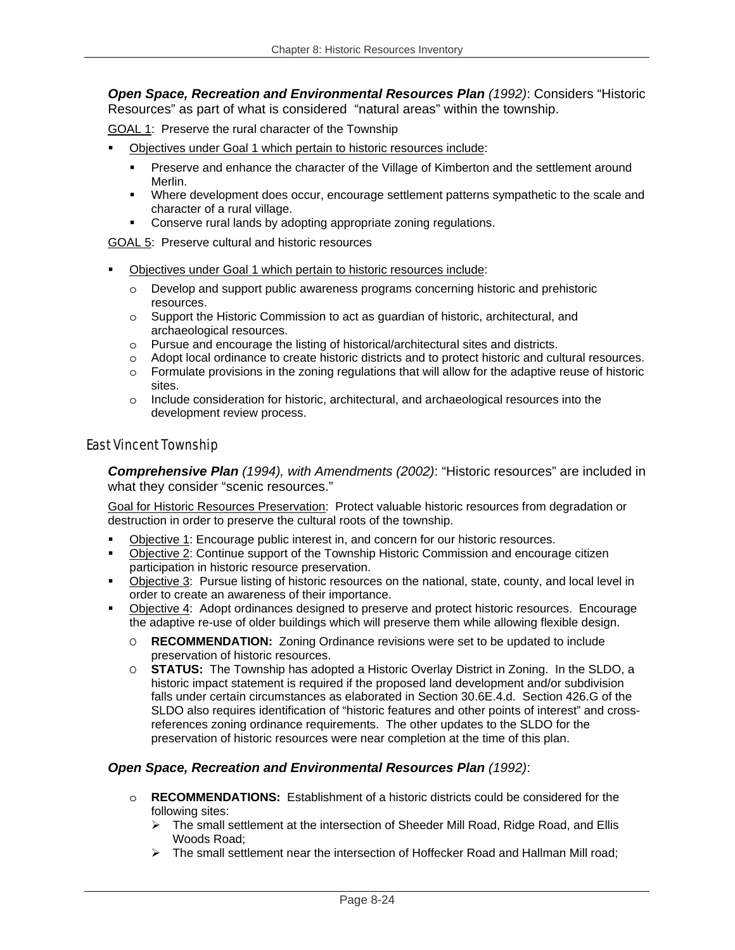*Open Space, Recreation and Environmental Resources Plan (1992)*: Considers "Historic Resources" as part of what is considered "natural areas" within the township.

GOAL 1: Preserve the rural character of the Township

- Objectives under Goal 1 which pertain to historic resources include:
	- **Preserve and enhance the character of the Village of Kimberton and the settlement around** Merlin.
	- **Where development does occur, encourage settlement patterns sympathetic to the scale and** character of a rural village.
	- **Conserve rural lands by adopting appropriate zoning regulations.**

GOAL 5: Preserve cultural and historic resources

- Objectives under Goal 1 which pertain to historic resources include:
	- o Develop and support public awareness programs concerning historic and prehistoric resources.
	- o Support the Historic Commission to act as guardian of historic, architectural, and archaeological resources.
	- o Pursue and encourage the listing of historical/architectural sites and districts.
	- o Adopt local ordinance to create historic districts and to protect historic and cultural resources.
	- $\circ$  Formulate provisions in the zoning regulations that will allow for the adaptive reuse of historic sites.
	- o Include consideration for historic, architectural, and archaeological resources into the development review process.

#### East Vincent Township

*Comprehensive Plan (1994), with Amendments (2002)*: "Historic resources" are included in what they consider "scenic resources."

Goal for Historic Resources Preservation: Protect valuable historic resources from degradation or destruction in order to preserve the cultural roots of the township.

- Objective 1: Encourage public interest in, and concern for our historic resources.
- Objective 2: Continue support of the Township Historic Commission and encourage citizen participation in historic resource preservation.
- Dbjective 3: Pursue listing of historic resources on the national, state, county, and local level in order to create an awareness of their importance.
- Objective 4: Adopt ordinances designed to preserve and protect historic resources. Encourage the adaptive re-use of older buildings which will preserve them while allowing flexible design.
	- O **RECOMMENDATION:** Zoning Ordinance revisions were set to be updated to include preservation of historic resources.
	- O **STATUS:** The Township has adopted a Historic Overlay District in Zoning. In the SLDO, a historic impact statement is required if the proposed land development and/or subdivision falls under certain circumstances as elaborated in Section 30.6E.4.d. Section 426.G of the SLDO also requires identification of "historic features and other points of interest" and crossreferences zoning ordinance requirements. The other updates to the SLDO for the preservation of historic resources were near completion at the time of this plan.

#### *Open Space, Recreation and Environmental Resources Plan (1992)*:

- o **RECOMMENDATIONS:** Establishment of a historic districts could be considered for the following sites:
	- ¾ The small settlement at the intersection of Sheeder Mill Road, Ridge Road, and Ellis Woods Road;
	- $\triangleright$  The small settlement near the intersection of Hoffecker Road and Hallman Mill road;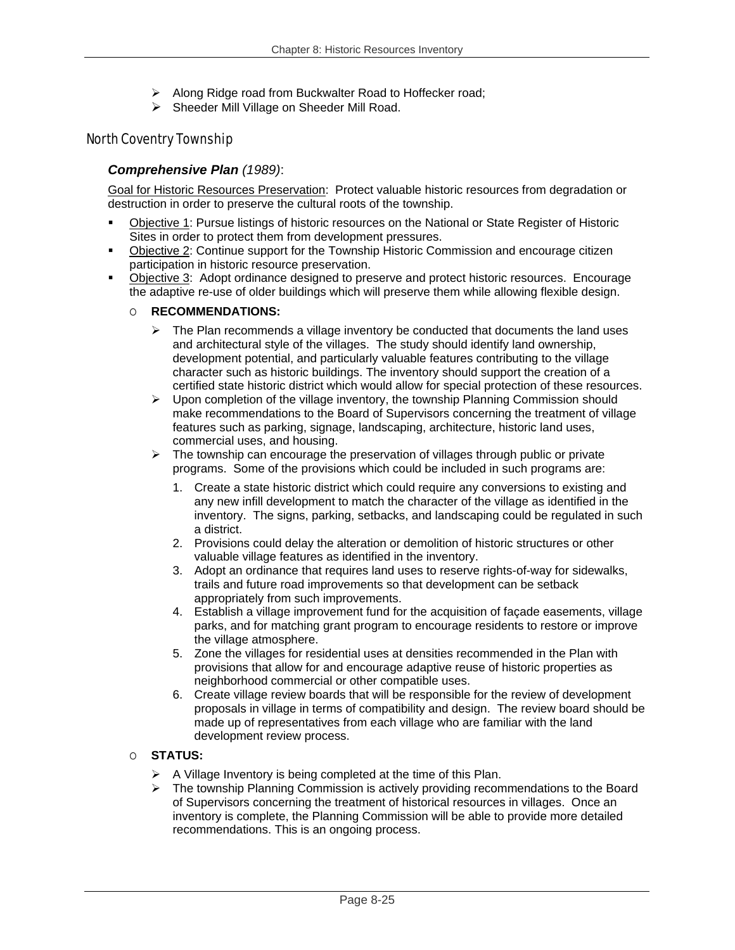- ¾ Along Ridge road from Buckwalter Road to Hoffecker road;
- ¾ Sheeder Mill Village on Sheeder Mill Road.

### North Coventry Township

#### *Comprehensive Plan (1989)*:

Goal for Historic Resources Preservation: Protect valuable historic resources from degradation or destruction in order to preserve the cultural roots of the township.

- Objective 1: Pursue listings of historic resources on the National or State Register of Historic Sites in order to protect them from development pressures.
- Objective 2: Continue support for the Township Historic Commission and encourage citizen participation in historic resource preservation.
- Objective 3: Adopt ordinance designed to preserve and protect historic resources. Encourage the adaptive re-use of older buildings which will preserve them while allowing flexible design.

#### O **RECOMMENDATIONS:**

- $\triangleright$  The Plan recommends a village inventory be conducted that documents the land uses and architectural style of the villages. The study should identify land ownership, development potential, and particularly valuable features contributing to the village character such as historic buildings. The inventory should support the creation of a certified state historic district which would allow for special protection of these resources.
- $\triangleright$  Upon completion of the village inventory, the township Planning Commission should make recommendations to the Board of Supervisors concerning the treatment of village features such as parking, signage, landscaping, architecture, historic land uses, commercial uses, and housing.
- $\triangleright$  The township can encourage the preservation of villages through public or private programs. Some of the provisions which could be included in such programs are:
	- 1. Create a state historic district which could require any conversions to existing and any new infill development to match the character of the village as identified in the inventory. The signs, parking, setbacks, and landscaping could be regulated in such a district.
	- 2. Provisions could delay the alteration or demolition of historic structures or other valuable village features as identified in the inventory.
	- 3. Adopt an ordinance that requires land uses to reserve rights-of-way for sidewalks, trails and future road improvements so that development can be setback appropriately from such improvements.
	- 4. Establish a village improvement fund for the acquisition of façade easements, village parks, and for matching grant program to encourage residents to restore or improve the village atmosphere.
	- 5. Zone the villages for residential uses at densities recommended in the Plan with provisions that allow for and encourage adaptive reuse of historic properties as neighborhood commercial or other compatible uses.
	- 6. Create village review boards that will be responsible for the review of development proposals in village in terms of compatibility and design. The review board should be made up of representatives from each village who are familiar with the land development review process.

#### O **STATUS:**

- $\triangleright$  A Village Inventory is being completed at the time of this Plan.
- $\triangleright$  The township Planning Commission is actively providing recommendations to the Board of Supervisors concerning the treatment of historical resources in villages. Once an inventory is complete, the Planning Commission will be able to provide more detailed recommendations. This is an ongoing process.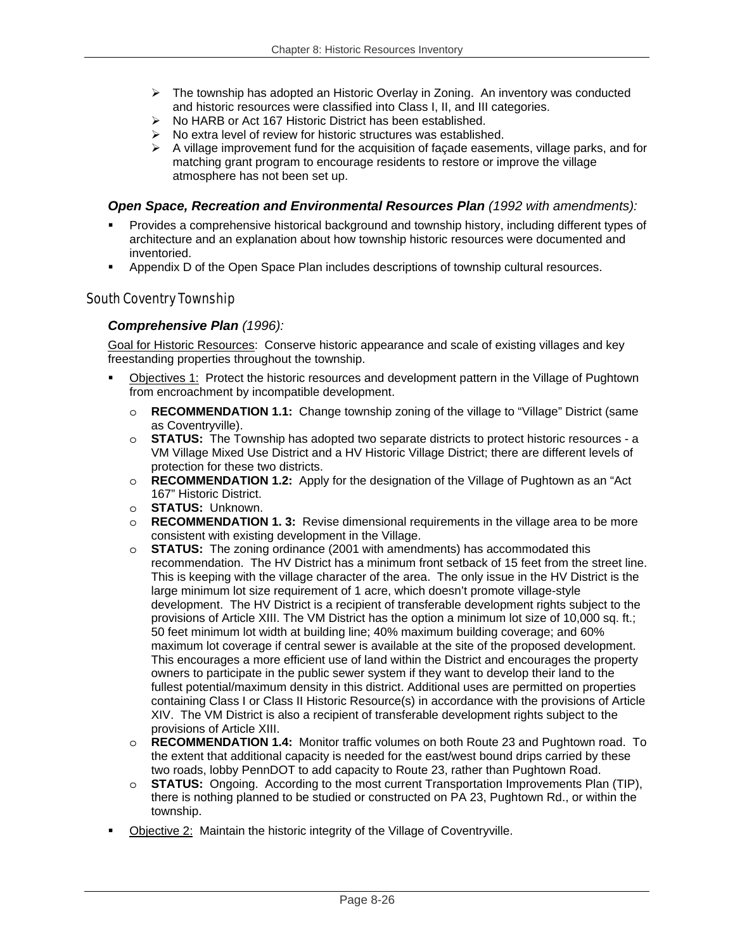- $\triangleright$  The township has adopted an Historic Overlay in Zoning. An inventory was conducted and historic resources were classified into Class I, II, and III categories.
- ¾ No HARB or Act 167 Historic District has been established.
- $\triangleright$  No extra level of review for historic structures was established.
- $\triangleright$  A village improvement fund for the acquisition of facade easements, village parks, and for matching grant program to encourage residents to restore or improve the village atmosphere has not been set up.

### *Open Space, Recreation and Environmental Resources Plan (1992 with amendments):*

- Provides a comprehensive historical background and township history, including different types of architecture and an explanation about how township historic resources were documented and inventoried.
- Appendix D of the Open Space Plan includes descriptions of township cultural resources.

#### South Coventry Township

#### *Comprehensive Plan (1996):*

Goal for Historic Resources: Conserve historic appearance and scale of existing villages and key freestanding properties throughout the township.

- Objectives 1: Protect the historic resources and development pattern in the Village of Pughtown from encroachment by incompatible development.
	- o **RECOMMENDATION 1.1:** Change township zoning of the village to "Village" District (same as Coventryville).
	- o **STATUS:** The Township has adopted two separate districts to protect historic resources a VM Village Mixed Use District and a HV Historic Village District; there are different levels of protection for these two districts.
	- o **RECOMMENDATION 1.2:** Apply for the designation of the Village of Pughtown as an "Act 167" Historic District.
	- o **STATUS:** Unknown.
	- o **RECOMMENDATION 1. 3:** Revise dimensional requirements in the village area to be more consistent with existing development in the Village.
	- o **STATUS:** The zoning ordinance (2001 with amendments) has accommodated this recommendation. The HV District has a minimum front setback of 15 feet from the street line. This is keeping with the village character of the area. The only issue in the HV District is the large minimum lot size requirement of 1 acre, which doesn't promote village-style development. The HV District is a recipient of transferable development rights subject to the provisions of Article XIII. The VM District has the option a minimum lot size of 10,000 sq. ft.; 50 feet minimum lot width at building line; 40% maximum building coverage; and 60% maximum lot coverage if central sewer is available at the site of the proposed development. This encourages a more efficient use of land within the District and encourages the property owners to participate in the public sewer system if they want to develop their land to the fullest potential/maximum density in this district. Additional uses are permitted on properties containing Class I or Class II Historic Resource(s) in accordance with the provisions of Article XIV. The VM District is also a recipient of transferable development rights subject to the provisions of Article XIII.
	- o **RECOMMENDATION 1.4:** Monitor traffic volumes on both Route 23 and Pughtown road. To the extent that additional capacity is needed for the east/west bound drips carried by these two roads, lobby PennDOT to add capacity to Route 23, rather than Pughtown Road.
	- o **STATUS:** Ongoing. According to the most current Transportation Improvements Plan (TIP), there is nothing planned to be studied or constructed on PA 23, Pughtown Rd., or within the township.
- Objective 2: Maintain the historic integrity of the Village of Coventryville.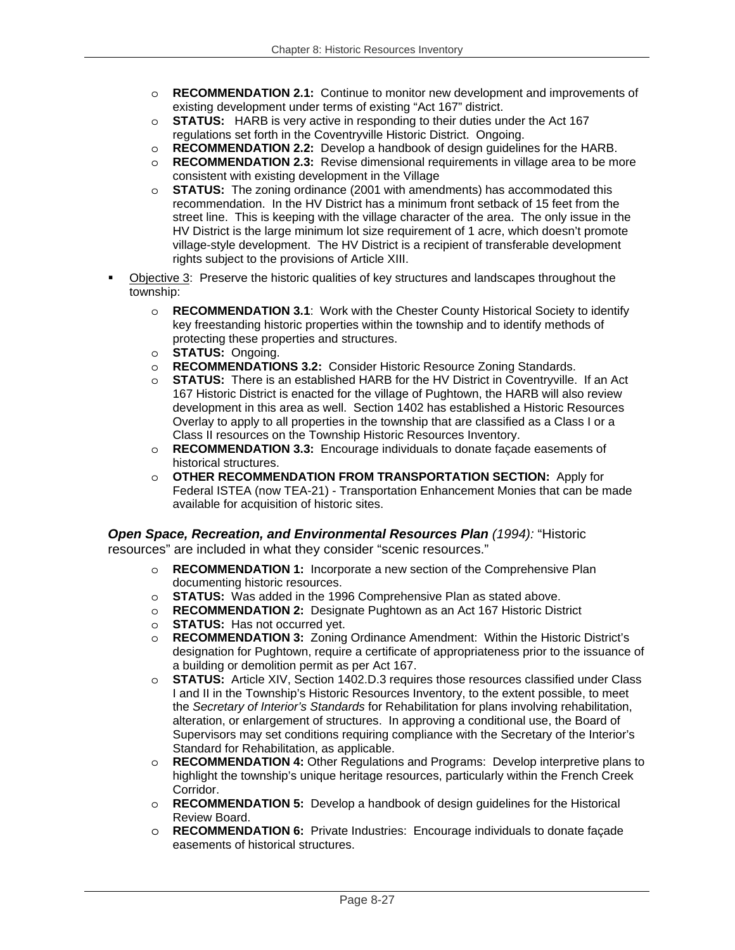- o **RECOMMENDATION 2.1:** Continue to monitor new development and improvements of existing development under terms of existing "Act 167" district.
- o **STATUS:** HARB is very active in responding to their duties under the Act 167 regulations set forth in the Coventryville Historic District. Ongoing.
- o **RECOMMENDATION 2.2:** Develop a handbook of design guidelines for the HARB.
- o **RECOMMENDATION 2.3:** Revise dimensional requirements in village area to be more consistent with existing development in the Village
- o **STATUS:** The zoning ordinance (2001 with amendments) has accommodated this recommendation. In the HV District has a minimum front setback of 15 feet from the street line. This is keeping with the village character of the area. The only issue in the HV District is the large minimum lot size requirement of 1 acre, which doesn't promote village-style development. The HV District is a recipient of transferable development rights subject to the provisions of Article XIII.
- Objective 3: Preserve the historic qualities of key structures and landscapes throughout the township:
	- o **RECOMMENDATION 3.1**: Work with the Chester County Historical Society to identify key freestanding historic properties within the township and to identify methods of protecting these properties and structures.
	- o **STATUS:** Ongoing.
	- o **RECOMMENDATIONS 3.2:** Consider Historic Resource Zoning Standards.
	- o **STATUS:** There is an established HARB for the HV District in Coventryville. If an Act 167 Historic District is enacted for the village of Pughtown, the HARB will also review development in this area as well. Section 1402 has established a Historic Resources Overlay to apply to all properties in the township that are classified as a Class I or a Class II resources on the Township Historic Resources Inventory.
	- o **RECOMMENDATION 3.3:** Encourage individuals to donate façade easements of historical structures.
	- o **OTHER RECOMMENDATION FROM TRANSPORTATION SECTION:** Apply for Federal ISTEA (now TEA-21) - Transportation Enhancement Monies that can be made available for acquisition of historic sites.

*Open Space, Recreation, and Environmental Resources Plan (1994):* "Historic resources" are included in what they consider "scenic resources."

- o **RECOMMENDATION 1:** Incorporate a new section of the Comprehensive Plan documenting historic resources.
- o **STATUS:** Was added in the 1996 Comprehensive Plan as stated above.
- o **RECOMMENDATION 2:** Designate Pughtown as an Act 167 Historic District
- o **STATUS:** Has not occurred yet.<br>  **RECOMMENDATION 3:** Zoning
- **RECOMMENDATION 3:** Zoning Ordinance Amendment: Within the Historic District's designation for Pughtown, require a certificate of appropriateness prior to the issuance of a building or demolition permit as per Act 167.
- o **STATUS:** Article XIV, Section 1402.D.3 requires those resources classified under Class I and II in the Township's Historic Resources Inventory, to the extent possible, to meet the *Secretary of Interior's Standards* for Rehabilitation for plans involving rehabilitation, alteration, or enlargement of structures. In approving a conditional use, the Board of Supervisors may set conditions requiring compliance with the Secretary of the Interior's Standard for Rehabilitation, as applicable.
- o **RECOMMENDATION 4:** Other Regulations and Programs: Develop interpretive plans to highlight the township's unique heritage resources, particularly within the French Creek Corridor.
- o **RECOMMENDATION 5:** Develop a handbook of design guidelines for the Historical Review Board.
- o **RECOMMENDATION 6:** Private Industries: Encourage individuals to donate façade easements of historical structures.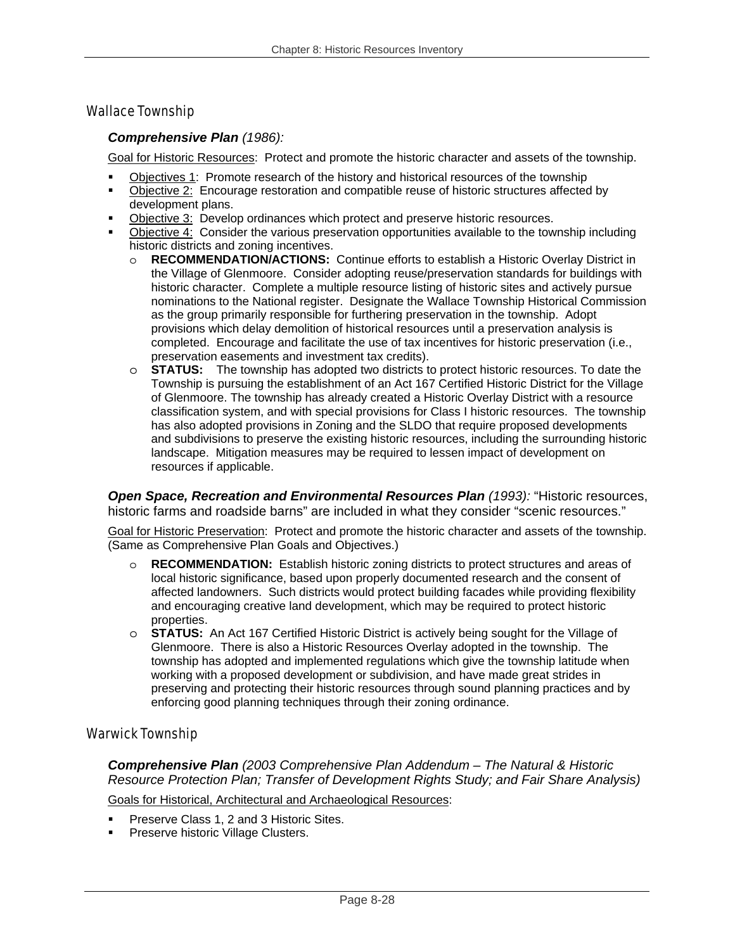## Wallace Township

#### *Comprehensive Plan (1986):*

Goal for Historic Resources: Protect and promote the historic character and assets of the township.

- Objectives 1: Promote research of the history and historical resources of the township
- Objective 2: Encourage restoration and compatible reuse of historic structures affected by development plans.
- Objective 3: Develop ordinances which protect and preserve historic resources.
- Objective 4: Consider the various preservation opportunities available to the township including historic districts and zoning incentives.
	- o **RECOMMENDATION/ACTIONS:** Continue efforts to establish a Historic Overlay District in the Village of Glenmoore. Consider adopting reuse/preservation standards for buildings with historic character. Complete a multiple resource listing of historic sites and actively pursue nominations to the National register. Designate the Wallace Township Historical Commission as the group primarily responsible for furthering preservation in the township. Adopt provisions which delay demolition of historical resources until a preservation analysis is completed. Encourage and facilitate the use of tax incentives for historic preservation (i.e., preservation easements and investment tax credits).
	- o **STATUS:** The township has adopted two districts to protect historic resources. To date the Township is pursuing the establishment of an Act 167 Certified Historic District for the Village of Glenmoore. The township has already created a Historic Overlay District with a resource classification system, and with special provisions for Class I historic resources. The township has also adopted provisions in Zoning and the SLDO that require proposed developments and subdivisions to preserve the existing historic resources, including the surrounding historic landscape. Mitigation measures may be required to lessen impact of development on resources if applicable.

**Open Space, Recreation and Environmental Resources Plan (1993): "Historic resources,** historic farms and roadside barns" are included in what they consider "scenic resources."

Goal for Historic Preservation: Protect and promote the historic character and assets of the township. (Same as Comprehensive Plan Goals and Objectives.)

- o **RECOMMENDATION:** Establish historic zoning districts to protect structures and areas of local historic significance, based upon properly documented research and the consent of affected landowners. Such districts would protect building facades while providing flexibility and encouraging creative land development, which may be required to protect historic properties.
- o **STATUS:** An Act 167 Certified Historic District is actively being sought for the Village of Glenmoore. There is also a Historic Resources Overlay adopted in the township. The township has adopted and implemented regulations which give the township latitude when working with a proposed development or subdivision, and have made great strides in preserving and protecting their historic resources through sound planning practices and by enforcing good planning techniques through their zoning ordinance.

## Warwick Township

*Comprehensive Plan (2003 Comprehensive Plan Addendum – The Natural & Historic Resource Protection Plan; Transfer of Development Rights Study; and Fair Share Analysis)* 

Goals for Historical, Architectural and Archaeological Resources:

- Preserve Class 1, 2 and 3 Historic Sites.
- Preserve historic Village Clusters.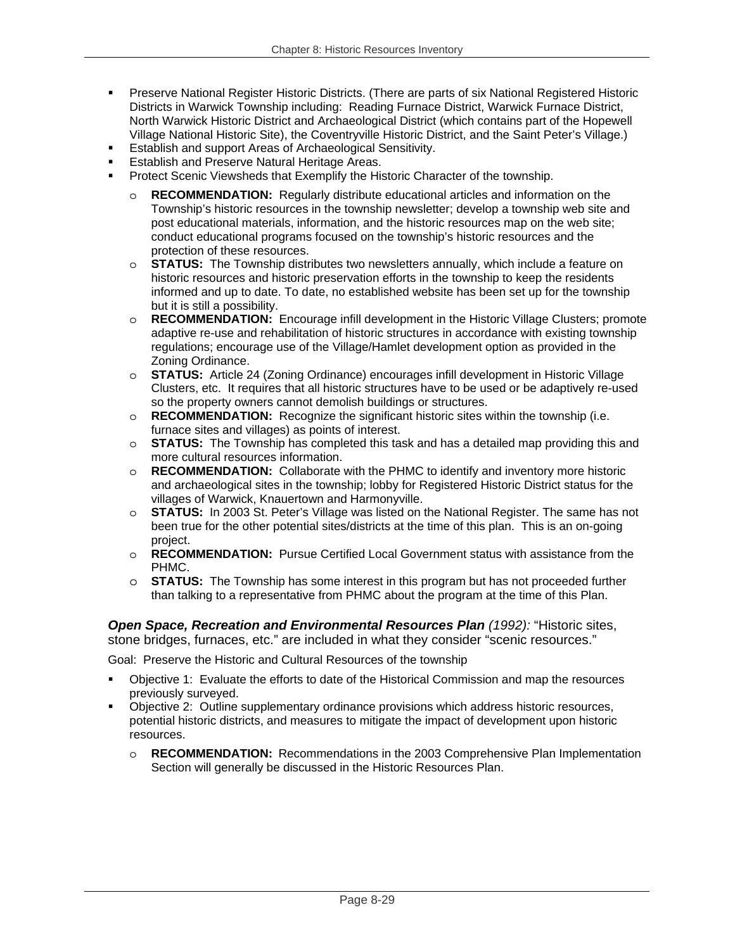- Preserve National Register Historic Districts. (There are parts of six National Registered Historic Districts in Warwick Township including: Reading Furnace District, Warwick Furnace District, North Warwick Historic District and Archaeological District (which contains part of the Hopewell Village National Historic Site), the Coventryville Historic District, and the Saint Peter's Village.)
- Establish and support Areas of Archaeological Sensitivity.
- Establish and Preserve Natural Heritage Areas.
- Protect Scenic Viewsheds that Exemplify the Historic Character of the township.
	- o **RECOMMENDATION:** Regularly distribute educational articles and information on the Township's historic resources in the township newsletter; develop a township web site and post educational materials, information, and the historic resources map on the web site; conduct educational programs focused on the township's historic resources and the protection of these resources.
	- o **STATUS:** The Township distributes two newsletters annually, which include a feature on historic resources and historic preservation efforts in the township to keep the residents informed and up to date. To date, no established website has been set up for the township but it is still a possibility.
	- o **RECOMMENDATION:** Encourage infill development in the Historic Village Clusters; promote adaptive re-use and rehabilitation of historic structures in accordance with existing township regulations; encourage use of the Village/Hamlet development option as provided in the Zoning Ordinance.
	- o **STATUS:** Article 24 (Zoning Ordinance) encourages infill development in Historic Village Clusters, etc. It requires that all historic structures have to be used or be adaptively re-used so the property owners cannot demolish buildings or structures.
	- o **RECOMMENDATION:** Recognize the significant historic sites within the township (i.e. furnace sites and villages) as points of interest.
	- o **STATUS:** The Township has completed this task and has a detailed map providing this and more cultural resources information.
	- o **RECOMMENDATION:** Collaborate with the PHMC to identify and inventory more historic and archaeological sites in the township; lobby for Registered Historic District status for the villages of Warwick, Knauertown and Harmonyville.
	- o **STATUS:** In 2003 St. Peter's Village was listed on the National Register. The same has not been true for the other potential sites/districts at the time of this plan. This is an on-going project.
	- o **RECOMMENDATION:** Pursue Certified Local Government status with assistance from the PHMC.
	- o **STATUS:** The Township has some interest in this program but has not proceeded further than talking to a representative from PHMC about the program at the time of this Plan.

*Open Space, Recreation and Environmental Resources Plan (1992):* "Historic sites, stone bridges, furnaces, etc." are included in what they consider "scenic resources."

Goal: Preserve the Historic and Cultural Resources of the township

- Objective 1: Evaluate the efforts to date of the Historical Commission and map the resources previously surveyed.
- Objective 2: Outline supplementary ordinance provisions which address historic resources, potential historic districts, and measures to mitigate the impact of development upon historic resources.
	- o **RECOMMENDATION:** Recommendations in the 2003 Comprehensive Plan Implementation Section will generally be discussed in the Historic Resources Plan.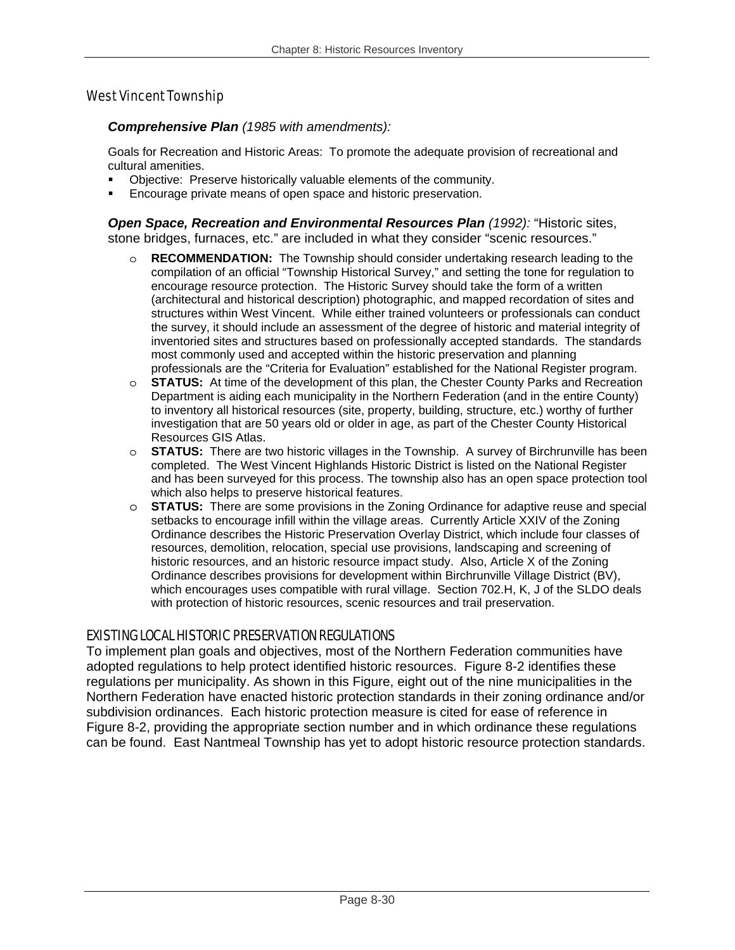## West Vincent Township

#### *Comprehensive Plan (1985 with amendments):*

Goals for Recreation and Historic Areas: To promote the adequate provision of recreational and cultural amenities.

- Objective: Preserve historically valuable elements of the community.
- Encourage private means of open space and historic preservation.

*Open Space, Recreation and Environmental Resources Plan (1992):* "Historic sites, stone bridges, furnaces, etc." are included in what they consider "scenic resources."

- o **RECOMMENDATION:** The Township should consider undertaking research leading to the compilation of an official "Township Historical Survey," and setting the tone for regulation to encourage resource protection. The Historic Survey should take the form of a written (architectural and historical description) photographic, and mapped recordation of sites and structures within West Vincent. While either trained volunteers or professionals can conduct the survey, it should include an assessment of the degree of historic and material integrity of inventoried sites and structures based on professionally accepted standards. The standards most commonly used and accepted within the historic preservation and planning professionals are the "Criteria for Evaluation" established for the National Register program.
- o **STATUS:** At time of the development of this plan, the Chester County Parks and Recreation Department is aiding each municipality in the Northern Federation (and in the entire County) to inventory all historical resources (site, property, building, structure, etc.) worthy of further investigation that are 50 years old or older in age, as part of the Chester County Historical Resources GIS Atlas.
- o **STATUS:** There are two historic villages in the Township. A survey of Birchrunville has been completed. The West Vincent Highlands Historic District is listed on the National Register and has been surveyed for this process. The township also has an open space protection tool which also helps to preserve historical features.
- o **STATUS:** There are some provisions in the Zoning Ordinance for adaptive reuse and special setbacks to encourage infill within the village areas. Currently Article XXIV of the Zoning Ordinance describes the Historic Preservation Overlay District, which include four classes of resources, demolition, relocation, special use provisions, landscaping and screening of historic resources, and an historic resource impact study. Also, Article X of the Zoning Ordinance describes provisions for development within Birchrunville Village District (BV), which encourages uses compatible with rural village. Section 702.H, K, J of the SLDO deals with protection of historic resources, scenic resources and trail preservation.

#### EXISTING LOCAL HISTORIC PRESERVATION REGULATIONS

To implement plan goals and objectives, most of the Northern Federation communities have adopted regulations to help protect identified historic resources. Figure 8-2 identifies these regulations per municipality. As shown in this Figure, eight out of the nine municipalities in the Northern Federation have enacted historic protection standards in their zoning ordinance and/or subdivision ordinances. Each historic protection measure is cited for ease of reference in Figure 8-2, providing the appropriate section number and in which ordinance these regulations can be found. East Nantmeal Township has yet to adopt historic resource protection standards.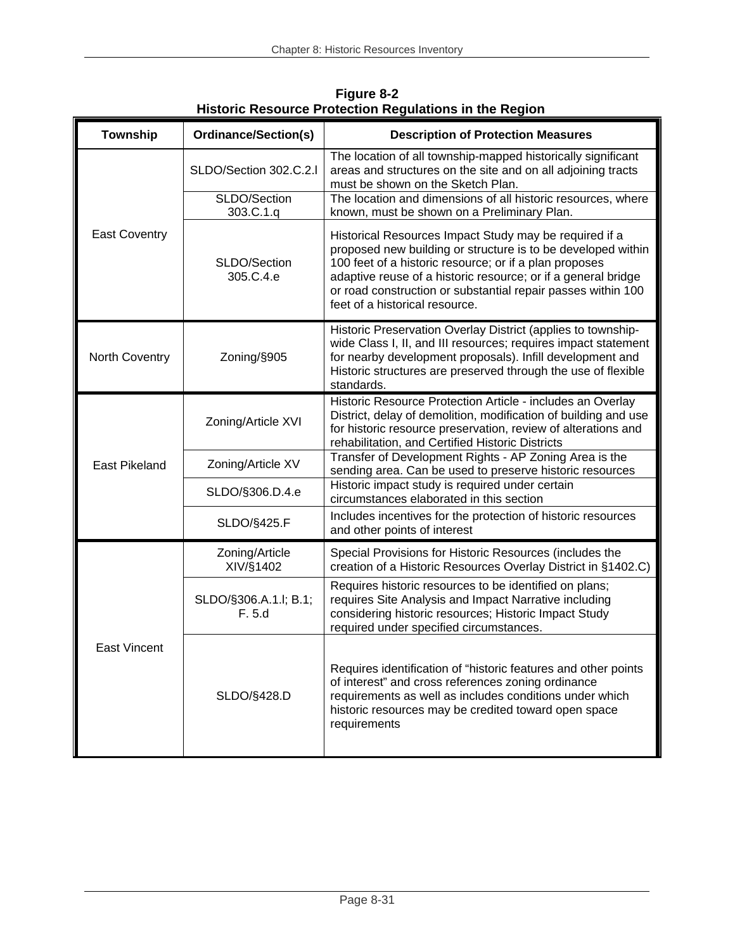| <b>Township</b>      | <b>Ordinance/Section(s)</b>     | <b>Description of Protection Measures</b>                                                                                                                                                                                                                                                                                                           |  |  |
|----------------------|---------------------------------|-----------------------------------------------------------------------------------------------------------------------------------------------------------------------------------------------------------------------------------------------------------------------------------------------------------------------------------------------------|--|--|
|                      | SLDO/Section 302.C.2.I          | The location of all township-mapped historically significant<br>areas and structures on the site and on all adjoining tracts<br>must be shown on the Sketch Plan.                                                                                                                                                                                   |  |  |
|                      | SLDO/Section<br>303.C.1.q       | The location and dimensions of all historic resources, where<br>known, must be shown on a Preliminary Plan.                                                                                                                                                                                                                                         |  |  |
| <b>East Coventry</b> | SLDO/Section<br>305.C.4.e       | Historical Resources Impact Study may be required if a<br>proposed new building or structure is to be developed within<br>100 feet of a historic resource; or if a plan proposes<br>adaptive reuse of a historic resource; or if a general bridge<br>or road construction or substantial repair passes within 100<br>feet of a historical resource. |  |  |
| North Coventry       | Zoning/§905                     | Historic Preservation Overlay District (applies to township-<br>wide Class I, II, and III resources; requires impact statement<br>for nearby development proposals). Infill development and<br>Historic structures are preserved through the use of flexible<br>standards.                                                                          |  |  |
|                      | Zoning/Article XVI              | Historic Resource Protection Article - includes an Overlay<br>District, delay of demolition, modification of building and use<br>for historic resource preservation, review of alterations and<br>rehabilitation, and Certified Historic Districts                                                                                                  |  |  |
| <b>East Pikeland</b> | Zoning/Article XV               | Transfer of Development Rights - AP Zoning Area is the<br>sending area. Can be used to preserve historic resources                                                                                                                                                                                                                                  |  |  |
|                      | SLDO/§306.D.4.e                 | Historic impact study is required under certain<br>circumstances elaborated in this section                                                                                                                                                                                                                                                         |  |  |
|                      | SLDO/§425.F                     | Includes incentives for the protection of historic resources<br>and other points of interest                                                                                                                                                                                                                                                        |  |  |
|                      | Zoning/Article<br>XIV/§1402     | Special Provisions for Historic Resources (includes the<br>creation of a Historic Resources Overlay District in §1402.C)                                                                                                                                                                                                                            |  |  |
|                      | SLDO/§306.A.1.I; B.1;<br>F. 5.d | Requires historic resources to be identified on plans;<br>requires Site Analysis and Impact Narrative including<br>considering historic resources; Historic Impact Study<br>required under specified circumstances.                                                                                                                                 |  |  |
| <b>East Vincent</b>  | SLDO/§428.D                     | Requires identification of "historic features and other points<br>of interest" and cross references zoning ordinance<br>requirements as well as includes conditions under which<br>historic resources may be credited toward open space<br>requirements                                                                                             |  |  |

**Figure 8-2 Historic Resource Protection Regulations in the Region**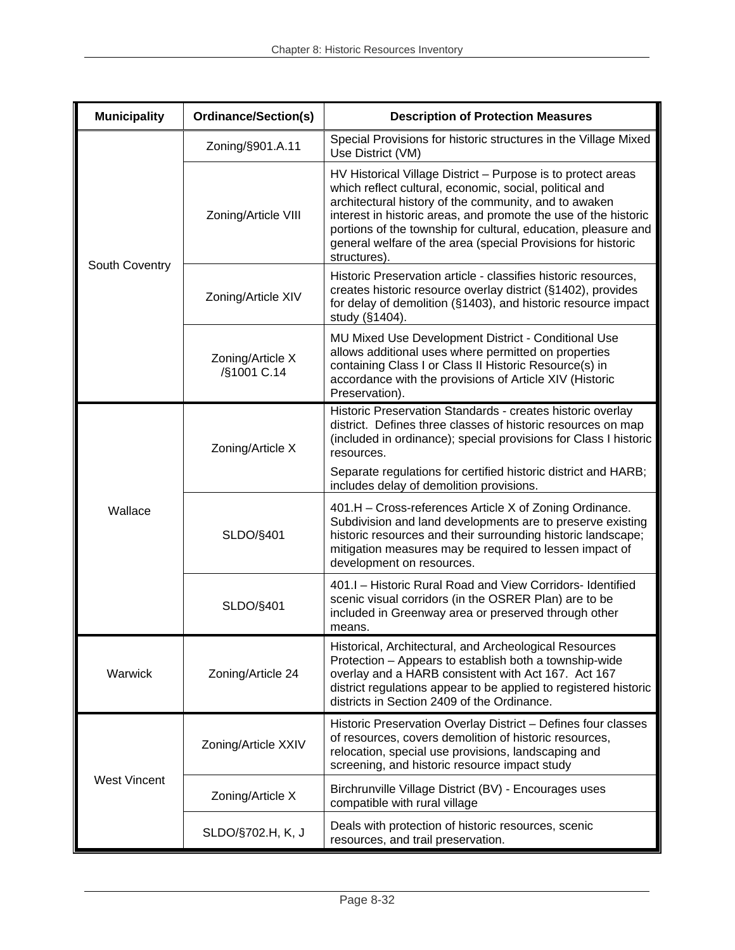| <b>Municipality</b>          | <b>Ordinance/Section(s)</b>     | <b>Description of Protection Measures</b>                                                                                                                                                                                                                                                                                                                                                             |
|------------------------------|---------------------------------|-------------------------------------------------------------------------------------------------------------------------------------------------------------------------------------------------------------------------------------------------------------------------------------------------------------------------------------------------------------------------------------------------------|
|                              | Zoning/§901.A.11                | Special Provisions for historic structures in the Village Mixed<br>Use District (VM)                                                                                                                                                                                                                                                                                                                  |
| South Coventry               | Zoning/Article VIII             | HV Historical Village District - Purpose is to protect areas<br>which reflect cultural, economic, social, political and<br>architectural history of the community, and to awaken<br>interest in historic areas, and promote the use of the historic<br>portions of the township for cultural, education, pleasure and<br>general welfare of the area (special Provisions for historic<br>structures). |
|                              | Zoning/Article XIV              | Historic Preservation article - classifies historic resources,<br>creates historic resource overlay district (§1402), provides<br>for delay of demolition (§1403), and historic resource impact<br>study (§1404).                                                                                                                                                                                     |
|                              | Zoning/Article X<br>/§1001 C.14 | MU Mixed Use Development District - Conditional Use<br>allows additional uses where permitted on properties<br>containing Class I or Class II Historic Resource(s) in<br>accordance with the provisions of Article XIV (Historic<br>Preservation).                                                                                                                                                    |
|                              | Zoning/Article X                | Historic Preservation Standards - creates historic overlay<br>district. Defines three classes of historic resources on map<br>(included in ordinance); special provisions for Class I historic<br>resources.                                                                                                                                                                                          |
| Wallace                      |                                 | Separate regulations for certified historic district and HARB;<br>includes delay of demolition provisions.                                                                                                                                                                                                                                                                                            |
|                              | SLDO/§401                       | 401.H - Cross-references Article X of Zoning Ordinance.<br>Subdivision and land developments are to preserve existing<br>historic resources and their surrounding historic landscape;<br>mitigation measures may be required to lessen impact of<br>development on resources.                                                                                                                         |
|                              | SLDO/§401                       | 401.1 - Historic Rural Road and View Corridors- Identified<br>scenic visual corridors (in the OSRER Plan) are to be<br>included in Greenway area or preserved through other<br>means.                                                                                                                                                                                                                 |
| Warwick<br>Zoning/Article 24 |                                 | Historical, Architectural, and Archeological Resources<br>Protection - Appears to establish both a township-wide<br>overlay and a HARB consistent with Act 167. Act 167<br>district regulations appear to be applied to registered historic<br>districts in Section 2409 of the Ordinance.                                                                                                            |
|                              | Zoning/Article XXIV             | Historic Preservation Overlay District - Defines four classes<br>of resources, covers demolition of historic resources,<br>relocation, special use provisions, landscaping and<br>screening, and historic resource impact study                                                                                                                                                                       |
| <b>West Vincent</b>          | Zoning/Article X                | Birchrunville Village District (BV) - Encourages uses<br>compatible with rural village                                                                                                                                                                                                                                                                                                                |
|                              | SLDO/§702.H, K, J               | Deals with protection of historic resources, scenic<br>resources, and trail preservation.                                                                                                                                                                                                                                                                                                             |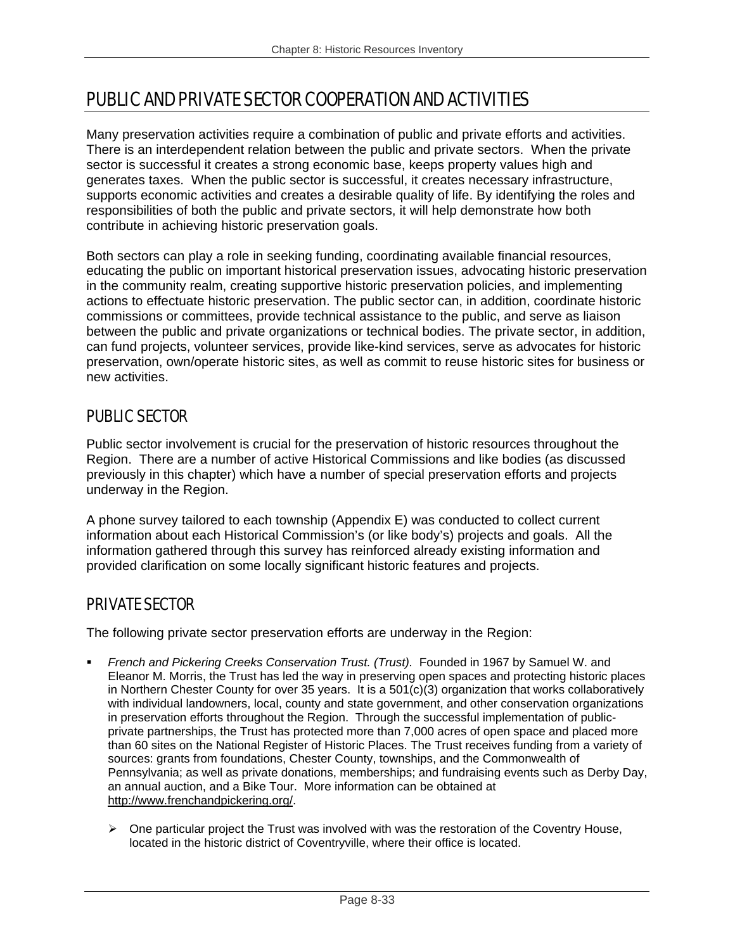# PUBLIC AND PRIVATE SECTOR COOPERATION AND ACTIVITIES

Many preservation activities require a combination of public and private efforts and activities. There is an interdependent relation between the public and private sectors. When the private sector is successful it creates a strong economic base, keeps property values high and generates taxes. When the public sector is successful, it creates necessary infrastructure, supports economic activities and creates a desirable quality of life. By identifying the roles and responsibilities of both the public and private sectors, it will help demonstrate how both contribute in achieving historic preservation goals.

Both sectors can play a role in seeking funding, coordinating available financial resources, educating the public on important historical preservation issues, advocating historic preservation in the community realm, creating supportive historic preservation policies, and implementing actions to effectuate historic preservation. The public sector can, in addition, coordinate historic commissions or committees, provide technical assistance to the public, and serve as liaison between the public and private organizations or technical bodies. The private sector, in addition, can fund projects, volunteer services, provide like-kind services, serve as advocates for historic preservation, own/operate historic sites, as well as commit to reuse historic sites for business or new activities.

## PUBLIC SECTOR

Public sector involvement is crucial for the preservation of historic resources throughout the Region. There are a number of active Historical Commissions and like bodies (as discussed previously in this chapter) which have a number of special preservation efforts and projects underway in the Region.

A phone survey tailored to each township (Appendix E) was conducted to collect current information about each Historical Commission's (or like body's) projects and goals. All the information gathered through this survey has reinforced already existing information and provided clarification on some locally significant historic features and projects.

## PRIVATE SECTOR

The following private sector preservation efforts are underway in the Region:

- *French and Pickering Creeks Conservation Trust. (Trust).* Founded in 1967 by Samuel W. and Eleanor M. Morris, the Trust has led the way in preserving open spaces and protecting historic places in Northern Chester County for over 35 years. It is a 501(c)(3) organization that works collaboratively with individual landowners, local, county and state government, and other conservation organizations in preservation efforts throughout the Region. Through the successful implementation of publicprivate partnerships, the Trust has protected more than 7,000 acres of open space and placed more than 60 sites on the National Register of Historic Places. The Trust receives funding from a variety of sources: grants from foundations, Chester County, townships, and the Commonwealth of Pennsylvania; as well as private donations, memberships; and fundraising events such as Derby Day, an annual auction, and a Bike Tour. More information can be obtained at http://www.frenchandpickering.org/.
	- $\triangleright$  One particular project the Trust was involved with was the restoration of the Coventry House, located in the historic district of Coventryville, where their office is located.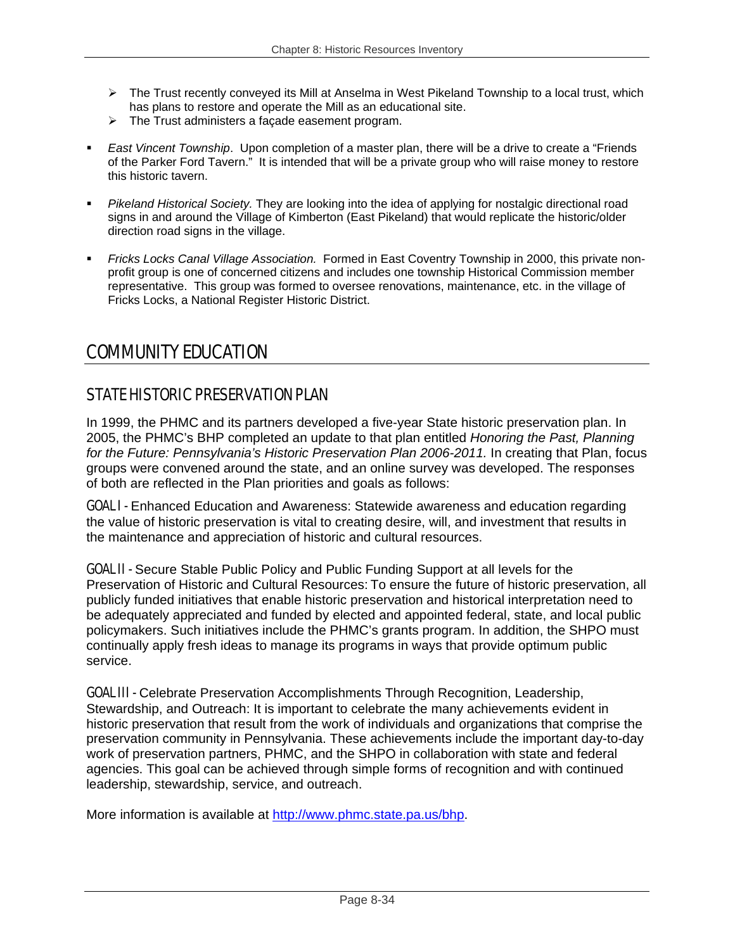- ¾ The Trust recently conveyed its Mill at Anselma in West Pikeland Township to a local trust, which has plans to restore and operate the Mill as an educational site.
- $\triangleright$  The Trust administers a façade easement program.
- *East Vincent Township*. Upon completion of a master plan, there will be a drive to create a "Friends of the Parker Ford Tavern." It is intended that will be a private group who will raise money to restore this historic tavern.
- *Pikeland Historical Society.* They are looking into the idea of applying for nostalgic directional road signs in and around the Village of Kimberton (East Pikeland) that would replicate the historic/older direction road signs in the village.
- *Fricks Locks Canal Village Association.* Formed in East Coventry Township in 2000, this private nonprofit group is one of concerned citizens and includes one township Historical Commission member representative. This group was formed to oversee renovations, maintenance, etc. in the village of Fricks Locks, a National Register Historic District.

# COMMUNITY EDUCATION

# STATE HISTORIC PRESERVATION PLAN

In 1999, the PHMC and its partners developed a five-year State historic preservation plan. In 2005, the PHMC's BHP completed an update to that plan entitled *Honoring the Past, Planning*  for the Future: Pennsylvania's Historic Preservation Plan 2006-2011. In creating that Plan, focus groups were convened around the state, and an online survey was developed. The responses of both are reflected in the Plan priorities and goals as follows:

**GOAL I -** Enhanced Education and Awareness: Statewide awareness and education regarding the value of historic preservation is vital to creating desire, will, and investment that results in the maintenance and appreciation of historic and cultural resources.

**GOAL II -** Secure Stable Public Policy and Public Funding Support at all levels for the Preservation of Historic and Cultural Resources: To ensure the future of historic preservation, all publicly funded initiatives that enable historic preservation and historical interpretation need to be adequately appreciated and funded by elected and appointed federal, state, and local public policymakers. Such initiatives include the PHMC's grants program. In addition, the SHPO must continually apply fresh ideas to manage its programs in ways that provide optimum public service.

**GOAL III -** Celebrate Preservation Accomplishments Through Recognition, Leadership, Stewardship, and Outreach: It is important to celebrate the many achievements evident in historic preservation that result from the work of individuals and organizations that comprise the preservation community in Pennsylvania. These achievements include the important day-to-day work of preservation partners, PHMC, and the SHPO in collaboration with state and federal agencies. This goal can be achieved through simple forms of recognition and with continued leadership, stewardship, service, and outreach.

More information is available at http://www.phmc.state.pa.us/bhp.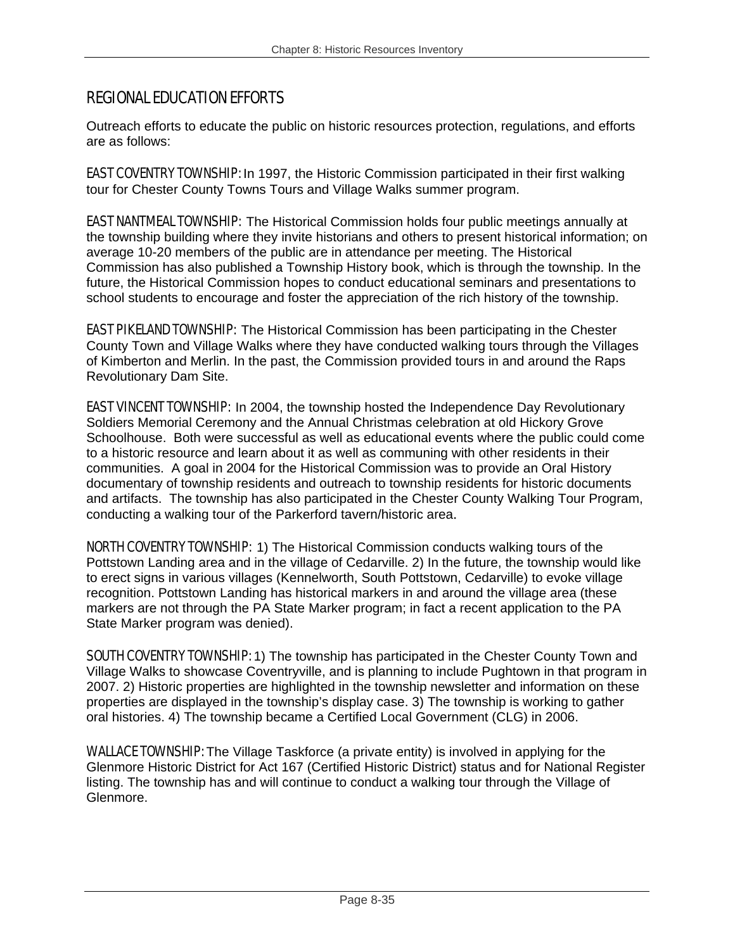## REGIONAL EDUCATION EFFORTS

Outreach efforts to educate the public on historic resources protection, regulations, and efforts are as follows:

**EAST COVENTRY TOWNSHIP:** In 1997, the Historic Commission participated in their first walking tour for Chester County Towns Tours and Village Walks summer program.

**EAST NANTMEAL TOWNSHIP:** The Historical Commission holds four public meetings annually at the township building where they invite historians and others to present historical information; on average 10-20 members of the public are in attendance per meeting. The Historical Commission has also published a Township History book, which is through the township. In the future, the Historical Commission hopes to conduct educational seminars and presentations to school students to encourage and foster the appreciation of the rich history of the township.

**EAST PIKELAND TOWNSHIP:** The Historical Commission has been participating in the Chester County Town and Village Walks where they have conducted walking tours through the Villages of Kimberton and Merlin. In the past, the Commission provided tours in and around the Raps Revolutionary Dam Site.

**EAST VINCENT TOWNSHIP:** In 2004, the township hosted the Independence Day Revolutionary Soldiers Memorial Ceremony and the Annual Christmas celebration at old Hickory Grove Schoolhouse. Both were successful as well as educational events where the public could come to a historic resource and learn about it as well as communing with other residents in their communities. A goal in 2004 for the Historical Commission was to provide an Oral History documentary of township residents and outreach to township residents for historic documents and artifacts. The township has also participated in the Chester County Walking Tour Program, conducting a walking tour of the Parkerford tavern/historic area.

NORTH COVENTRY TOWNSHIP: 1) The Historical Commission conducts walking tours of the Pottstown Landing area and in the village of Cedarville. 2) In the future, the township would like to erect signs in various villages (Kennelworth, South Pottstown, Cedarville) to evoke village recognition. Pottstown Landing has historical markers in and around the village area (these markers are not through the PA State Marker program; in fact a recent application to the PA State Marker program was denied).

**SOUTH COVENTRY TOWNSHIP:** 1) The township has participated in the Chester County Town and Village Walks to showcase Coventryville, and is planning to include Pughtown in that program in 2007. 2) Historic properties are highlighted in the township newsletter and information on these properties are displayed in the township's display case. 3) The township is working to gather oral histories. 4) The township became a Certified Local Government (CLG) in 2006.

WALLACE TOWNSHIP: The Village Taskforce (a private entity) is involved in applying for the Glenmore Historic District for Act 167 (Certified Historic District) status and for National Register listing. The township has and will continue to conduct a walking tour through the Village of Glenmore.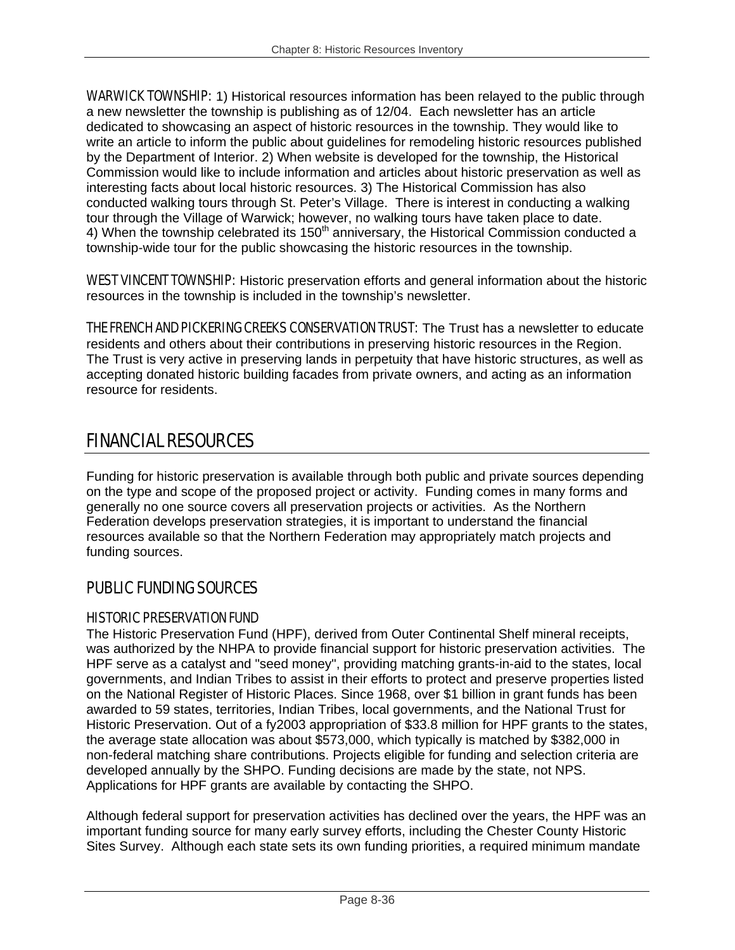**WARWICK TOWNSHIP:** 1) Historical resources information has been relayed to the public through a new newsletter the township is publishing as of 12/04. Each newsletter has an article dedicated to showcasing an aspect of historic resources in the township. They would like to write an article to inform the public about guidelines for remodeling historic resources published by the Department of Interior. 2) When website is developed for the township, the Historical Commission would like to include information and articles about historic preservation as well as interesting facts about local historic resources. 3) The Historical Commission has also conducted walking tours through St. Peter's Village. There is interest in conducting a walking tour through the Village of Warwick; however, no walking tours have taken place to date. 4) When the township celebrated its  $150<sup>th</sup>$  anniversary, the Historical Commission conducted a township-wide tour for the public showcasing the historic resources in the township.

WEST VINCENT TOWNSHIP: Historic preservation efforts and general information about the historic resources in the township is included in the township's newsletter.

**THE FRENCH AND PICKERING CREEKS CONSERVATION TRUST:** The Trust has a newsletter to educate residents and others about their contributions in preserving historic resources in the Region. The Trust is very active in preserving lands in perpetuity that have historic structures, as well as accepting donated historic building facades from private owners, and acting as an information resource for residents.

# FINANCIAL RESOURCES

Funding for historic preservation is available through both public and private sources depending on the type and scope of the proposed project or activity. Funding comes in many forms and generally no one source covers all preservation projects or activities. As the Northern Federation develops preservation strategies, it is important to understand the financial resources available so that the Northern Federation may appropriately match projects and funding sources.

## PUBLIC FUNDING SOURCES

## HISTORIC PRESERVATION FUND

The Historic Preservation Fund (HPF), derived from Outer Continental Shelf mineral receipts, was authorized by the NHPA to provide financial support for historic preservation activities. The HPF serve as a catalyst and "seed money", providing matching grants-in-aid to the states, local governments, and Indian Tribes to assist in their efforts to protect and preserve properties listed on the National Register of Historic Places. Since 1968, over \$1 billion in grant funds has been awarded to 59 states, territories, Indian Tribes, local governments, and the National Trust for Historic Preservation. Out of a fy2003 appropriation of \$33.8 million for HPF grants to the states, the average state allocation was about \$573,000, which typically is matched by \$382,000 in non-federal matching share contributions. Projects eligible for funding and selection criteria are developed annually by the SHPO. Funding decisions are made by the state, not NPS. Applications for HPF grants are available by contacting the SHPO.

Although federal support for preservation activities has declined over the years, the HPF was an important funding source for many early survey efforts, including the Chester County Historic Sites Survey. Although each state sets its own funding priorities, a required minimum mandate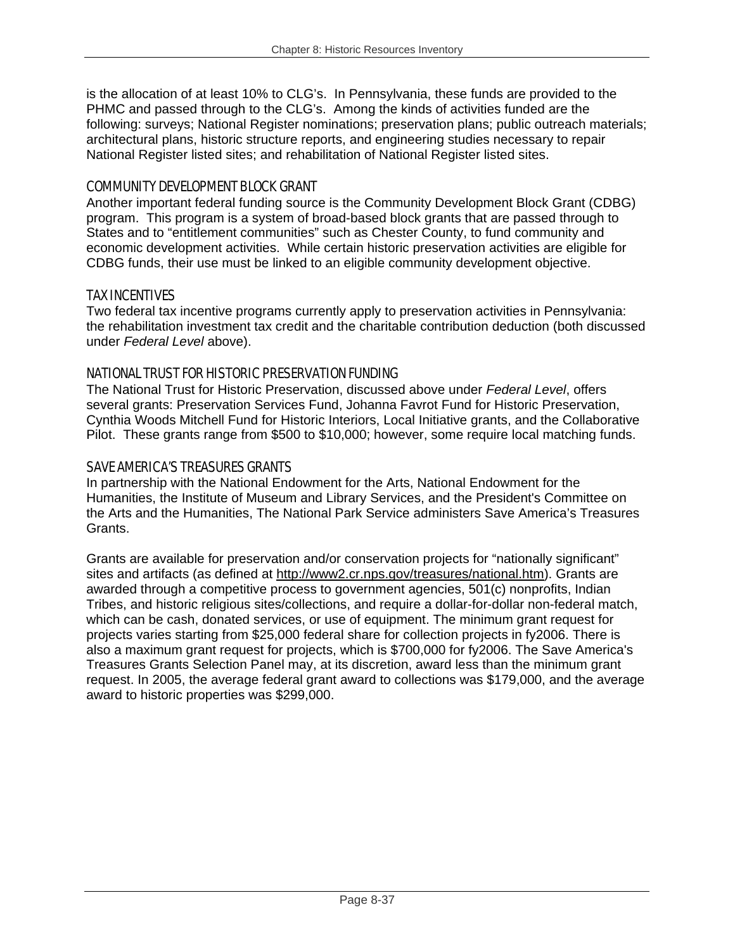is the allocation of at least 10% to CLG's. In Pennsylvania, these funds are provided to the PHMC and passed through to the CLG's. Among the kinds of activities funded are the following: surveys; National Register nominations; preservation plans; public outreach materials; architectural plans, historic structure reports, and engineering studies necessary to repair National Register listed sites; and rehabilitation of National Register listed sites.

## COMMUNITY DEVELOPMENT BLOCK GRANT

Another important federal funding source is the Community Development Block Grant (CDBG) program. This program is a system of broad-based block grants that are passed through to States and to "entitlement communities" such as Chester County, to fund community and economic development activities. While certain historic preservation activities are eligible for CDBG funds, their use must be linked to an eligible community development objective.

## TAX INCENTIVES

Two federal tax incentive programs currently apply to preservation activities in Pennsylvania: the rehabilitation investment tax credit and the charitable contribution deduction (both discussed under *Federal Level* above).

## NATIONAL TRUST FOR HISTORIC PRESERVATION FUNDING

The National Trust for Historic Preservation, discussed above under *Federal Level*, offers several grants: Preservation Services Fund, Johanna Favrot Fund for Historic Preservation, Cynthia Woods Mitchell Fund for Historic Interiors, Local Initiative grants, and the Collaborative Pilot. These grants range from \$500 to \$10,000; however, some require local matching funds.

## SAVE AMERICA'S TREASURES GRANTS

In partnership with the National Endowment for the Arts, National Endowment for the Humanities, the Institute of Museum and Library Services, and the President's Committee on the Arts and the Humanities, The National Park Service administers Save America's Treasures Grants.

Grants are available for preservation and/or conservation projects for "nationally significant" sites and artifacts (as defined at http://www2.cr.nps.gov/treasures/national.htm). Grants are awarded through a competitive process to government agencies, 501(c) nonprofits, Indian Tribes, and historic religious sites/collections, and require a dollar-for-dollar non-federal match, which can be cash, donated services, or use of equipment. The minimum grant request for projects varies starting from \$25,000 federal share for collection projects in fy2006. There is also a maximum grant request for projects, which is \$700,000 for fy2006. The Save America's Treasures Grants Selection Panel may, at its discretion, award less than the minimum grant request. In 2005, the average federal grant award to collections was \$179,000, and the average award to historic properties was \$299,000.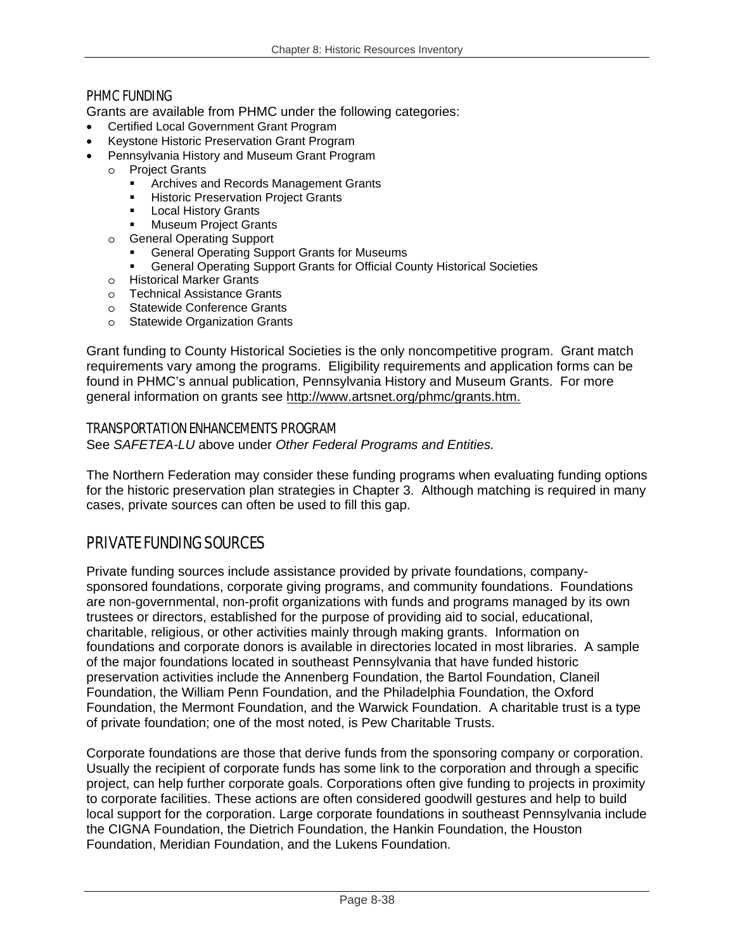## PHMC FUNDING

Grants are available from PHMC under the following categories:

- Certified Local Government Grant Program
- Keystone Historic Preservation Grant Program
	- Pennsylvania History and Museum Grant Program
- o Project Grants
	- Archives and Records Management Grants
	- Historic Preservation Project Grants
	- **Local History Grants**
	- Museum Project Grants
	- o General Operating Support
		- General Operating Support Grants for Museums
		- General Operating Support Grants for Official County Historical Societies
	- o Historical Marker Grants
	- o Technical Assistance Grants
	- o Statewide Conference Grants
	- o Statewide Organization Grants

Grant funding to County Historical Societies is the only noncompetitive program. Grant match requirements vary among the programs. Eligibility requirements and application forms can be found in PHMC's annual publication, Pennsylvania History and Museum Grants. For more general information on grants see http://www.artsnet.org/phmc/grants.htm.

## TRANSPORTATION ENHANCEMENTS PROGRAM

See *SAFETEA-LU* above under *Other Federal Programs and Entities.* 

The Northern Federation may consider these funding programs when evaluating funding options for the historic preservation plan strategies in Chapter 3. Although matching is required in many cases, private sources can often be used to fill this gap.

## PRIVATE FUNDING SOURCES

Private funding sources include assistance provided by private foundations, companysponsored foundations, corporate giving programs, and community foundations. Foundations are non-governmental, non-profit organizations with funds and programs managed by its own trustees or directors, established for the purpose of providing aid to social, educational, charitable, religious, or other activities mainly through making grants. Information on foundations and corporate donors is available in directories located in most libraries. A sample of the major foundations located in southeast Pennsylvania that have funded historic preservation activities include the Annenberg Foundation, the Bartol Foundation, Claneil Foundation, the William Penn Foundation, and the Philadelphia Foundation, the Oxford Foundation, the Mermont Foundation, and the Warwick Foundation. A charitable trust is a type of private foundation; one of the most noted, is Pew Charitable Trusts.

Corporate foundations are those that derive funds from the sponsoring company or corporation. Usually the recipient of corporate funds has some link to the corporation and through a specific project, can help further corporate goals. Corporations often give funding to projects in proximity to corporate facilities. These actions are often considered goodwill gestures and help to build local support for the corporation. Large corporate foundations in southeast Pennsylvania include the CIGNA Foundation, the Dietrich Foundation, the Hankin Foundation, the Houston Foundation, Meridian Foundation, and the Lukens Foundation.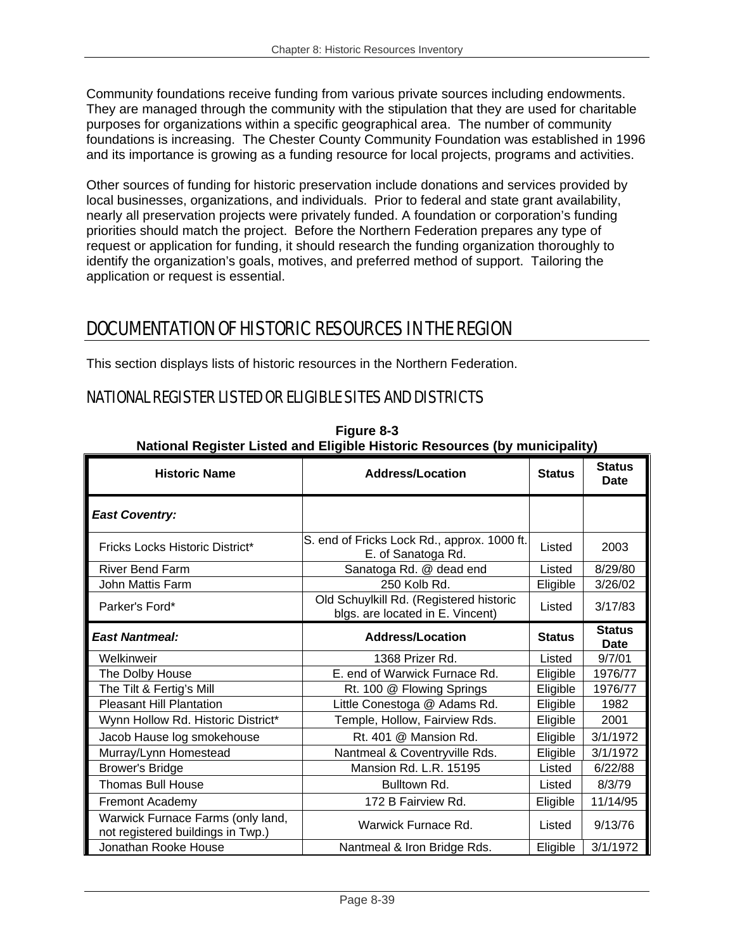Community foundations receive funding from various private sources including endowments. They are managed through the community with the stipulation that they are used for charitable purposes for organizations within a specific geographical area. The number of community foundations is increasing. The Chester County Community Foundation was established in 1996 and its importance is growing as a funding resource for local projects, programs and activities.

Other sources of funding for historic preservation include donations and services provided by local businesses, organizations, and individuals. Prior to federal and state grant availability, nearly all preservation projects were privately funded. A foundation or corporation's funding priorities should match the project. Before the Northern Federation prepares any type of request or application for funding, it should research the funding organization thoroughly to identify the organization's goals, motives, and preferred method of support. Tailoring the application or request is essential.

# DOCUMENTATION OF HISTORIC RESOURCES IN THE REGION

This section displays lists of historic resources in the Northern Federation.

## NATIONAL REGISTER LISTED OR ELIGIBLE SITES AND DISTRICTS

|                                                                        | ן השמטחומו ולפטוסנטי בוסגטע מחס בווטוטוט ווסגטווט ולפסטמוטטס (prinstrumu) ו |               |                              |
|------------------------------------------------------------------------|-----------------------------------------------------------------------------|---------------|------------------------------|
| <b>Historic Name</b>                                                   | <b>Address/Location</b>                                                     | <b>Status</b> | <b>Status</b><br>Date        |
| <b>East Coventry:</b>                                                  |                                                                             |               |                              |
| Fricks Locks Historic District*                                        | S. end of Fricks Lock Rd., approx. 1000 ft.<br>E. of Sanatoga Rd.           | Listed        | 2003                         |
| <b>River Bend Farm</b>                                                 | Sanatoga Rd. @ dead end                                                     | Listed        | 8/29/80                      |
| John Mattis Farm                                                       | 250 Kolb Rd.                                                                | Eligible      | 3/26/02                      |
| Parker's Ford*                                                         | Old Schuylkill Rd. (Registered historic<br>blgs. are located in E. Vincent) | Listed        | 3/17/83                      |
| <b>East Nantmeal:</b>                                                  | <b>Address/Location</b>                                                     | <b>Status</b> | <b>Status</b><br><b>Date</b> |
| Welkinweir                                                             | 1368 Prizer Rd.                                                             | Listed        | 9/7/01                       |
| The Dolby House                                                        | E. end of Warwick Furnace Rd.                                               | Eligible      | 1976/77                      |
| The Tilt & Fertig's Mill                                               | Rt. 100 @ Flowing Springs                                                   | Eligible      | 1976/77                      |
| <b>Pleasant Hill Plantation</b>                                        | Little Conestoga @ Adams Rd.                                                | Eligible      | 1982                         |
| Wynn Hollow Rd. Historic District*                                     | Temple, Hollow, Fairview Rds.                                               | Eligible      | 2001                         |
| Jacob Hause log smokehouse                                             | Rt. 401 @ Mansion Rd.                                                       | Eligible      | 3/1/1972                     |
| Murray/Lynn Homestead                                                  | Nantmeal & Coventryville Rds.                                               | Eligible      | 3/1/1972                     |
| <b>Brower's Bridge</b>                                                 | Mansion Rd. L.R. 15195                                                      | Listed        | 6/22/88                      |
| <b>Thomas Bull House</b>                                               | Bulltown Rd.                                                                | Listed        | 8/3/79                       |
| <b>Fremont Academy</b>                                                 | 172 B Fairview Rd.                                                          | Eligible      | 11/14/95                     |
| Warwick Furnace Farms (only land,<br>not registered buildings in Twp.) | Warwick Furnace Rd.                                                         | Listed        | 9/13/76                      |
| Jonathan Rooke House                                                   | Nantmeal & Iron Bridge Rds.                                                 | Eligible      | 3/1/1972                     |

**Figure 8-3 National Register Listed and Eligible Historic Resources (by municipality)**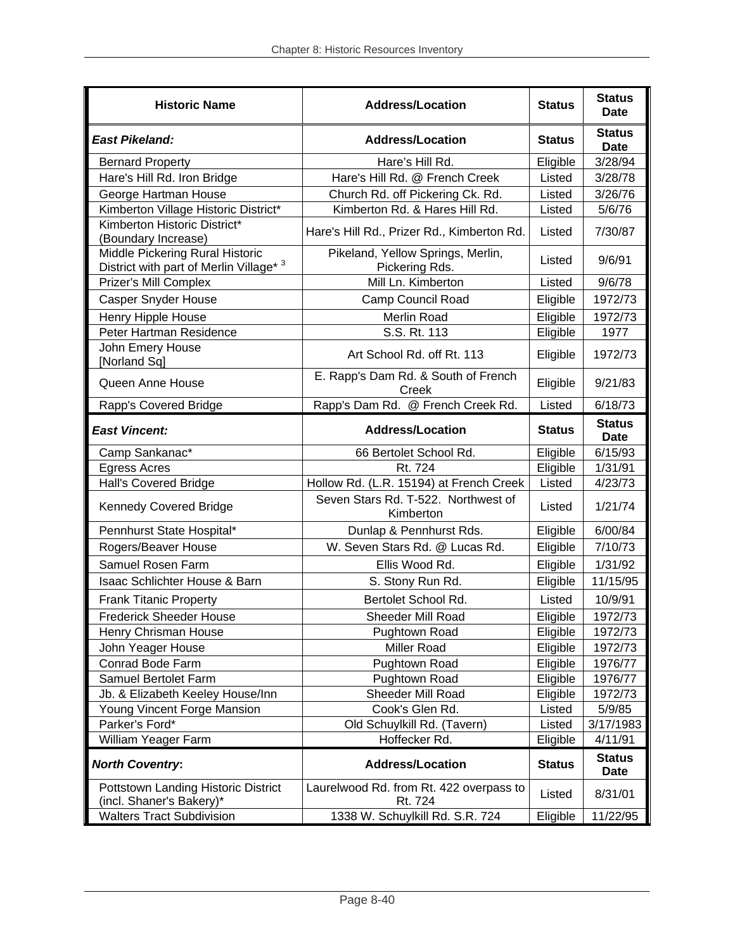| <b>Historic Name</b>                                                       | <b>Address/Location</b>                             | <b>Status</b> | <b>Status</b><br>Date        |
|----------------------------------------------------------------------------|-----------------------------------------------------|---------------|------------------------------|
| <b>East Pikeland:</b>                                                      | <b>Address/Location</b>                             | <b>Status</b> | <b>Status</b><br><b>Date</b> |
| <b>Bernard Property</b>                                                    | Hare's Hill Rd.                                     | Eligible      | 3/28/94                      |
| Hare's Hill Rd. Iron Bridge                                                | Hare's Hill Rd. @ French Creek                      | Listed        | 3/28/78                      |
| George Hartman House                                                       | Church Rd. off Pickering Ck. Rd.                    | Listed        | 3/26/76                      |
| Kimberton Village Historic District*                                       | Kimberton Rd. & Hares Hill Rd.                      | Listed        | 5/6/76                       |
| Kimberton Historic District*<br>(Boundary Increase)                        | Hare's Hill Rd., Prizer Rd., Kimberton Rd.          | Listed        | 7/30/87                      |
| Middle Pickering Rural Historic<br>District with part of Merlin Village* 3 | Pikeland, Yellow Springs, Merlin,<br>Pickering Rds. | Listed        | 9/6/91                       |
| Prizer's Mill Complex                                                      | Mill Ln. Kimberton                                  | Listed        | 9/6/78                       |
| Casper Snyder House                                                        | <b>Camp Council Road</b>                            | Eligible      | 1972/73                      |
| Henry Hipple House                                                         | Merlin Road                                         | Eligible      | 1972/73                      |
| Peter Hartman Residence                                                    | S.S. Rt. 113                                        | Eligible      | 1977                         |
| John Emery House<br>[Norland Sq]                                           | Art School Rd. off Rt. 113                          | Eligible      | 1972/73                      |
| Queen Anne House                                                           | E. Rapp's Dam Rd. & South of French<br>Creek        | Eligible      | 9/21/83                      |
| Rapp's Covered Bridge                                                      | Rapp's Dam Rd. @ French Creek Rd.                   | Listed        | 6/18/73                      |
| <b>East Vincent:</b>                                                       | <b>Address/Location</b>                             | <b>Status</b> | <b>Status</b><br><b>Date</b> |
| Camp Sankanac*                                                             | 66 Bertolet School Rd.                              | Eligible      | 6/15/93                      |
| <b>Egress Acres</b>                                                        | Rt. 724                                             | Eligible      | 1/31/91                      |
| <b>Hall's Covered Bridge</b>                                               | Hollow Rd. (L.R. 15194) at French Creek             | Listed        | 4/23/73                      |
| <b>Kennedy Covered Bridge</b>                                              | Seven Stars Rd. T-522. Northwest of<br>Kimberton    | Listed        | 1/21/74                      |
| Pennhurst State Hospital*                                                  | Dunlap & Pennhurst Rds.                             | Eligible      | 6/00/84                      |
| Rogers/Beaver House                                                        | W. Seven Stars Rd. @ Lucas Rd.                      | Eligible      | 7/10/73                      |
| Samuel Rosen Farm                                                          | Ellis Wood Rd.                                      | Eligible      | 1/31/92                      |
| Isaac Schlichter House & Barn                                              | S. Stony Run Rd.                                    | Eligible      | 11/15/95                     |
| <b>Frank Titanic Property</b>                                              | Bertolet School Rd.                                 | Listed        | 10/9/91                      |
| <b>Frederick Sheeder House</b>                                             | Sheeder Mill Road                                   | Eligible      | 1972/73                      |
| Henry Chrisman House                                                       | Pughtown Road                                       | Eligible      | 1972/73                      |
| John Yeager House                                                          | <b>Miller Road</b>                                  | Eligible      | 1972/73                      |
| Conrad Bode Farm                                                           | Pughtown Road                                       | Eligible      | 1976/77                      |
| Samuel Bertolet Farm                                                       | Pughtown Road                                       | Eligible      | 1976/77                      |
| Jb. & Elizabeth Keeley House/Inn                                           | Sheeder Mill Road                                   | Eligible      | 1972/73                      |
| Young Vincent Forge Mansion                                                | Cook's Glen Rd.                                     | Listed        | 5/9/85                       |
| Parker's Ford*                                                             | Old Schuylkill Rd. (Tavern)                         | Listed        | 3/17/1983                    |
| William Yeager Farm                                                        | Hoffecker Rd.                                       | Eligible      | 4/11/91                      |
| <b>North Coventry:</b>                                                     | <b>Address/Location</b>                             | <b>Status</b> | <b>Status</b><br><b>Date</b> |
| Pottstown Landing Historic District<br>(incl. Shaner's Bakery)*            | Laurelwood Rd. from Rt. 422 overpass to<br>Rt. 724  | Listed        | 8/31/01                      |
| 1338 W. Schuylkill Rd. S.R. 724<br><b>Walters Tract Subdivision</b>        |                                                     | Eligible      | 11/22/95                     |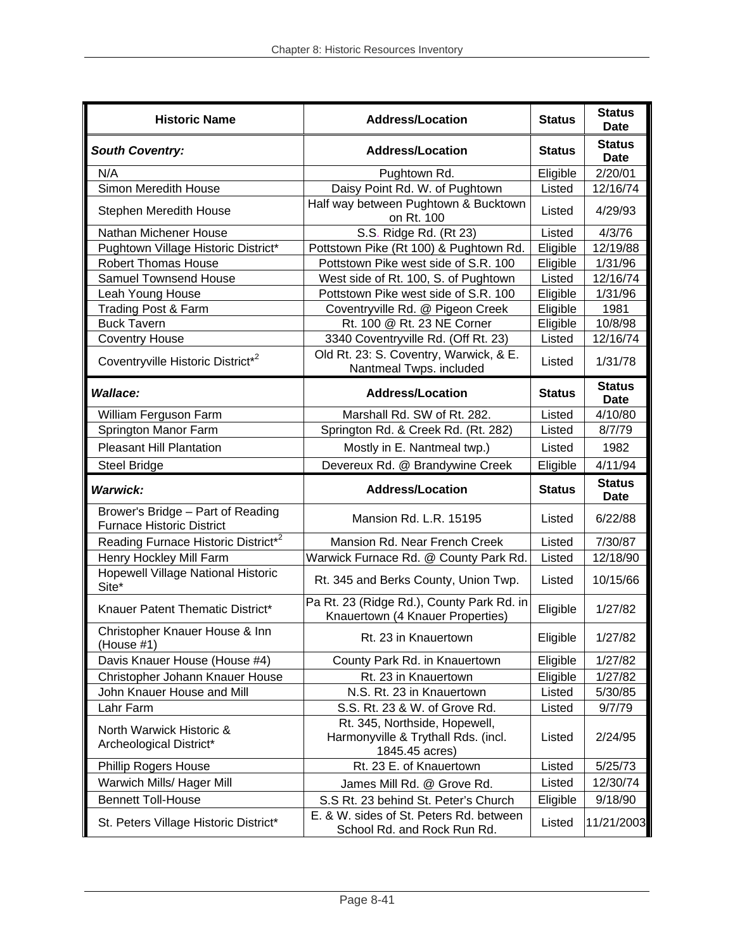| <b>Historic Name</b>                                                       | <b>Address/Location</b>                                                                | <b>Status</b>      | <b>Status</b><br><b>Date</b> |
|----------------------------------------------------------------------------|----------------------------------------------------------------------------------------|--------------------|------------------------------|
| <b>South Coventry:</b>                                                     | <b>Address/Location</b>                                                                | <b>Status</b>      | <b>Status</b><br>Date        |
| N/A                                                                        | Pughtown Rd.                                                                           | Eligible           | 2/20/01                      |
| Simon Meredith House                                                       | Daisy Point Rd. W. of Pughtown                                                         | Listed             | 12/16/74                     |
| Stephen Meredith House                                                     | Half way between Pughtown & Bucktown<br>on Rt. 100                                     | Listed             | 4/29/93                      |
| Nathan Michener House                                                      | S.S. Ridge Rd. (Rt 23)                                                                 | Listed             | 4/3/76                       |
| Pughtown Village Historic District*                                        | Pottstown Pike (Rt 100) & Pughtown Rd.                                                 | Eligible           | 12/19/88                     |
| <b>Robert Thomas House</b>                                                 | Pottstown Pike west side of S.R. 100                                                   | Eligible           | 1/31/96                      |
| <b>Samuel Townsend House</b>                                               | West side of Rt. 100, S. of Pughtown                                                   | Listed             | 12/16/74                     |
| Leah Young House                                                           | Pottstown Pike west side of S.R. 100                                                   | Eligible           | 1/31/96                      |
| Trading Post & Farm                                                        | Coventryville Rd. @ Pigeon Creek                                                       | Eligible           | 1981                         |
| <b>Buck Tavern</b>                                                         | Rt. 100 @ Rt. 23 NE Corner                                                             | Eligible           | 10/8/98                      |
| <b>Coventry House</b>                                                      | 3340 Coventryville Rd. (Off Rt. 23)                                                    | Listed             | 12/16/74                     |
| Coventryville Historic District*2                                          | Old Rt. 23: S. Coventry, Warwick, & E.<br>Nantmeal Twps. included                      | Listed             | 1/31/78                      |
| <b>Wallace:</b>                                                            | <b>Address/Location</b>                                                                | <b>Status</b>      | <b>Status</b><br><b>Date</b> |
| William Ferguson Farm                                                      | Marshall Rd. SW of Rt. 282.                                                            | Listed             | 4/10/80                      |
| Springton Manor Farm                                                       | Springton Rd. & Creek Rd. (Rt. 282)                                                    | Listed             | 8/7/79                       |
| <b>Pleasant Hill Plantation</b>                                            | Mostly in E. Nantmeal twp.)                                                            | Listed             | 1982                         |
| <b>Steel Bridge</b>                                                        | Devereux Rd. @ Brandywine Creek                                                        | Eligible           | 4/11/94                      |
| <b>Warwick:</b>                                                            | <b>Address/Location</b>                                                                | <b>Status</b>      | <b>Status</b><br><b>Date</b> |
| Brower's Bridge - Part of Reading                                          |                                                                                        |                    |                              |
| <b>Furnace Historic District</b>                                           | Mansion Rd. L.R. 15195                                                                 | Listed             | 6/22/88                      |
|                                                                            | Mansion Rd. Near French Creek                                                          | Listed             | 7/30/87                      |
| Reading Furnace Historic District* <sup>2</sup><br>Henry Hockley Mill Farm | Warwick Furnace Rd. @ County Park Rd.                                                  | Listed             | 12/18/90                     |
| Hopewell Village National Historic<br>Site*                                | Rt. 345 and Berks County, Union Twp.                                                   | Listed             | 10/15/66                     |
| Knauer Patent Thematic District*                                           | Pa Rt. 23 (Ridge Rd.), County Park Rd. in                                              | Eligible           | 1/27/82                      |
| Christopher Knauer House & Inn<br>(House #1)                               | Knauertown (4 Knauer Properties)<br>Rt. 23 in Knauertown                               | Eligible           | 1/27/82                      |
| Davis Knauer House (House #4)                                              | County Park Rd. in Knauertown                                                          | Eligible           | 1/27/82                      |
|                                                                            | Rt. 23 in Knauertown                                                                   |                    | 1/27/82                      |
| Christopher Johann Knauer House<br>John Knauer House and Mill              | N.S. Rt. 23 in Knauertown                                                              | Eligible<br>Listed | 5/30/85                      |
| Lahr Farm                                                                  | S.S. Rt. 23 & W. of Grove Rd.                                                          | Listed             | 9/7/79                       |
| North Warwick Historic &<br>Archeological District*                        | Rt. 345, Northside, Hopewell,<br>Harmonyville & Trythall Rds. (incl.<br>1845.45 acres) | Listed             | 2/24/95                      |
| <b>Phillip Rogers House</b>                                                | Rt. 23 E. of Knauertown                                                                | Listed             | 5/25/73                      |
| Warwich Mills/ Hager Mill                                                  |                                                                                        | Listed             | 12/30/74                     |
| <b>Bennett Toll-House</b>                                                  | James Mill Rd. @ Grove Rd.<br>S.S Rt. 23 behind St. Peter's Church                     | Eligible           | 9/18/90                      |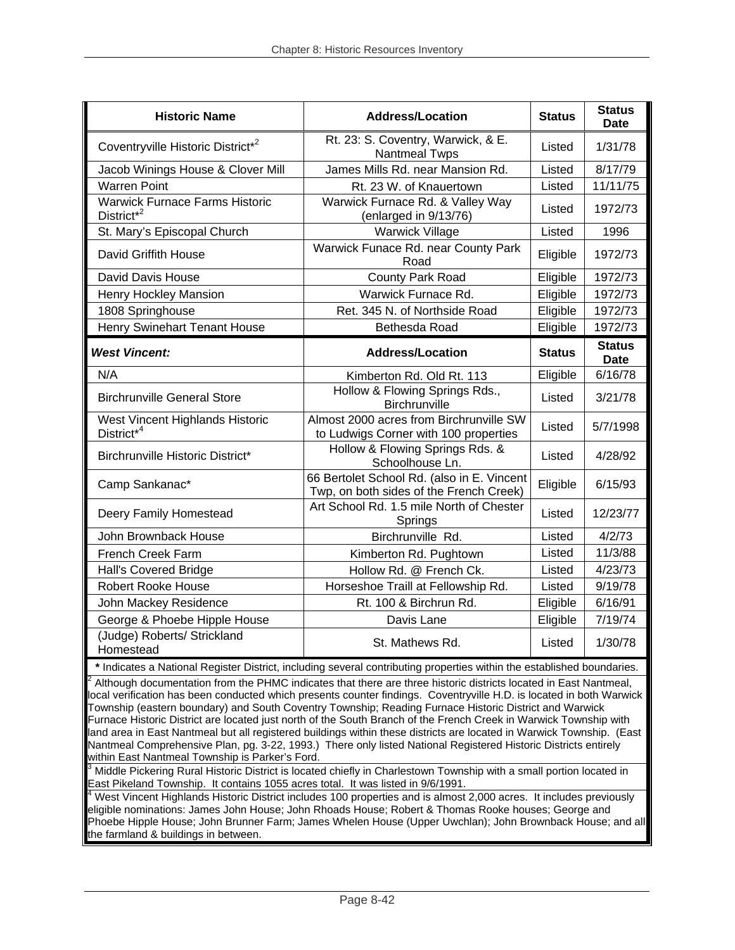| <b>Historic Name</b>                                                                                                                                                                                                                                                                                                                                                                                                                                                                                                                                                                                                                                                                                                                                                   | <b>Address/Location</b>                                                                                                | <b>Status</b> | <b>Status</b><br><b>Date</b> |
|------------------------------------------------------------------------------------------------------------------------------------------------------------------------------------------------------------------------------------------------------------------------------------------------------------------------------------------------------------------------------------------------------------------------------------------------------------------------------------------------------------------------------------------------------------------------------------------------------------------------------------------------------------------------------------------------------------------------------------------------------------------------|------------------------------------------------------------------------------------------------------------------------|---------------|------------------------------|
| Coventryville Historic District* <sup>2</sup>                                                                                                                                                                                                                                                                                                                                                                                                                                                                                                                                                                                                                                                                                                                          | Rt. 23: S. Coventry, Warwick, & E.<br><b>Nantmeal Twps</b>                                                             | Listed        | 1/31/78                      |
| Jacob Winings House & Clover Mill                                                                                                                                                                                                                                                                                                                                                                                                                                                                                                                                                                                                                                                                                                                                      | James Mills Rd. near Mansion Rd.                                                                                       | Listed        | 8/17/79                      |
| <b>Warren Point</b>                                                                                                                                                                                                                                                                                                                                                                                                                                                                                                                                                                                                                                                                                                                                                    | Rt. 23 W. of Knauertown                                                                                                | Listed        | 11/11/75                     |
| <b>Warwick Furnace Farms Historic</b><br>District <sup>*2</sup>                                                                                                                                                                                                                                                                                                                                                                                                                                                                                                                                                                                                                                                                                                        | Warwick Furnace Rd. & Valley Way<br>(enlarged in 9/13/76)                                                              | Listed        | 1972/73                      |
| St. Mary's Episcopal Church                                                                                                                                                                                                                                                                                                                                                                                                                                                                                                                                                                                                                                                                                                                                            | <b>Warwick Village</b>                                                                                                 | Listed        | 1996                         |
| David Griffith House                                                                                                                                                                                                                                                                                                                                                                                                                                                                                                                                                                                                                                                                                                                                                   | Warwick Funace Rd. near County Park<br>Road                                                                            | Eligible      | 1972/73                      |
| David Davis House                                                                                                                                                                                                                                                                                                                                                                                                                                                                                                                                                                                                                                                                                                                                                      | County Park Road                                                                                                       | Eligible      | 1972/73                      |
| Henry Hockley Mansion                                                                                                                                                                                                                                                                                                                                                                                                                                                                                                                                                                                                                                                                                                                                                  | Warwick Furnace Rd.                                                                                                    | Eligible      | 1972/73                      |
| 1808 Springhouse                                                                                                                                                                                                                                                                                                                                                                                                                                                                                                                                                                                                                                                                                                                                                       | Ret. 345 N. of Northside Road                                                                                          | Eligible      | 1972/73                      |
| Henry Swinehart Tenant House                                                                                                                                                                                                                                                                                                                                                                                                                                                                                                                                                                                                                                                                                                                                           | Bethesda Road                                                                                                          | Eligible      | 1972/73                      |
| <b>West Vincent:</b>                                                                                                                                                                                                                                                                                                                                                                                                                                                                                                                                                                                                                                                                                                                                                   | <b>Address/Location</b>                                                                                                | <b>Status</b> | <b>Status</b><br><b>Date</b> |
| N/A                                                                                                                                                                                                                                                                                                                                                                                                                                                                                                                                                                                                                                                                                                                                                                    | Kimberton Rd. Old Rt. 113                                                                                              | Eligible      | 6/16/78                      |
| <b>Birchrunville General Store</b>                                                                                                                                                                                                                                                                                                                                                                                                                                                                                                                                                                                                                                                                                                                                     | Hollow & Flowing Springs Rds.,<br>Birchrunville                                                                        | Listed        | 3/21/78                      |
| West Vincent Highlands Historic<br>District <sup>*4</sup>                                                                                                                                                                                                                                                                                                                                                                                                                                                                                                                                                                                                                                                                                                              | Almost 2000 acres from Birchrunville SW<br>to Ludwigs Corner with 100 properties                                       | Listed        | 5/7/1998                     |
| Birchrunville Historic District*                                                                                                                                                                                                                                                                                                                                                                                                                                                                                                                                                                                                                                                                                                                                       | Hollow & Flowing Springs Rds. &<br>Schoolhouse Ln.                                                                     | Listed        | 4/28/92                      |
| Camp Sankanac*                                                                                                                                                                                                                                                                                                                                                                                                                                                                                                                                                                                                                                                                                                                                                         | 66 Bertolet School Rd. (also in E. Vincent<br>Twp, on both sides of the French Creek)                                  | Eligible      | 6/15/93                      |
| Deery Family Homestead                                                                                                                                                                                                                                                                                                                                                                                                                                                                                                                                                                                                                                                                                                                                                 | Art School Rd. 1.5 mile North of Chester<br>Springs                                                                    | Listed        | 12/23/77                     |
| John Brownback House                                                                                                                                                                                                                                                                                                                                                                                                                                                                                                                                                                                                                                                                                                                                                   | Birchrunville Rd.                                                                                                      | Listed        | 4/2/73                       |
| French Creek Farm                                                                                                                                                                                                                                                                                                                                                                                                                                                                                                                                                                                                                                                                                                                                                      | Kimberton Rd. Pughtown                                                                                                 | Listed        | 11/3/88                      |
| Hall's Covered Bridge                                                                                                                                                                                                                                                                                                                                                                                                                                                                                                                                                                                                                                                                                                                                                  | Hollow Rd. @ French Ck.                                                                                                | Listed        | 4/23/73                      |
| <b>Robert Rooke House</b>                                                                                                                                                                                                                                                                                                                                                                                                                                                                                                                                                                                                                                                                                                                                              | Horseshoe Traill at Fellowship Rd.                                                                                     | Listed        | 9/19/78                      |
| John Mackey Residence                                                                                                                                                                                                                                                                                                                                                                                                                                                                                                                                                                                                                                                                                                                                                  | Rt. 100 & Birchrun Rd.                                                                                                 | Eligible      | 6/16/91                      |
| George & Phoebe Hipple House                                                                                                                                                                                                                                                                                                                                                                                                                                                                                                                                                                                                                                                                                                                                           | Davis Lane                                                                                                             | Eligible      | 7/19/74                      |
| (Judge) Roberts/ Strickland<br>Homestead                                                                                                                                                                                                                                                                                                                                                                                                                                                                                                                                                                                                                                                                                                                               | St. Mathews Rd.                                                                                                        | Listed        | 1/30/78                      |
|                                                                                                                                                                                                                                                                                                                                                                                                                                                                                                                                                                                                                                                                                                                                                                        | * Indicates a National Register District, including several contributing properties within the established boundaries. |               |                              |
| Although documentation from the PHMC indicates that there are three historic districts located in East Nantmeal,<br>local verification has been conducted which presents counter findings. Coventryville H.D. is located in both Warwick<br>Township (eastern boundary) and South Coventry Township; Reading Furnace Historic District and Warwick<br>Furnace Historic District are located just north of the South Branch of the French Creek in Warwick Township with<br>land area in East Nantmeal but all registered buildings within these districts are located in Warwick Township. (East<br>Nantmeal Comprehensive Plan, pg. 3-22, 1993.) There only listed National Registered Historic Districts entirely<br>within East Nantmeal Township is Parker's Ford. |                                                                                                                        |               |                              |
| $^3$ Middle Pickering Rural Historic District is located chiefly in Charlestown Township with a small portion located in<br>East Pikeland Township. It contains 1055 acres total. It was listed in 9/6/1991.<br>West Vincent Highlands Historic District includes 100 properties and is almost 2,000 acres. It includes previously                                                                                                                                                                                                                                                                                                                                                                                                                                     |                                                                                                                        |               |                              |

eligible nominations: James John House; John Rhoads House; Robert & Thomas Rooke houses; George and Phoebe Hipple House; John Brunner Farm; James Whelen House (Upper Uwchlan); John Brownback House; and all the farmland & buildings in between.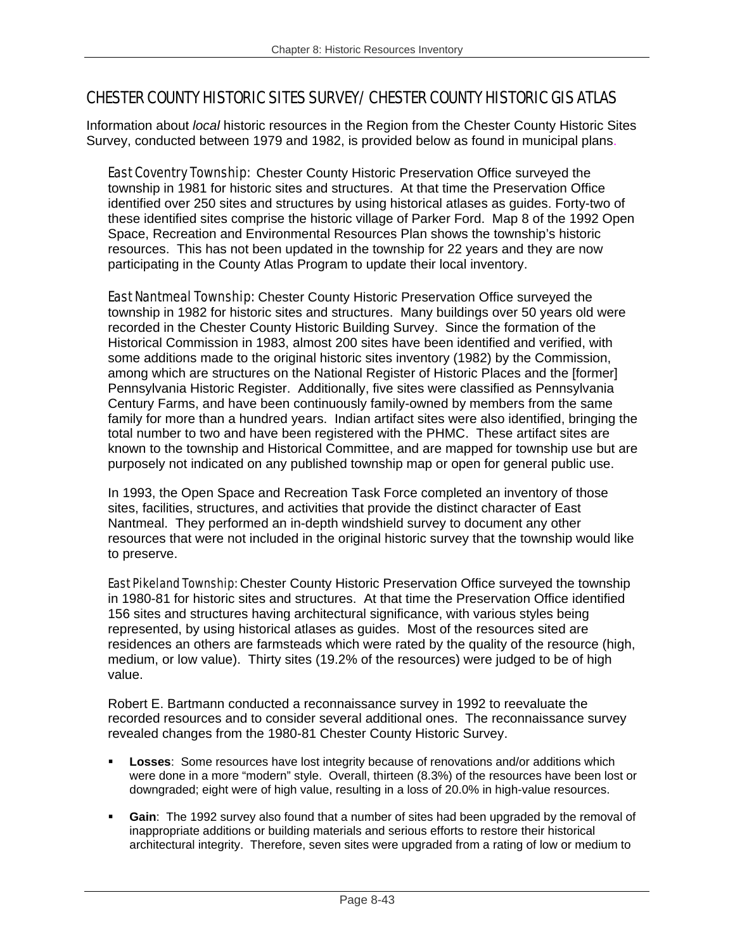# CHESTER COUNTY HISTORIC SITES SURVEY/ CHESTER COUNTY HISTORIC GIS ATLAS

Information about *local* historic resources in the Region from the Chester County Historic Sites Survey, conducted between 1979 and 1982, is provided below as found in municipal plans.

**East Coventry Township:** Chester County Historic Preservation Office surveyed the township in 1981 for historic sites and structures. At that time the Preservation Office identified over 250 sites and structures by using historical atlases as guides. Forty-two of these identified sites comprise the historic village of Parker Ford. Map 8 of the 1992 Open Space, Recreation and Environmental Resources Plan shows the township's historic resources. This has not been updated in the township for 22 years and they are now participating in the County Atlas Program to update their local inventory.

**East Nantmeal Township:** Chester County Historic Preservation Office surveyed the township in 1982 for historic sites and structures. Many buildings over 50 years old were recorded in the Chester County Historic Building Survey. Since the formation of the Historical Commission in 1983, almost 200 sites have been identified and verified, with some additions made to the original historic sites inventory (1982) by the Commission, among which are structures on the National Register of Historic Places and the [former] Pennsylvania Historic Register. Additionally, five sites were classified as Pennsylvania Century Farms, and have been continuously family-owned by members from the same family for more than a hundred years. Indian artifact sites were also identified, bringing the total number to two and have been registered with the PHMC. These artifact sites are known to the township and Historical Committee, and are mapped for township use but are purposely not indicated on any published township map or open for general public use.

In 1993, the Open Space and Recreation Task Force completed an inventory of those sites, facilities, structures, and activities that provide the distinct character of East Nantmeal. They performed an in-depth windshield survey to document any other resources that were not included in the original historic survey that the township would like to preserve.

**East Pikeland Township:** Chester County Historic Preservation Office surveyed the township in 1980-81 for historic sites and structures. At that time the Preservation Office identified 156 sites and structures having architectural significance, with various styles being represented, by using historical atlases as guides. Most of the resources sited are residences an others are farmsteads which were rated by the quality of the resource (high, medium, or low value). Thirty sites (19.2% of the resources) were judged to be of high value.

Robert E. Bartmann conducted a reconnaissance survey in 1992 to reevaluate the recorded resources and to consider several additional ones. The reconnaissance survey revealed changes from the 1980-81 Chester County Historic Survey.

- **Losses**: Some resources have lost integrity because of renovations and/or additions which were done in a more "modern" style. Overall, thirteen (8.3%) of the resources have been lost or downgraded; eight were of high value, resulting in a loss of 20.0% in high-value resources.
- **Gain**: The 1992 survey also found that a number of sites had been upgraded by the removal of inappropriate additions or building materials and serious efforts to restore their historical architectural integrity. Therefore, seven sites were upgraded from a rating of low or medium to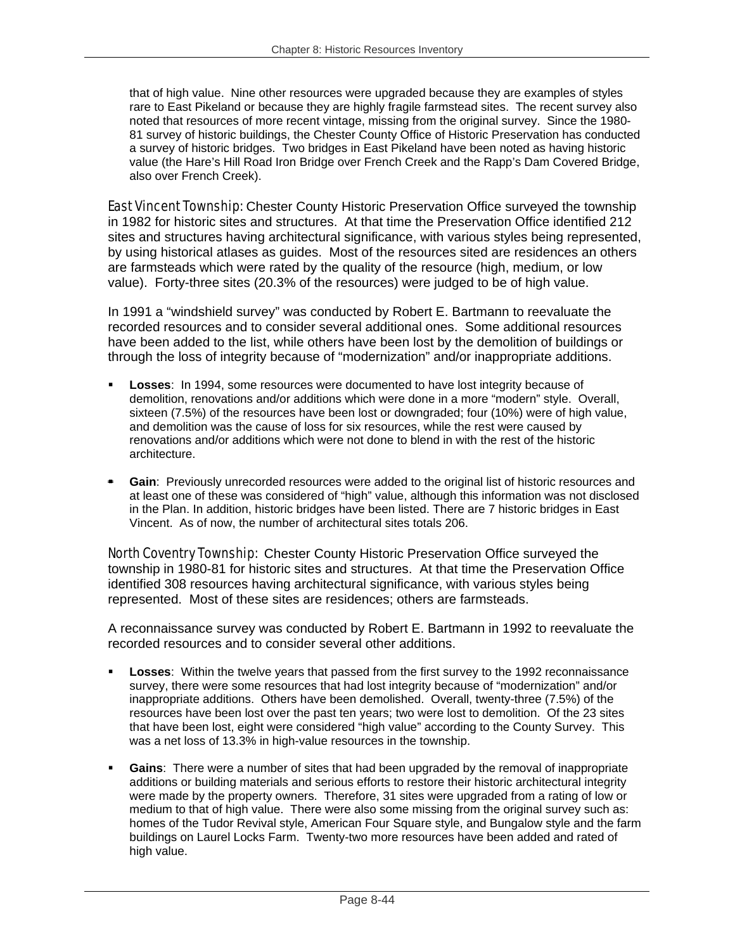that of high value. Nine other resources were upgraded because they are examples of styles rare to East Pikeland or because they are highly fragile farmstead sites. The recent survey also noted that resources of more recent vintage, missing from the original survey. Since the 1980- 81 survey of historic buildings, the Chester County Office of Historic Preservation has conducted a survey of historic bridges. Two bridges in East Pikeland have been noted as having historic value (the Hare's Hill Road Iron Bridge over French Creek and the Rapp's Dam Covered Bridge, also over French Creek).

**East Vincent Township:** Chester County Historic Preservation Office surveyed the township in 1982 for historic sites and structures. At that time the Preservation Office identified 212 sites and structures having architectural significance, with various styles being represented, by using historical atlases as guides. Most of the resources sited are residences an others are farmsteads which were rated by the quality of the resource (high, medium, or low value). Forty-three sites (20.3% of the resources) were judged to be of high value.

In 1991 a "windshield survey" was conducted by Robert E. Bartmann to reevaluate the recorded resources and to consider several additional ones. Some additional resources have been added to the list, while others have been lost by the demolition of buildings or through the loss of integrity because of "modernization" and/or inappropriate additions.

- **Losses**: In 1994, some resources were documented to have lost integrity because of demolition, renovations and/or additions which were done in a more "modern" style. Overall, sixteen (7.5%) of the resources have been lost or downgraded; four (10%) were of high value, and demolition was the cause of loss for six resources, while the rest were caused by renovations and/or additions which were not done to blend in with the rest of the historic architecture.
- **Gain**: Previously unrecorded resources were added to the original list of historic resources and at least one of these was considered of "high" value, although this information was not disclosed in the Plan. In addition, historic bridges have been listed. There are 7 historic bridges in East Vincent. As of now, the number of architectural sites totals 206.

**North Coventry Township:** Chester County Historic Preservation Office surveyed the township in 1980-81 for historic sites and structures. At that time the Preservation Office identified 308 resources having architectural significance, with various styles being represented. Most of these sites are residences; others are farmsteads.

A reconnaissance survey was conducted by Robert E. Bartmann in 1992 to reevaluate the recorded resources and to consider several other additions.

- **Losses**: Within the twelve years that passed from the first survey to the 1992 reconnaissance survey, there were some resources that had lost integrity because of "modernization" and/or inappropriate additions. Others have been demolished. Overall, twenty-three (7.5%) of the resources have been lost over the past ten years; two were lost to demolition. Of the 23 sites that have been lost, eight were considered "high value" according to the County Survey. This was a net loss of 13.3% in high-value resources in the township.
- **Gains**: There were a number of sites that had been upgraded by the removal of inappropriate additions or building materials and serious efforts to restore their historic architectural integrity were made by the property owners. Therefore, 31 sites were upgraded from a rating of low or medium to that of high value. There were also some missing from the original survey such as: homes of the Tudor Revival style, American Four Square style, and Bungalow style and the farm buildings on Laurel Locks Farm. Twenty-two more resources have been added and rated of high value.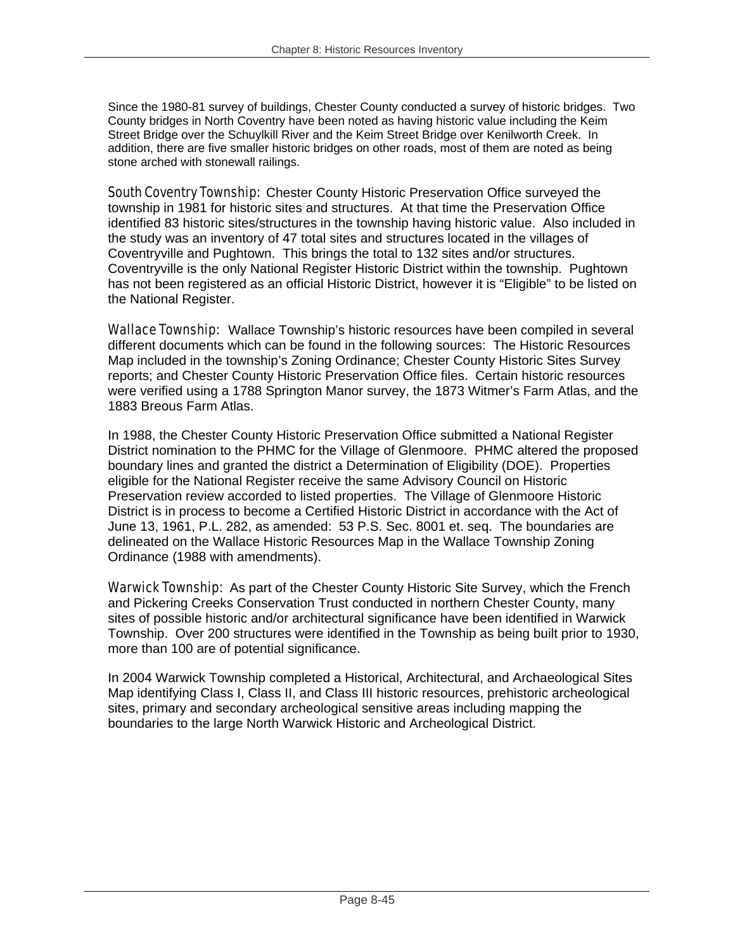Since the 1980-81 survey of buildings, Chester County conducted a survey of historic bridges. Two County bridges in North Coventry have been noted as having historic value including the Keim Street Bridge over the Schuylkill River and the Keim Street Bridge over Kenilworth Creek. In addition, there are five smaller historic bridges on other roads, most of them are noted as being stone arched with stonewall railings.

**South Coventry Township:** Chester County Historic Preservation Office surveyed the township in 1981 for historic sites and structures. At that time the Preservation Office identified 83 historic sites/structures in the township having historic value. Also included in the study was an inventory of 47 total sites and structures located in the villages of Coventryville and Pughtown. This brings the total to 132 sites and/or structures. Coventryville is the only National Register Historic District within the township. Pughtown has not been registered as an official Historic District, however it is "Eligible" to be listed on the National Register.

Wallace Township: Wallace Township's historic resources have been compiled in several different documents which can be found in the following sources: The Historic Resources Map included in the township's Zoning Ordinance; Chester County Historic Sites Survey reports; and Chester County Historic Preservation Office files. Certain historic resources were verified using a 1788 Springton Manor survey, the 1873 Witmer's Farm Atlas, and the 1883 Breous Farm Atlas.

In 1988, the Chester County Historic Preservation Office submitted a National Register District nomination to the PHMC for the Village of Glenmoore. PHMC altered the proposed boundary lines and granted the district a Determination of Eligibility (DOE). Properties eligible for the National Register receive the same Advisory Council on Historic Preservation review accorded to listed properties. The Village of Glenmoore Historic District is in process to become a Certified Historic District in accordance with the Act of June 13, 1961, P.L. 282, as amended: 53 P.S. Sec. 8001 et. seq. The boundaries are delineated on the Wallace Historic Resources Map in the Wallace Township Zoning Ordinance (1988 with amendments).

Warwick Township: As part of the Chester County Historic Site Survey, which the French and Pickering Creeks Conservation Trust conducted in northern Chester County, many sites of possible historic and/or architectural significance have been identified in Warwick Township. Over 200 structures were identified in the Township as being built prior to 1930, more than 100 are of potential significance.

In 2004 Warwick Township completed a Historical, Architectural, and Archaeological Sites Map identifying Class I, Class II, and Class III historic resources, prehistoric archeological sites, primary and secondary archeological sensitive areas including mapping the boundaries to the large North Warwick Historic and Archeological District.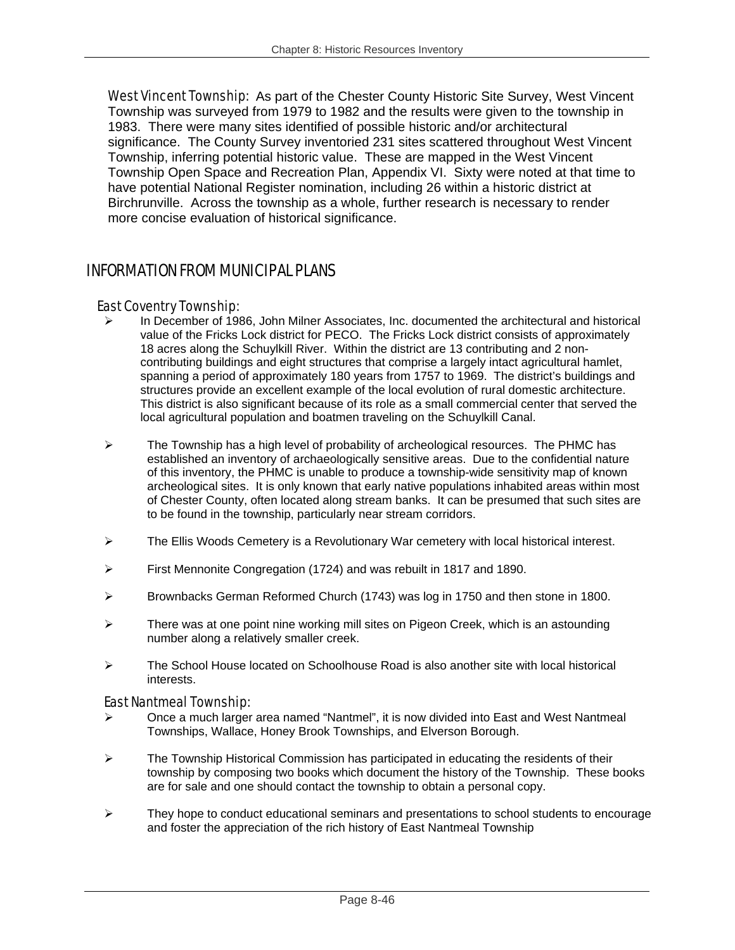West Vincent Township: As part of the Chester County Historic Site Survey, West Vincent Township was surveyed from 1979 to 1982 and the results were given to the township in 1983. There were many sites identified of possible historic and/or architectural significance. The County Survey inventoried 231 sites scattered throughout West Vincent Township, inferring potential historic value. These are mapped in the West Vincent Township Open Space and Recreation Plan, Appendix VI. Sixty were noted at that time to have potential National Register nomination, including 26 within a historic district at Birchrunville. Across the township as a whole, further research is necessary to render more concise evaluation of historical significance.

## INFORMATION FROM MUNICIPAL PLANS

#### East Coventry Township:

- In December of 1986, John Milner Associates, Inc. documented the architectural and historical value of the Fricks Lock district for PECO. The Fricks Lock district consists of approximately 18 acres along the Schuylkill River. Within the district are 13 contributing and 2 noncontributing buildings and eight structures that comprise a largely intact agricultural hamlet, spanning a period of approximately 180 years from 1757 to 1969. The district's buildings and structures provide an excellent example of the local evolution of rural domestic architecture. This district is also significant because of its role as a small commercial center that served the local agricultural population and boatmen traveling on the Schuylkill Canal.
- $\triangleright$  The Township has a high level of probability of archeological resources. The PHMC has established an inventory of archaeologically sensitive areas. Due to the confidential nature of this inventory, the PHMC is unable to produce a township-wide sensitivity map of known archeological sites. It is only known that early native populations inhabited areas within most of Chester County, often located along stream banks. It can be presumed that such sites are to be found in the township, particularly near stream corridors.
- $\triangleright$  The Ellis Woods Cemetery is a Revolutionary War cemetery with local historical interest.
- $\triangleright$  First Mennonite Congregation (1724) and was rebuilt in 1817 and 1890.
- ¾ Brownbacks German Reformed Church (1743) was log in 1750 and then stone in 1800.
- $\triangleright$  There was at one point nine working mill sites on Pigeon Creek, which is an astounding number along a relatively smaller creek.
- $\geq$  The School House located on Schoolhouse Road is also another site with local historical interests.

#### East Nantmeal Township:

- ¾ Once a much larger area named "Nantmel", it is now divided into East and West Nantmeal Townships, Wallace, Honey Brook Townships, and Elverson Borough.
- $\triangleright$  The Township Historical Commission has participated in educating the residents of their township by composing two books which document the history of the Township. These books are for sale and one should contact the township to obtain a personal copy.
- ¾ They hope to conduct educational seminars and presentations to school students to encourage and foster the appreciation of the rich history of East Nantmeal Township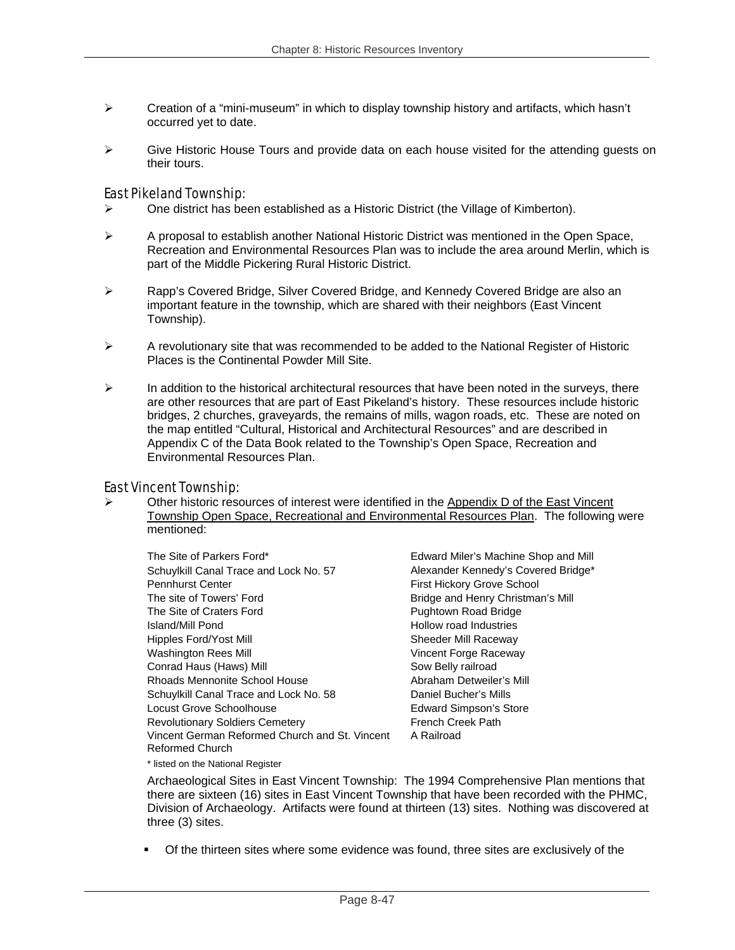- $\triangleright$  Creation of a "mini-museum" in which to display township history and artifacts, which hasn't occurred yet to date.
- $\triangleright$  Give Historic House Tours and provide data on each house visited for the attending quests on their tours.

### East Pikeland Township:

- ¾ One district has been established as a Historic District (the Village of Kimberton).
- $\triangleright$  A proposal to establish another National Historic District was mentioned in the Open Space, Recreation and Environmental Resources Plan was to include the area around Merlin, which is part of the Middle Pickering Rural Historic District.
- ¾ Rapp's Covered Bridge, Silver Covered Bridge, and Kennedy Covered Bridge are also an important feature in the township, which are shared with their neighbors (East Vincent Township).
- $\triangleright$  A revolutionary site that was recommended to be added to the National Register of Historic Places is the Continental Powder Mill Site.
- $\triangleright$  In addition to the historical architectural resources that have been noted in the surveys, there are other resources that are part of East Pikeland's history. These resources include historic bridges, 2 churches, graveyards, the remains of mills, wagon roads, etc. These are noted on the map entitled "Cultural, Historical and Architectural Resources" and are described in Appendix C of the Data Book related to the Township's Open Space, Recreation and Environmental Resources Plan.

#### East Vincent Township:

 $\triangleright$  Other historic resources of interest were identified in the Appendix D of the East Vincent Township Open Space, Recreational and Environmental Resources Plan. The following were mentioned:

The Site of Parkers Ford\* Edward Miler's Machine Shop and Mill Schuylkill Canal Trace and Lock No. 57 Alexander Kennedy's Covered Bridge\* Pennhurst Center **First Hickory Grove School** The site of Towers' Ford **Bridge and Henry Christman's Mill** The Site of Craters Ford **Pughtown Road Bridge** Island/Mill Pond Hollow road Industries Hipples Ford/Yost Mill Sheeder Mill Raceway Washington Rees Mill Vincent Forge Raceway Conrad Haus (Haws) Mill Sow Belly railroad Rhoads Mennonite School House **Abraham Detweiler's Mill** Schuylkill Canal Trace and Lock No. 58 Daniel Bucher's Mills Locust Grove Schoolhouse **Edward Simpson's Store** Revolutionary Soldiers Cemetery **Fig. 1988** French Creek Path Vincent German Reformed Church and St. Vincent Reformed Church \* listed on the National Register

A Railroad

Archaeological Sites in East Vincent Township: The 1994 Comprehensive Plan mentions that there are sixteen (16) sites in East Vincent Township that have been recorded with the PHMC, Division of Archaeology. Artifacts were found at thirteen (13) sites. Nothing was discovered at three (3) sites.

Of the thirteen sites where some evidence was found, three sites are exclusively of the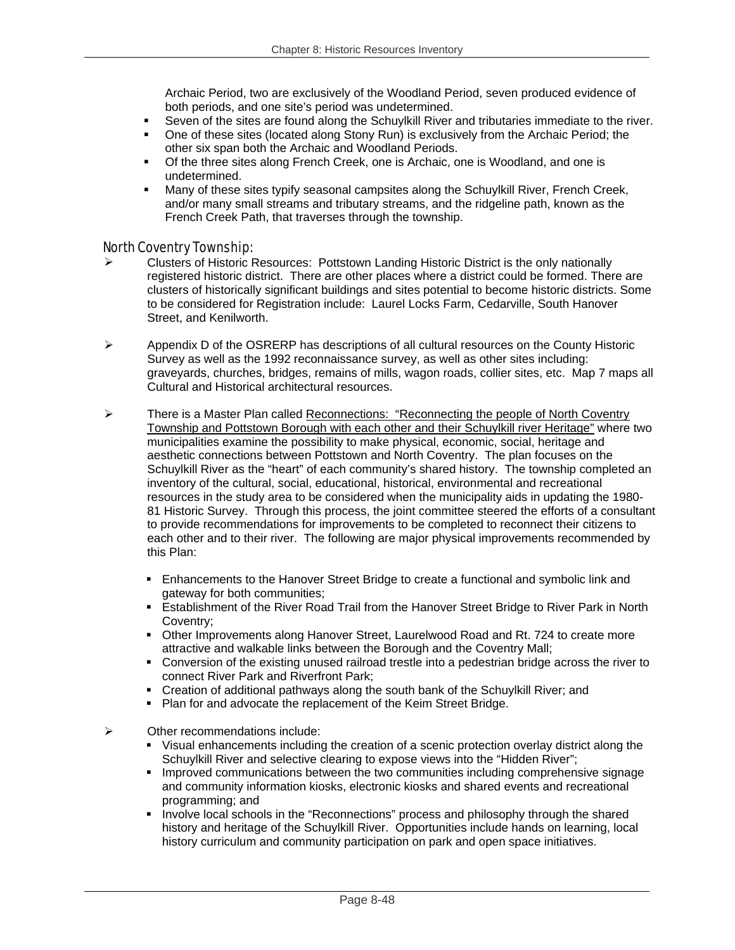Archaic Period, two are exclusively of the Woodland Period, seven produced evidence of both periods, and one site's period was undetermined.

- Seven of the sites are found along the Schuylkill River and tributaries immediate to the river.
- One of these sites (located along Stony Run) is exclusively from the Archaic Period; the other six span both the Archaic and Woodland Periods.
- Of the three sites along French Creek, one is Archaic, one is Woodland, and one is undetermined.
- Many of these sites typify seasonal campsites along the Schuylkill River, French Creek, and/or many small streams and tributary streams, and the ridgeline path, known as the French Creek Path, that traverses through the township.

#### North Coventry Township:

- ¾ Clusters of Historic Resources: Pottstown Landing Historic District is the only nationally registered historic district. There are other places where a district could be formed. There are clusters of historically significant buildings and sites potential to become historic districts. Some to be considered for Registration include: Laurel Locks Farm, Cedarville, South Hanover Street, and Kenilworth.
- $\triangleright$  Appendix D of the OSRERP has descriptions of all cultural resources on the County Historic Survey as well as the 1992 reconnaissance survey, as well as other sites including: graveyards, churches, bridges, remains of mills, wagon roads, collier sites, etc. Map 7 maps all Cultural and Historical architectural resources.
- $\triangleright$  There is a Master Plan called Reconnections: "Reconnecting the people of North Coventry Township and Pottstown Borough with each other and their Schuylkill river Heritage" where two municipalities examine the possibility to make physical, economic, social, heritage and aesthetic connections between Pottstown and North Coventry. The plan focuses on the Schuylkill River as the "heart" of each community's shared history. The township completed an inventory of the cultural, social, educational, historical, environmental and recreational resources in the study area to be considered when the municipality aids in updating the 1980- 81 Historic Survey. Through this process, the joint committee steered the efforts of a consultant to provide recommendations for improvements to be completed to reconnect their citizens to each other and to their river. The following are major physical improvements recommended by this Plan:
	- Enhancements to the Hanover Street Bridge to create a functional and symbolic link and gateway for both communities;
	- **Example 1** Establishment of the River Road Trail from the Hanover Street Bridge to River Park in North Coventry;
	- Other Improvements along Hanover Street, Laurelwood Road and Rt. 724 to create more attractive and walkable links between the Borough and the Coventry Mall;
	- Conversion of the existing unused railroad trestle into a pedestrian bridge across the river to connect River Park and Riverfront Park;
	- Creation of additional pathways along the south bank of the Schuylkill River; and
	- **Plan for and advocate the replacement of the Keim Street Bridge.**
- $\triangleright$  Other recommendations include:
	- Visual enhancements including the creation of a scenic protection overlay district along the Schuylkill River and selective clearing to expose views into the "Hidden River";
	- **Improved communications between the two communities including comprehensive signage** and community information kiosks, electronic kiosks and shared events and recreational programming; and
	- Involve local schools in the "Reconnections" process and philosophy through the shared history and heritage of the Schuylkill River. Opportunities include hands on learning, local history curriculum and community participation on park and open space initiatives.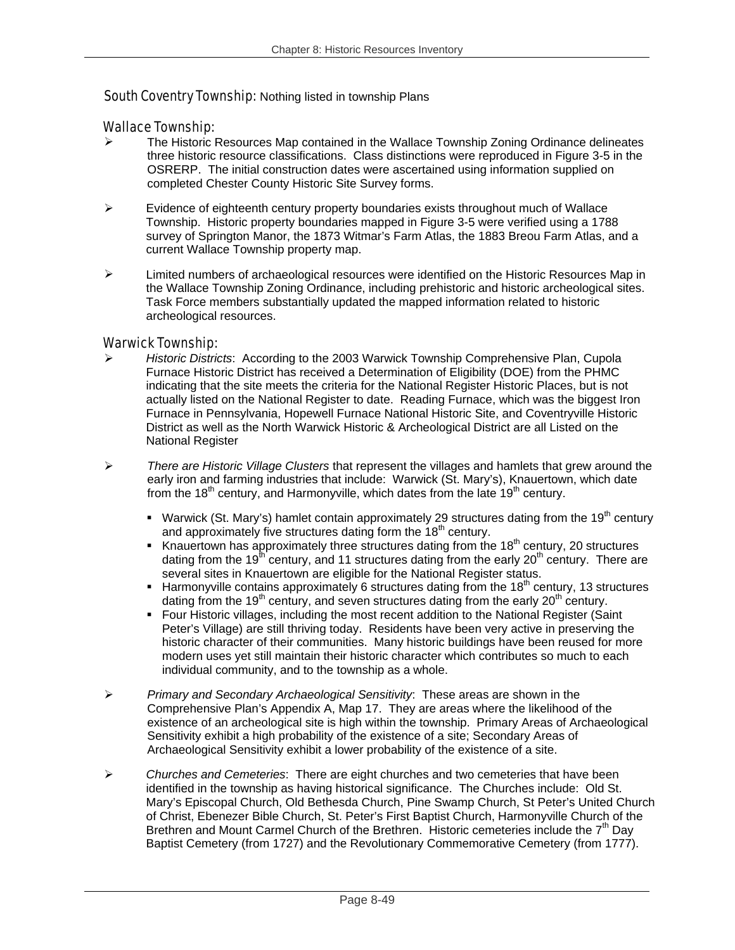#### South Coventry Township: Nothing listed in township Plans

#### Wallace Township:

- $\triangleright$  The Historic Resources Map contained in the Wallace Township Zoning Ordinance delineates three historic resource classifications. Class distinctions were reproduced in Figure 3-5 in the OSRERP. The initial construction dates were ascertained using information supplied on completed Chester County Historic Site Survey forms.
- $\triangleright$  Evidence of eighteenth century property boundaries exists throughout much of Wallace Township. Historic property boundaries mapped in Figure 3-5 were verified using a 1788 survey of Springton Manor, the 1873 Witmar's Farm Atlas, the 1883 Breou Farm Atlas, and a current Wallace Township property map.
- $\triangleright$  Limited numbers of archaeological resources were identified on the Historic Resources Map in the Wallace Township Zoning Ordinance, including prehistoric and historic archeological sites. Task Force members substantially updated the mapped information related to historic archeological resources.

#### Warwick Township:

- ¾ *Historic Districts*: According to the 2003 Warwick Township Comprehensive Plan, Cupola Furnace Historic District has received a Determination of Eligibility (DOE) from the PHMC indicating that the site meets the criteria for the National Register Historic Places, but is not actually listed on the National Register to date. Reading Furnace, which was the biggest Iron Furnace in Pennsylvania, Hopewell Furnace National Historic Site, and Coventryville Historic District as well as the North Warwick Historic & Archeological District are all Listed on the National Register
- ¾ *There are Historic Village Clusters* that represent the villages and hamlets that grew around the early iron and farming industries that include: Warwick (St. Mary's), Knauertown, which date from the 18<sup>th</sup> century, and Harmonyville, which dates from the late 19<sup>th</sup> century.
	- Warwick (St. Mary's) hamlet contain approximately 29 structures dating from the 19<sup>th</sup> century and approximately five structures dating form the 18<sup>th</sup> century.
	- Knauertown has approximately three structures dating from the  $18<sup>th</sup>$  century, 20 structures dating from the 19<sup>th</sup> century, and 11 structures dating from the early  $20<sup>th</sup>$  century. There are several sites in Knauertown are eligible for the National Register status.
	- Harmonyville contains approximately 6 structures dating from the  $18<sup>th</sup>$  century, 13 structures dating from the 19<sup>th</sup> century, and seven structures dating from the early  $20<sup>th</sup>$  century.
	- Four Historic villages, including the most recent addition to the National Register (Saint Peter's Village) are still thriving today. Residents have been very active in preserving the historic character of their communities. Many historic buildings have been reused for more modern uses yet still maintain their historic character which contributes so much to each individual community, and to the township as a whole.
- ¾ *Primary and Secondary Archaeological Sensitivity*: These areas are shown in the Comprehensive Plan's Appendix A, Map 17. They are areas where the likelihood of the existence of an archeological site is high within the township. Primary Areas of Archaeological Sensitivity exhibit a high probability of the existence of a site; Secondary Areas of Archaeological Sensitivity exhibit a lower probability of the existence of a site.
- ¾ *Churches and Cemeteries*: There are eight churches and two cemeteries that have been identified in the township as having historical significance. The Churches include: Old St. Mary's Episcopal Church, Old Bethesda Church, Pine Swamp Church, St Peter's United Church of Christ, Ebenezer Bible Church, St. Peter's First Baptist Church, Harmonyville Church of the Brethren and Mount Carmel Church of the Brethren. Historic cemeteries include the 7<sup>th</sup> Day Baptist Cemetery (from 1727) and the Revolutionary Commemorative Cemetery (from 1777).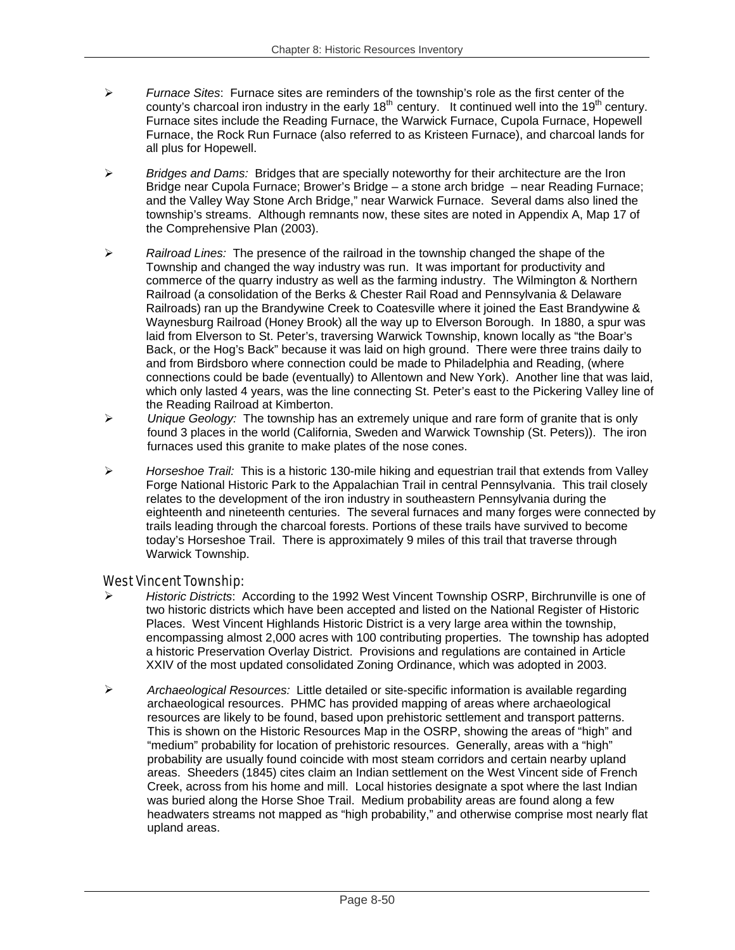- ¾ *Furnace Sites*: Furnace sites are reminders of the township's role as the first center of the county's charcoal iron industry in the early  $18^{th}$  century. It continued well into the  $19^{th}$  century. Furnace sites include the Reading Furnace, the Warwick Furnace, Cupola Furnace, Hopewell Furnace, the Rock Run Furnace (also referred to as Kristeen Furnace), and charcoal lands for all plus for Hopewell.
- ¾ *Bridges and Dams:* Bridges that are specially noteworthy for their architecture are the Iron Bridge near Cupola Furnace; Brower's Bridge – a stone arch bridge – near Reading Furnace; and the Valley Way Stone Arch Bridge," near Warwick Furnace. Several dams also lined the township's streams. Although remnants now, these sites are noted in Appendix A, Map 17 of the Comprehensive Plan (2003).
- ¾ *Railroad Lines:* The presence of the railroad in the township changed the shape of the Township and changed the way industry was run. It was important for productivity and commerce of the quarry industry as well as the farming industry. The Wilmington & Northern Railroad (a consolidation of the Berks & Chester Rail Road and Pennsylvania & Delaware Railroads) ran up the Brandywine Creek to Coatesville where it joined the East Brandywine & Waynesburg Railroad (Honey Brook) all the way up to Elverson Borough. In 1880, a spur was laid from Elverson to St. Peter's, traversing Warwick Township, known locally as "the Boar's Back, or the Hog's Back" because it was laid on high ground. There were three trains daily to and from Birdsboro where connection could be made to Philadelphia and Reading, (where connections could be bade (eventually) to Allentown and New York). Another line that was laid, which only lasted 4 years, was the line connecting St. Peter's east to the Pickering Valley line of the Reading Railroad at Kimberton.
- ¾ *Unique Geology:* The township has an extremely unique and rare form of granite that is only found 3 places in the world (California, Sweden and Warwick Township (St. Peters)). The iron furnaces used this granite to make plates of the nose cones.
- ¾ *Horseshoe Trail:* This is a historic 130-mile hiking and equestrian trail that extends from Valley Forge National Historic Park to the Appalachian Trail in central Pennsylvania. This trail closely relates to the development of the iron industry in southeastern Pennsylvania during the eighteenth and nineteenth centuries. The several furnaces and many forges were connected by trails leading through the charcoal forests. Portions of these trails have survived to become today's Horseshoe Trail. There is approximately 9 miles of this trail that traverse through Warwick Township.

## West Vincent Township:

- ¾ *Historic Districts*: According to the 1992 West Vincent Township OSRP, Birchrunville is one of two historic districts which have been accepted and listed on the National Register of Historic Places. West Vincent Highlands Historic District is a very large area within the township, encompassing almost 2,000 acres with 100 contributing properties. The township has adopted a historic Preservation Overlay District. Provisions and regulations are contained in Article XXIV of the most updated consolidated Zoning Ordinance, which was adopted in 2003.
- ¾ *Archaeological Resources:* Little detailed or site-specific information is available regarding archaeological resources. PHMC has provided mapping of areas where archaeological resources are likely to be found, based upon prehistoric settlement and transport patterns. This is shown on the Historic Resources Map in the OSRP, showing the areas of "high" and "medium" probability for location of prehistoric resources. Generally, areas with a "high" probability are usually found coincide with most steam corridors and certain nearby upland areas. Sheeders (1845) cites claim an Indian settlement on the West Vincent side of French Creek, across from his home and mill. Local histories designate a spot where the last Indian was buried along the Horse Shoe Trail. Medium probability areas are found along a few headwaters streams not mapped as "high probability," and otherwise comprise most nearly flat upland areas.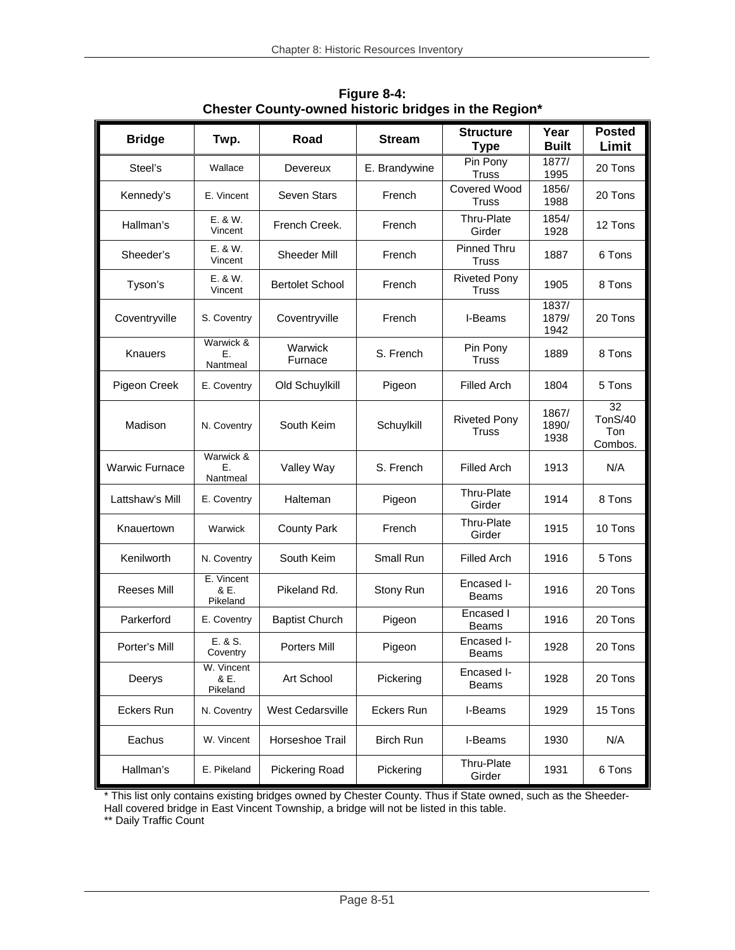| <b>Bridge</b>         | Twp.                           | Road                    | <b>Stream</b>    | <b>Structure</b><br><b>Type</b>     | Year<br><b>Built</b>   | <b>Posted</b><br>Limit          |
|-----------------------|--------------------------------|-------------------------|------------------|-------------------------------------|------------------------|---------------------------------|
| Steel's               | Wallace                        | Devereux                | E. Brandywine    | Pin Pony<br><b>Truss</b>            | 1877/<br>1995          | 20 Tons                         |
| Kennedy's             | E. Vincent                     | Seven Stars             | French           | <b>Covered Wood</b><br><b>Truss</b> | 1856/<br>1988          | 20 Tons                         |
| Hallman's             | E. & W.<br>Vincent             | French Creek.           | French           | Thru-Plate<br>Girder                | 1854/<br>1928          | 12 Tons                         |
| Sheeder's             | E. & W.<br>Vincent             | Sheeder Mill            | French           | Pinned Thru<br><b>Truss</b>         | 1887                   | 6 Tons                          |
| Tyson's               | E. & W.<br>Vincent             | <b>Bertolet School</b>  | French           | <b>Riveted Pony</b><br><b>Truss</b> | 1905                   | 8 Tons                          |
| Coventryville         | S. Coventry                    | Coventryville           | French           | I-Beams                             | 1837/<br>1879/<br>1942 | 20 Tons                         |
| Knauers               | Warwick &<br>Е.<br>Nantmeal    | Warwick<br>Furnace      | S. French        | Pin Pony<br><b>Truss</b>            | 1889                   | 8 Tons                          |
| Pigeon Creek          | E. Coventry                    | Old Schuylkill          | Pigeon           | <b>Filled Arch</b>                  | 1804                   | 5 Tons                          |
| Madison               | N. Coventry                    | South Keim              | Schuylkill       | <b>Riveted Pony</b><br><b>Truss</b> | 1867/<br>1890/<br>1938 | 32<br>TonS/40<br>Ton<br>Combos. |
| <b>Warwic Furnace</b> | Warwick &<br>Ε.<br>Nantmeal    | Valley Way              | S. French        | <b>Filled Arch</b>                  | 1913                   | N/A                             |
| Lattshaw's Mill       | E. Coventry                    | Halteman                | Pigeon           | Thru-Plate<br>Girder                | 1914                   | 8 Tons                          |
| Knauertown            | Warwick                        | <b>County Park</b>      | French           | Thru-Plate<br>Girder                | 1915                   | 10 Tons                         |
| Kenilworth            | N. Coventry                    | South Keim              | Small Run        | <b>Filled Arch</b>                  | 1916                   | 5 Tons                          |
| <b>Reeses Mill</b>    | E. Vincent<br>& E.<br>Pikeland | Pikeland Rd.            | Stony Run        | Encased I-<br><b>Beams</b>          | 1916                   | 20 Tons                         |
| Parkerford            | E. Coventry                    | <b>Baptist Church</b>   | Pigeon           | Encased I<br><b>Beams</b>           | 1916                   | 20 Tons                         |
| Porter's Mill         | E. & S.<br>Coventry            | Porters Mill            | Pigeon           | Encased I-<br><b>Beams</b>          | 1928                   | 20 Tons                         |
| Deerys                | W. Vincent<br>& E.<br>Pikeland | Art School              | Pickering        | Encased I-<br><b>Beams</b>          | 1928                   | 20 Tons                         |
| Eckers Run            | N. Coventry                    | <b>West Cedarsville</b> | Eckers Run       | I-Beams                             | 1929                   | 15 Tons                         |
| Eachus                | W. Vincent                     | Horseshoe Trail         | <b>Birch Run</b> | I-Beams                             | 1930                   | N/A                             |
| Hallman's             | E. Pikeland                    | <b>Pickering Road</b>   | Pickering        | Thru-Plate<br>Girder                | 1931                   | 6 Tons                          |

**Figure 8-4: Chester County-owned historic bridges in the Region\*** 

\* This list only contains existing bridges owned by Chester County. Thus if State owned, such as the Sheeder-Hall covered bridge in East Vincent Township, a bridge will not be listed in this table.

\*\* Daily Traffic Count